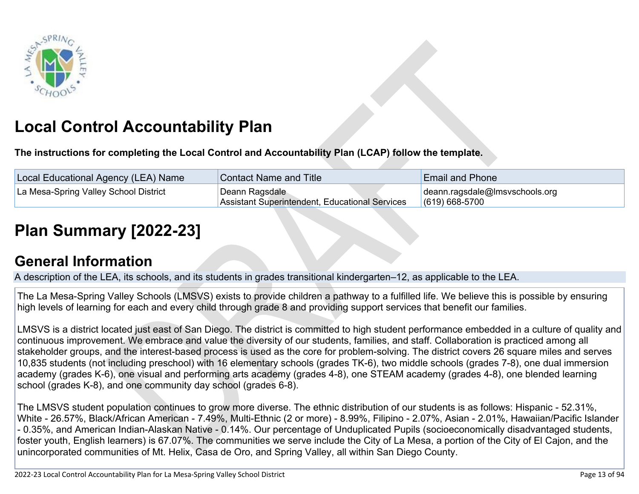

# **Local Control Accountability Plan**

**The instructions for completing the Local Control and Accountability Plan (LCAP) follow the template.**

| Local Educational Agency (LEA) Name   | <b>Contact Name and Title</b>                                    | <b>Email and Phone</b>                                       |
|---------------------------------------|------------------------------------------------------------------|--------------------------------------------------------------|
| La Mesa-Spring Valley School District | Deann Ragsdale<br>Assistant Superintendent, Educational Services | $\vert$ deann.ragsdale@lmsvschools.org<br>$(619) 668 - 5700$ |

# **[Plan Summary \[2022-23\]](http://www.doc-tracking.com/screenshots/22LCAP/Instructions/22LCAPInstructions.htm#PlanSummary)**

## **[General Information](http://www.doc-tracking.com/screenshots/22LCAP/Instructions/22LCAPInstructions.htm#generalinformation)**

A description of the LEA, its schools, and its students in grades transitional kindergarten–12, as applicable to the LEA.

The La Mesa-Spring Valley Schools (LMSVS) exists to provide children a pathway to a fulfilled life. We believe this is possible by ensuring high levels of learning for each and every child through grade 8 and providing support services that benefit our families.

LMSVS is a district located just east of San Diego. The district is committed to high student performance embedded in a culture of quality and continuous improvement. We embrace and value the diversity of our students, families, and staff. Collaboration is practiced among all stakeholder groups, and the interest-based process is used as the core for problem-solving. The district covers 26 square miles and serves 10,835 students (not including preschool) with 16 elementary schools (grades TK-6), two middle schools (grades 7-8), one dual immersion academy (grades K-6), one visual and performing arts academy (grades 4-8), one STEAM academy (grades 4-8), one blended learning school (grades K-8), and one community day school (grades 6-8).

The LMSVS student population continues to grow more diverse. The ethnic distribution of our students is as follows: Hispanic - 52.31%, White - 26.57%, Black/African American - 7.49%, Multi-Ethnic (2 or more) - 8.99%, Filipino - 2.07%, Asian - 2.01%, Hawaiian/Pacific Islander - 0.35%, and American Indian-Alaskan Native - 0.14%. Our percentage of Unduplicated Pupils (socioeconomically disadvantaged students, foster youth, English learners) is 67.07%. The communities we serve include the City of La Mesa, a portion of the City of El Cajon, and the unincorporated communities of Mt. Helix, Casa de Oro, and Spring Valley, all within San Diego County.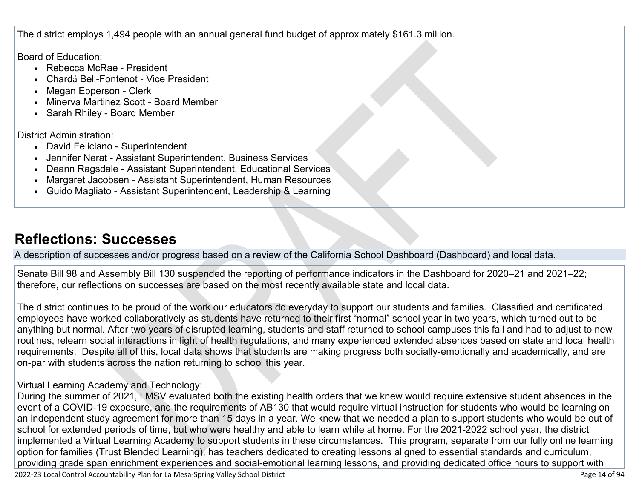The district employs 1,494 people with an annual general fund budget of approximately \$161.3 million.

Board of Education:

- Rebecca McRae President
- Chardá Bell-Fontenot Vice President
- Megan Epperson Clerk
- Minerva Martinez Scott Board Member
- Sarah Rhiley Board Member

District Administration:

- David Feliciano Superintendent
- Jennifer Nerat Assistant Superintendent, Business Services
- Deann Ragsdale Assistant Superintendent, Educational Services
- Margaret Jacobsen Assistant Superintendent, Human Resources
- Guido Magliato Assistant Superintendent, Leadership & Learning

## **[Reflections: Successes](http://www.doc-tracking.com/screenshots/22LCAP/Instructions/22LCAPInstructions.htm#ReflectionsSuccesses)**

A description of successes and/or progress based on a review of the California School Dashboard (Dashboard) and local data.

Senate Bill 98 and Assembly Bill 130 suspended the reporting of performance indicators in the Dashboard for 2020–21 and 2021–22; therefore, our reflections on successes are based on the most recently available state and local data.

The district continues to be proud of the work our educators do everyday to support our students and families. Classified and certificated employees have worked collaboratively as students have returned to their first "normal" school year in two years, which turned out to be anything but normal. After two years of disrupted learning, students and staff returned to school campuses this fall and had to adjust to new routines, relearn social interactions in light of health regulations, and many experienced extended absences based on state and local health requirements. Despite all of this, local data shows that students are making progress both socially-emotionally and academically, and are on-par with students across the nation returning to school this year.

### Virtual Learning Academy and Technology:

During the summer of 2021, LMSV evaluated both the existing health orders that we knew would require extensive student absences in the event of a COVID-19 exposure, and the requirements of AB130 that would require virtual instruction for students who would be learning on an independent study agreement for more than 15 days in a year. We knew that we needed a plan to support students who would be out of school for extended periods of time, but who were healthy and able to learn while at home. For the 2021-2022 school year, the district implemented a Virtual Learning Academy to support students in these circumstances. This program, separate from our fully online learning option for families (Trust Blended Learning), has teachers dedicated to creating lessons aligned to essential standards and curriculum, providing grade span enrichment experiences and social-emotional learning lessons, and providing dedicated office hours to support with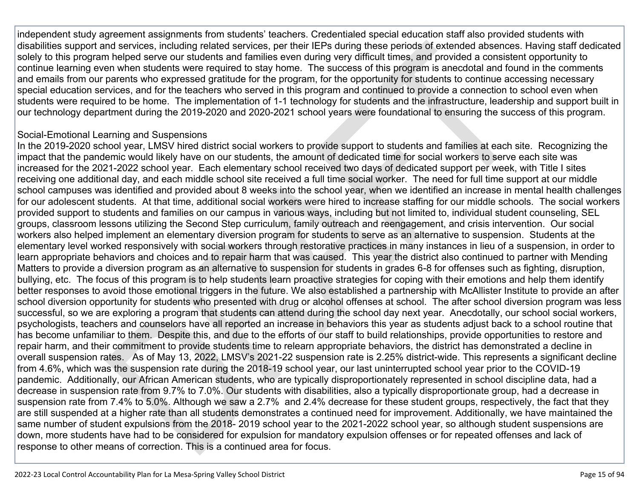independent study agreement assignments from students' teachers. Credentialed special education staff also provided students with disabilities support and services, including related services, per their IEPs during these periods of extended absences. Having staff dedicated solely to this program helped serve our students and families even during very difficult times, and provided a consistent opportunity to continue learning even when students were required to stay home. The success of this program is anecdotal and found in the comments and emails from our parents who expressed gratitude for the program, for the opportunity for students to continue accessing necessary special education services, and for the teachers who served in this program and continued to provide a connection to school even when students were required to be home. The implementation of 1-1 technology for students and the infrastructure, leadership and support built in our technology department during the 2019-2020 and 2020-2021 school years were foundational to ensuring the success of this program.

#### Social-Emotional Learning and Suspensions

In the 2019-2020 school year, LMSV hired district social workers to provide support to students and families at each site. Recognizing the impact that the pandemic would likely have on our students, the amount of dedicated time for social workers to serve each site was increased for the 2021-2022 school year. Each elementary school received two days of dedicated support per week, with Title I sites receiving one additional day, and each middle school site received a full time social worker. The need for full time support at our middle school campuses was identified and provided about 8 weeks into the school year, when we identified an increase in mental health challenges for our adolescent students. At that time, additional social workers were hired to increase staffing for our middle schools. The social workers provided support to students and families on our campus in various ways, including but not limited to, individual student counseling, SEL groups, classroom lessons utilizing the Second Step curriculum, family outreach and reengagement, and crisis intervention. Our social workers also helped implement an elementary diversion program for students to serve as an alternative to suspension. Students at the elementary level worked responsively with social workers through restorative practices in many instances in lieu of a suspension, in order to learn appropriate behaviors and choices and to repair harm that was caused. This year the district also continued to partner with Mending Matters to provide a diversion program as an alternative to suspension for students in grades 6-8 for offenses such as fighting, disruption, bullying, etc. The focus of this program is to help students learn proactive strategies for coping with their emotions and help them identify better responses to avoid those emotional triggers in the future. We also established a partnership with McAllister Institute to provide an after school diversion opportunity for students who presented with drug or alcohol offenses at school. The after school diversion program was less successful, so we are exploring a program that students can attend during the school day next year. Anecdotally, our school social workers, psychologists, teachers and counselors have all reported an increase in behaviors this year as students adjust back to a school routine that has become unfamiliar to them. Despite this, and due to the efforts of our staff to build relationships, provide opportunities to restore and repair harm, and their commitment to provide students time to relearn appropriate behaviors, the district has demonstrated a decline in overall suspension rates. As of May 13, 2022, LMSV's 2021-22 suspension rate is 2.25% district-wide. This represents a significant decline from 4.6%, which was the suspension rate during the 2018-19 school year, our last uninterrupted school year prior to the COVID-19 pandemic. Additionally, our African American students, who are typically disproportionately represented in school discipline data, had a decrease in suspension rate from 9.7% to 7.0%. Our students with disabilities, also a typically disproportionate group, had a decrease in suspension rate from 7.4% to 5.0%. Although we saw a 2.7% and 2.4% decrease for these student groups, respectively, the fact that they are still suspended at a higher rate than all students demonstrates a continued need for improvement. Additionally, we have maintained the same number of student expulsions from the 2018- 2019 school year to the 2021-2022 school year, so although student suspensions are down, more students have had to be considered for expulsion for mandatory expulsion offenses or for repeated offenses and lack of response to other means of correction. This is a continued area for focus.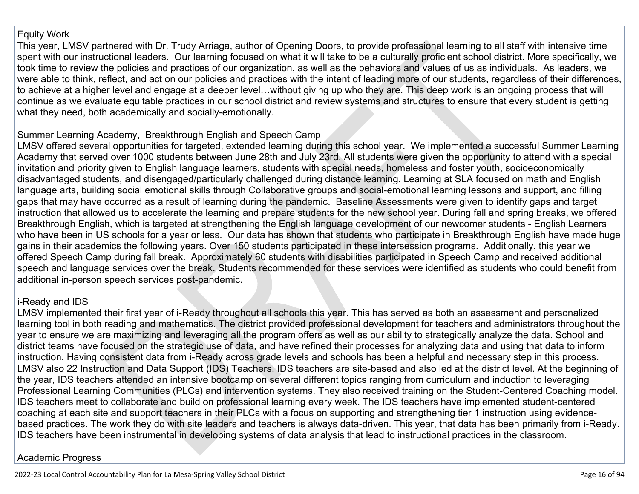#### Equity Work

This year, LMSV partnered with Dr. Trudy Arriaga, author of Opening Doors, to provide professional learning to all staff with intensive time spent with our instructional leaders. Our learning focused on what it will take to be a culturally proficient school district. More specifically, we took time to review the policies and practices of our organization, as well as the behaviors and values of us as individuals. As leaders, we were able to think, reflect, and act on our policies and practices with the intent of leading more of our students, regardless of their differences, to achieve at a higher level and engage at a deeper level…without giving up who they are. This deep work is an ongoing process that will continue as we evaluate equitable practices in our school district and review systems and structures to ensure that every student is getting what they need, both academically and socially-emotionally.

#### Summer Learning Academy, Breakthrough English and Speech Camp

LMSV offered several opportunities for targeted, extended learning during this school year. We implemented a successful Summer Learning Academy that served over 1000 students between June 28th and July 23rd. All students were given the opportunity to attend with a special invitation and priority given to English language learners, students with special needs, homeless and foster youth, socioeconomically disadvantaged students, and disengaged/particularly challenged during distance learning. Learning at SLA focused on math and English language arts, building social emotional skills through Collaborative groups and social-emotional learning lessons and support, and filling gaps that may have occurred as a result of learning during the pandemic. Baseline Assessments were given to identify gaps and target instruction that allowed us to accelerate the learning and prepare students for the new school year. During fall and spring breaks, we offered Breakthrough English, which is targeted at strengthening the English language development of our newcomer students - English Learners who have been in US schools for a year or less. Our data has shown that students who participate in Breakthrough English have made huge gains in their academics the following years. Over 150 students participated in these intersession programs. Additionally, this year we offered Speech Camp during fall break. Approximately 60 students with disabilities participated in Speech Camp and received additional speech and language services over the break. Students recommended for these services were identified as students who could benefit from additional in-person speech services post-pandemic.

### i-Ready and IDS

LMSV implemented their first year of i-Ready throughout all schools this year. This has served as both an assessment and personalized learning tool in both reading and mathematics. The district provided professional development for teachers and administrators throughout the year to ensure we are maximizing and leveraging all the program offers as well as our ability to strategically analyze the data. School and district teams have focused on the strategic use of data, and have refined their processes for analyzing data and using that data to inform instruction. Having consistent data from i-Ready across grade levels and schools has been a helpful and necessary step in this process. LMSV also 22 Instruction and Data Support (IDS) Teachers. IDS teachers are site-based and also led at the district level. At the beginning of the year, IDS teachers attended an intensive bootcamp on several different topics ranging from curriculum and induction to leveraging Professional Learning Communities (PLCs) and intervention systems. They also received training on the Student-Centered Coaching model. IDS teachers meet to collaborate and build on professional learning every week. The IDS teachers have implemented student-centered coaching at each site and support teachers in their PLCs with a focus on supporting and strengthening tier 1 instruction using evidencebased practices. The work they do with site leaders and teachers is always data-driven. This year, that data has been primarily from i-Ready. IDS teachers have been instrumental in developing systems of data analysis that lead to instructional practices in the classroom.

### Academic Progress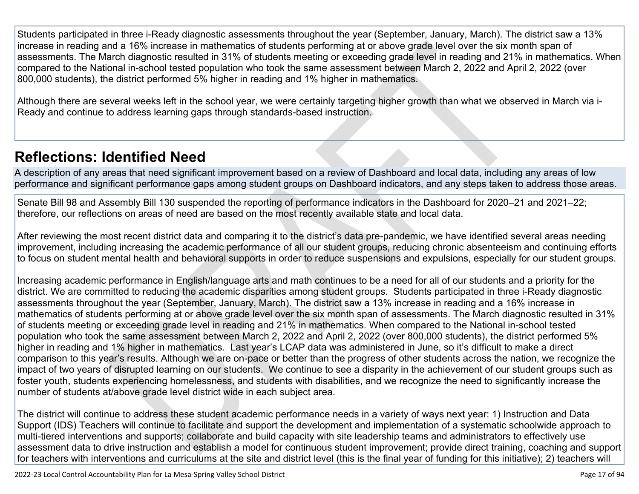Students participated in three i-Ready diagnostic assessments throughout the year (September, January, March). The district saw a 13% increase in reading and a 16% increase in mathematics of students performing at or above grade level over the six month span of assessments. The March diagnostic resulted in 31% of students meeting or exceeding grade level in reading and 21% in mathematics. When compared to the National in-school tested population who took the same assessment between March 2, 2022 and April 2, 2022 (over 800,000 students), the district performed 5% higher in reading and 1% higher in mathematics.

Although there are several weeks left in the school year, we were certainly targeting higher growth than what we observed in March via i-Ready and continue to address learning gaps through standards-based instruction.

## **[Reflections: Identified Need](http://www.doc-tracking.com/screenshots/22LCAP/Instructions/22LCAPInstructions.htm#ReflectionsIdentifiedNeed)**

A description of any areas that need significant improvement based on a review of Dashboard and local data, including any areas of low performance and significant performance gaps among student groups on Dashboard indicators, and any steps taken to address those areas.

Senate Bill 98 and Assembly Bill 130 suspended the reporting of performance indicators in the Dashboard for 2020–21 and 2021–22; therefore, our reflections on areas of need are based on the most recently available state and local data.

After reviewing the most recent district data and comparing it to the district's data pre-pandemic, we have identified several areas needing improvement, including increasing the academic performance of all our student groups, reducing chronic absenteeism and continuing efforts to focus on student mental health and behavioral supports in order to reduce suspensions and expulsions, especially for our student groups.

Increasing academic performance in English/language arts and math continues to be a need for all of our students and a priority for the district. We are committed to reducing the academic disparities among student groups. Students participated in three i-Ready diagnostic assessments throughout the year (September, January, March). The district saw a 13% increase in reading and a 16% increase in mathematics of students performing at or above grade level over the six month span of assessments. The March diagnostic resulted in 31% of students meeting or exceeding grade level in reading and 21% in mathematics. When compared to the National in-school tested population who took the same assessment between March 2, 2022 and April 2, 2022 (over 800,000 students), the district performed 5% higher in reading and 1% higher in mathematics. Last year's LCAP data was administered in June, so it's difficult to make a direct comparison to this year's results. Although we are on-pace or better than the progress of other students across the nation, we recognize the impact of two years of disrupted learning on our students. We continue to see a disparity in the achievement of our student groups such as foster youth, students experiencing homelessness, and students with disabilities, and we recognize the need to significantly increase the number of students at/above grade level district wide in each subject area.

The district will continue to address these student academic performance needs in a variety of ways next year: 1) Instruction and Data Support (IDS) Teachers will continue to facilitate and support the development and implementation of a systematic schoolwide approach to multi-tiered interventions and supports; collaborate and build capacity with site leadership teams and administrators to effectively use assessment data to drive instruction and establish a model for continuous student improvement; provide direct training, coaching and support for teachers with interventions and curriculums at the site and district level (this is the final year of funding for this initiative); 2) teachers will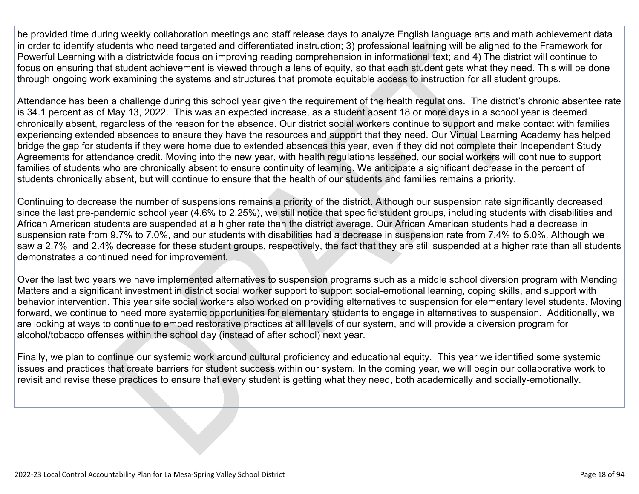be provided time during weekly collaboration meetings and staff release days to analyze English language arts and math achievement data in order to identify students who need targeted and differentiated instruction; 3) professional learning will be aligned to the Framework for Powerful Learning with a districtwide focus on improving reading comprehension in informational text; and 4) The district will continue to focus on ensuring that student achievement is viewed through a lens of equity, so that each student gets what they need. This will be done through ongoing work examining the systems and structures that promote equitable access to instruction for all student groups.

Attendance has been a challenge during this school year given the requirement of the health regulations. The district's chronic absentee rate is 34.1 percent as of May 13, 2022. This was an expected increase, as a student absent 18 or more days in a school year is deemed chronically absent, regardless of the reason for the absence. Our district social workers continue to support and make contact with families experiencing extended absences to ensure they have the resources and support that they need. Our Virtual Learning Academy has helped bridge the gap for students if they were home due to extended absences this year, even if they did not complete their Independent Study Agreements for attendance credit. Moving into the new year, with health regulations lessened, our social workers will continue to support families of students who are chronically absent to ensure continuity of learning. We anticipate a significant decrease in the percent of students chronically absent, but will continue to ensure that the health of our students and families remains a priority.

Continuing to decrease the number of suspensions remains a priority of the district. Although our suspension rate significantly decreased since the last pre-pandemic school year (4.6% to 2.25%), we still notice that specific student groups, including students with disabilities and African American students are suspended at a higher rate than the district average. Our African American students had a decrease in suspension rate from 9.7% to 7.0%, and our students with disabilities had a decrease in suspension rate from 7.4% to 5.0%. Although we saw a 2.7% and 2.4% decrease for these student groups, respectively, the fact that they are still suspended at a higher rate than all students demonstrates a continued need for improvement.

Over the last two years we have implemented alternatives to suspension programs such as a middle school diversion program with Mending Matters and a significant investment in district social worker support to support social-emotional learning, coping skills, and support with behavior intervention. This year site social workers also worked on providing alternatives to suspension for elementary level students. Moving forward, we continue to need more systemic opportunities for elementary students to engage in alternatives to suspension. Additionally, we are looking at ways to continue to embed restorative practices at all levels of our system, and will provide a diversion program for alcohol/tobacco offenses within the school day (instead of after school) next year.

Finally, we plan to continue our systemic work around cultural proficiency and educational equity. This year we identified some systemic issues and practices that create barriers for student success within our system. In the coming year, we will begin our collaborative work to revisit and revise these practices to ensure that every student is getting what they need, both academically and socially-emotionally.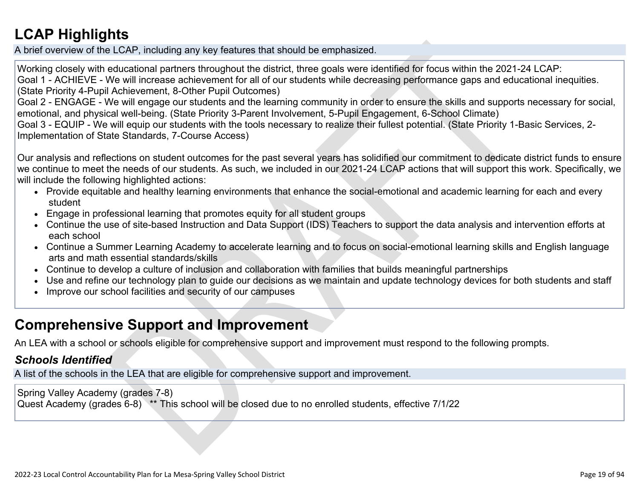## **[LCAP Highlights](http://www.doc-tracking.com/screenshots/22LCAP/Instructions/22LCAPInstructions.htm#LCAPHighlights)**

A brief overview of the LCAP, including any key features that should be emphasized.

Working closely with educational partners throughout the district, three goals were identified for focus within the 2021-24 LCAP: Goal 1 - ACHIEVE - We will increase achievement for all of our students while decreasing performance gaps and educational inequities. (State Priority 4-Pupil Achievement, 8-Other Pupil Outcomes)

Goal 2 - ENGAGE - We will engage our students and the learning community in order to ensure the skills and supports necessary for social, emotional, and physical well-being. (State Priority 3-Parent Involvement, 5-Pupil Engagement, 6-School Climate)

Goal 3 - EQUIP - We will equip our students with the tools necessary to realize their fullest potential. (State Priority 1-Basic Services, 2- Implementation of State Standards, 7-Course Access)

Our analysis and reflections on student outcomes for the past several years has solidified our commitment to dedicate district funds to ensure we continue to meet the needs of our students. As such, we included in our 2021-24 LCAP actions that will support this work. Specifically, we will include the following highlighted actions:

- Provide equitable and healthy learning environments that enhance the social-emotional and academic learning for each and every student
- Engage in professional learning that promotes equity for all student groups
- Continue the use of site-based Instruction and Data Support (IDS) Teachers to support the data analysis and intervention efforts at each school
- Continue a Summer Learning Academy to accelerate learning and to focus on social-emotional learning skills and English language arts and math essential standards/skills
- Continue to develop a culture of inclusion and collaboration with families that builds meaningful partnerships
- Use and refine our technology plan to guide our decisions as we maintain and update technology devices for both students and staff
- Improve our school facilities and security of our campuses

## **Comprehensive Support and Improvement**

An LEA with a school or schools eligible for comprehensive support and improvement must respond to the following prompts.

### *[Schools Identified](http://www.doc-tracking.com/screenshots/22LCAP/Instructions/22LCAPInstructions.htm#SchoolsIdentified)*

A list of the schools in the LEA that are eligible for comprehensive support and improvement.

Spring Valley Academy (grades 7-8) Quest Academy (grades 6-8) \*\* This school will be closed due to no enrolled students, effective 7/1/22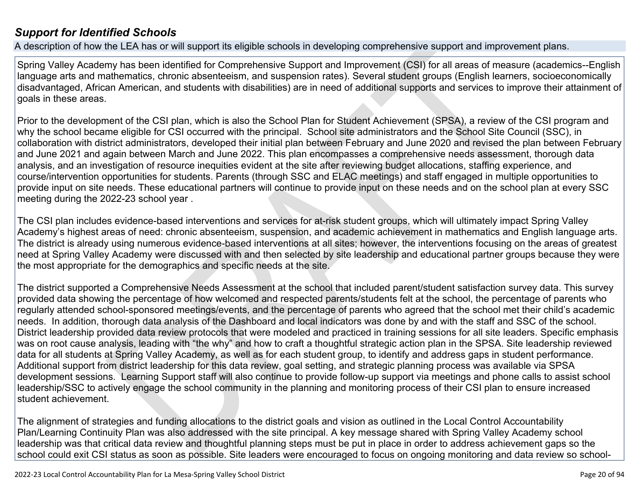### *[Support for Identified Schools](http://www.doc-tracking.com/screenshots/22LCAP/Instructions/22LCAPInstructions.htm#SupportforIdentifiedSchools)*

A description of how the LEA has or will support its eligible schools in developing comprehensive support and improvement plans.

Spring Valley Academy has been identified for Comprehensive Support and Improvement (CSI) for all areas of measure (academics--English language arts and mathematics, chronic absenteeism, and suspension rates). Several student groups (English learners, socioeconomically disadvantaged, African American, and students with disabilities) are in need of additional supports and services to improve their attainment of goals in these areas.

Prior to the development of the CSI plan, which is also the School Plan for Student Achievement (SPSA), a review of the CSI program and why the school became eligible for CSI occurred with the principal. School site administrators and the School Site Council (SSC), in collaboration with district administrators, developed their initial plan between February and June 2020 and revised the plan between February and June 2021 and again between March and June 2022. This plan encompasses a comprehensive needs assessment, thorough data analysis, and an investigation of resource inequities evident at the site after reviewing budget allocations, staffing experience, and course/intervention opportunities for students. Parents (through SSC and ELAC meetings) and staff engaged in multiple opportunities to provide input on site needs. These educational partners will continue to provide input on these needs and on the school plan at every SSC meeting during the 2022-23 school year .

The CSI plan includes evidence-based interventions and services for at-risk student groups, which will ultimately impact Spring Valley Academy's highest areas of need: chronic absenteeism, suspension, and academic achievement in mathematics and English language arts. The district is already using numerous evidence-based interventions at all sites; however, the interventions focusing on the areas of greatest need at Spring Valley Academy were discussed with and then selected by site leadership and educational partner groups because they were the most appropriate for the demographics and specific needs at the site.

The district supported a Comprehensive Needs Assessment at the school that included parent/student satisfaction survey data. This survey provided data showing the percentage of how welcomed and respected parents/students felt at the school, the percentage of parents who regularly attended school-sponsored meetings/events, and the percentage of parents who agreed that the school met their child's academic needs. In addition, thorough data analysis of the Dashboard and local indicators was done by and with the staff and SSC of the school. District leadership provided data review protocols that were modeled and practiced in training sessions for all site leaders. Specific emphasis was on root cause analysis, leading with "the why" and how to craft a thoughtful strategic action plan in the SPSA. Site leadership reviewed data for all students at Spring Valley Academy, as well as for each student group, to identify and address gaps in student performance. Additional support from district leadership for this data review, goal setting, and strategic planning process was available via SPSA development sessions. Learning Support staff will also continue to provide follow-up support via meetings and phone calls to assist school leadership/SSC to actively engage the school community in the planning and monitoring process of their CSI plan to ensure increased student achievement.

The alignment of strategies and funding allocations to the district goals and vision as outlined in the Local Control Accountability Plan/Learning Continuity Plan was also addressed with the site principal. A key message shared with Spring Valley Academy school leadership was that critical data review and thoughtful planning steps must be put in place in order to address achievement gaps so the school could exit CSI status as soon as possible. Site leaders were encouraged to focus on ongoing monitoring and data review so school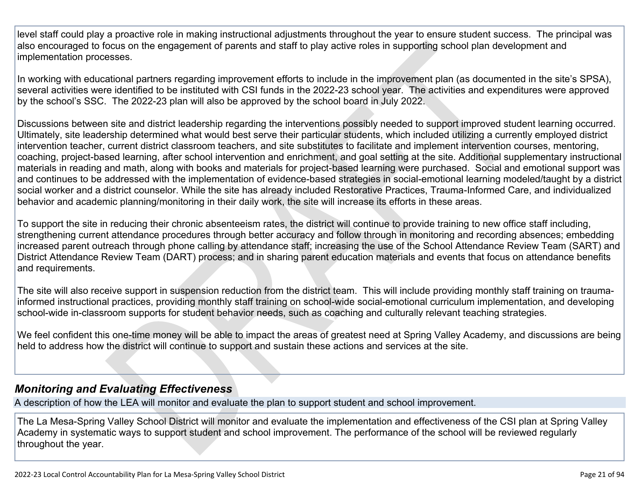level staff could play a proactive role in making instructional adjustments throughout the year to ensure student success. The principal was also encouraged to focus on the engagement of parents and staff to play active roles in supporting school plan development and implementation processes.

In working with educational partners regarding improvement efforts to include in the improvement plan (as documented in the site's SPSA), several activities were identified to be instituted with CSI funds in the 2022-23 school year. The activities and expenditures were approved by the school's SSC. The 2022-23 plan will also be approved by the school board in July 2022.

Discussions between site and district leadership regarding the interventions possibly needed to support improved student learning occurred. Ultimately, site leadership determined what would best serve their particular students, which included utilizing a currently employed district intervention teacher, current district classroom teachers, and site substitutes to facilitate and implement intervention courses, mentoring, coaching, project-based learning, after school intervention and enrichment, and goal setting at the site. Additional supplementary instructional materials in reading and math, along with books and materials for project-based learning were purchased. Social and emotional support was and continues to be addressed with the implementation of evidence-based strategies in social-emotional learning modeled/taught by a district social worker and a district counselor. While the site has already included Restorative Practices, Trauma-Informed Care, and individualized behavior and academic planning/monitoring in their daily work, the site will increase its efforts in these areas.

To support the site in reducing their chronic absenteeism rates, the district will continue to provide training to new office staff including, strengthening current attendance procedures through better accuracy and follow through in monitoring and recording absences; embedding increased parent outreach through phone calling by attendance staff; increasing the use of the School Attendance Review Team (SART) and District Attendance Review Team (DART) process; and in sharing parent education materials and events that focus on attendance benefits and requirements.

The site will also receive support in suspension reduction from the district team. This will include providing monthly staff training on traumainformed instructional practices, providing monthly staff training on school-wide social-emotional curriculum implementation, and developing school-wide in-classroom supports for student behavior needs, such as coaching and culturally relevant teaching strategies.

We feel confident this one-time money will be able to impact the areas of greatest need at Spring Valley Academy, and discussions are being held to address how the district will continue to support and sustain these actions and services at the site.

### *[Monitoring and Evaluating Effectiveness](http://www.doc-tracking.com/screenshots/22LCAP/Instructions/22LCAPInstructions.htm#MonitoringandEvaluatingEffectiveness)*

A description of how the LEA will monitor and evaluate the plan to support student and school improvement.

The La Mesa-Spring Valley School District will monitor and evaluate the implementation and effectiveness of the CSI plan at Spring Valley Academy in systematic ways to support student and school improvement. The performance of the school will be reviewed regularly throughout the year.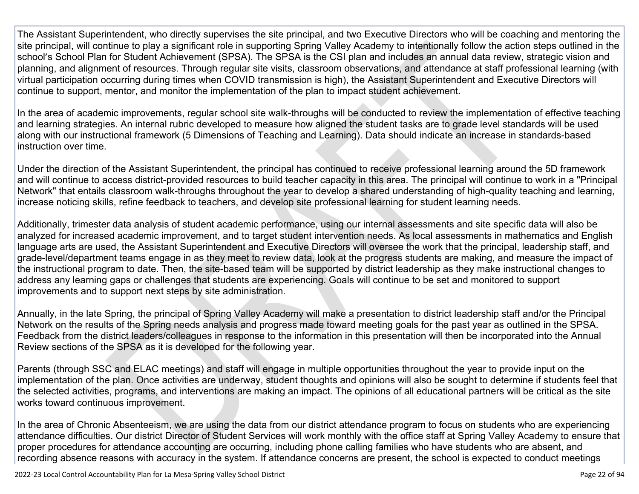The Assistant Superintendent, who directly supervises the site principal, and two Executive Directors who will be coaching and mentoring the site principal, will continue to play a significant role in supporting Spring Valley Academy to intentionally follow the action steps outlined in the school's School Plan for Student Achievement (SPSA). The SPSA is the CSI plan and includes an annual data review, strategic vision and planning, and alignment of resources. Through regular site visits, classroom observations, and attendance at staff professional learning (with virtual participation occurring during times when COVID transmission is high), the Assistant Superintendent and Executive Directors will continue to support, mentor, and monitor the implementation of the plan to impact student achievement.

In the area of academic improvements, regular school site walk-throughs will be conducted to review the implementation of effective teaching and learning strategies. An internal rubric developed to measure how aligned the student tasks are to grade level standards will be used along with our instructional framework (5 Dimensions of Teaching and Learning). Data should indicate an increase in standards-based instruction over time.

Under the direction of the Assistant Superintendent, the principal has continued to receive professional learning around the 5D framework and will continue to access district-provided resources to build teacher capacity in this area. The principal will continue to work in a "Principal Network" that entails classroom walk-throughs throughout the year to develop a shared understanding of high-quality teaching and learning, increase noticing skills, refine feedback to teachers, and develop site professional learning for student learning needs.

Additionally, trimester data analysis of student academic performance, using our internal assessments and site specific data will also be analyzed for increased academic improvement, and to target student intervention needs. As local assessments in mathematics and English language arts are used, the Assistant Superintendent and Executive Directors will oversee the work that the principal, leadership staff, and grade-level/department teams engage in as they meet to review data, look at the progress students are making, and measure the impact of the instructional program to date. Then, the site-based team will be supported by district leadership as they make instructional changes to address any learning gaps or challenges that students are experiencing. Goals will continue to be set and monitored to support improvements and to support next steps by site administration.

Annually, in the late Spring, the principal of Spring Valley Academy will make a presentation to district leadership staff and/or the Principal Network on the results of the Spring needs analysis and progress made toward meeting goals for the past year as outlined in the SPSA. Feedback from the district leaders/colleagues in response to the information in this presentation will then be incorporated into the Annual Review sections of the SPSA as it is developed for the following year.

Parents (through SSC and ELAC meetings) and staff will engage in multiple opportunities throughout the year to provide input on the implementation of the plan. Once activities are underway, student thoughts and opinions will also be sought to determine if students feel that the selected activities, programs, and interventions are making an impact. The opinions of all educational partners will be critical as the site works toward continuous improvement.

In the area of Chronic Absenteeism, we are using the data from our district attendance program to focus on students who are experiencing attendance difficulties. Our district Director of Student Services will work monthly with the office staff at Spring Valley Academy to ensure that proper procedures for attendance accounting are occurring, including phone calling families who have students who are absent, and recording absence reasons with accuracy in the system. If attendance concerns are present, the school is expected to conduct meetings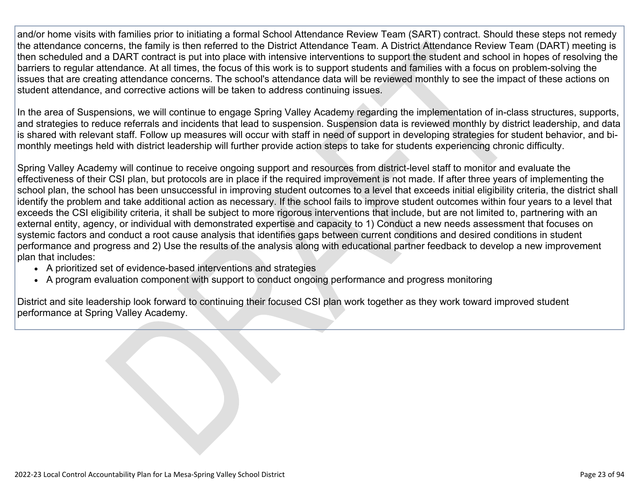and/or home visits with families prior to initiating a formal School Attendance Review Team (SART) contract. Should these steps not remedy the attendance concerns, the family is then referred to the District Attendance Team. A District Attendance Review Team (DART) meeting is then scheduled and a DART contract is put into place with intensive interventions to support the student and school in hopes of resolving the barriers to regular attendance. At all times, the focus of this work is to support students and families with a focus on problem-solving the issues that are creating attendance concerns. The school's attendance data will be reviewed monthly to see the impact of these actions on student attendance, and corrective actions will be taken to address continuing issues.

In the area of Suspensions, we will continue to engage Spring Valley Academy regarding the implementation of in-class structures, supports, and strategies to reduce referrals and incidents that lead to suspension. Suspension data is reviewed monthly by district leadership, and data is shared with relevant staff. Follow up measures will occur with staff in need of support in developing strategies for student behavior, and bimonthly meetings held with district leadership will further provide action steps to take for students experiencing chronic difficulty.

Spring Valley Academy will continue to receive ongoing support and resources from district-level staff to monitor and evaluate the effectiveness of their CSI plan, but protocols are in place if the required improvement is not made. If after three years of implementing the school plan, the school has been unsuccessful in improving student outcomes to a level that exceeds initial eligibility criteria, the district shall identify the problem and take additional action as necessary. If the school fails to improve student outcomes within four years to a level that exceeds the CSI eligibility criteria, it shall be subject to more rigorous interventions that include, but are not limited to, partnering with an external entity, agency, or individual with demonstrated expertise and capacity to 1) Conduct a new needs assessment that focuses on systemic factors and conduct a root cause analysis that identifies gaps between current conditions and desired conditions in student performance and progress and 2) Use the results of the analysis along with educational partner feedback to develop a new improvement plan that includes:

- A prioritized set of evidence-based interventions and strategies
- A program evaluation component with support to conduct ongoing performance and progress monitoring

District and site leadership look forward to continuing their focused CSI plan work together as they work toward improved student performance at Spring Valley Academy.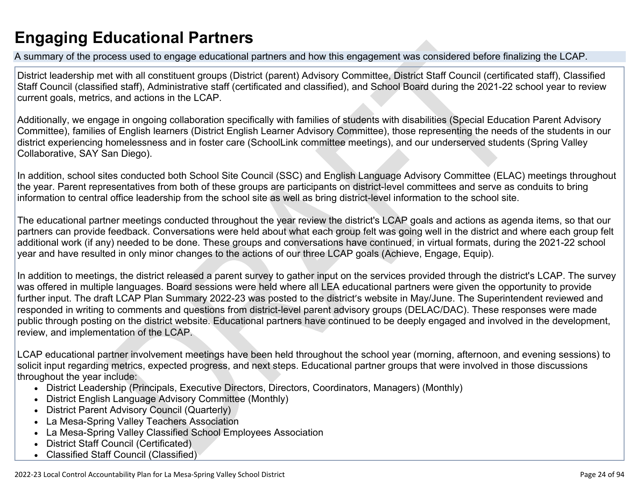# **Engaging Educational Partners**

A summary of the process used to engage educational partners and how this engagement was considered before finalizing the LCAP.

District leadership met with all constituent groups (District (parent) Advisory Committee, District Staff Council (certificated staff), Classified Staff Council (classified staff), Administrative staff (certificated and classified), and School Board during the 2021-22 school year to review current goals, metrics, and actions in the LCAP.

Additionally, we engage in ongoing collaboration specifically with families of students with disabilities (Special Education Parent Advisory Committee), families of English learners (District English Learner Advisory Committee), those representing the needs of the students in our district experiencing homelessness and in foster care (SchoolLink committee meetings), and our underserved students (Spring Valley Collaborative, SAY San Diego).

In addition, school sites conducted both School Site Council (SSC) and English Language Advisory Committee (ELAC) meetings throughout the year. Parent representatives from both of these groups are participants on district-level committees and serve as conduits to bring information to central office leadership from the school site as well as bring district-level information to the school site.

The educational partner meetings conducted throughout the year review the district's LCAP goals and actions as agenda items, so that our partners can provide feedback. Conversations were held about what each group felt was going well in the district and where each group felt additional work (if any) needed to be done. These groups and conversations have continued, in virtual formats, during the 2021-22 school year and have resulted in only minor changes to the actions of our three LCAP goals (Achieve, Engage, Equip).

In addition to meetings, the district released a parent survey to gather input on the services provided through the district's LCAP. The survey was offered in multiple languages. Board sessions were held where all LEA educational partners were given the opportunity to provide further input. The draft LCAP Plan Summary 2022-23 was posted to the district's website in May/June. The Superintendent reviewed and responded in writing to comments and questions from district-level parent advisory groups (DELAC/DAC). These responses were made public through posting on the district website. Educational partners have continued to be deeply engaged and involved in the development, review, and implementation of the LCAP.

LCAP educational partner involvement meetings have been held throughout the school year (morning, afternoon, and evening sessions) to solicit input regarding metrics, expected progress, and next steps. Educational partner groups that were involved in those discussions throughout the year include:

- District Leadership (Principals, Executive Directors, Directors, Coordinators, Managers) (Monthly)
- District English Language Advisory Committee (Monthly)
- District Parent Advisory Council (Quarterly)
- La Mesa-Spring Valley Teachers Association
- La Mesa-Spring Valley Classified School Employees Association
- District Staff Council (Certificated)
- Classified Staff Council (Classified)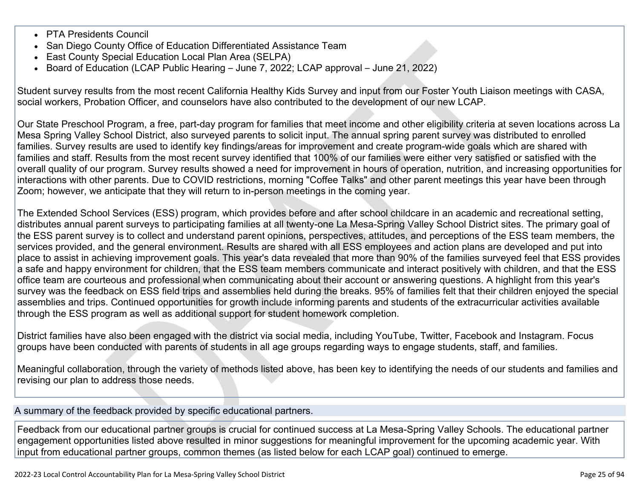- PTA Presidents Council
- San Diego County Office of Education Differentiated Assistance Team
- East County Special Education Local Plan Area (SELPA)
- Board of Education (LCAP Public Hearing June 7, 2022; LCAP approval June 21, 2022)

Student survey results from the most recent California Healthy Kids Survey and input from our Foster Youth Liaison meetings with CASA, social workers, Probation Officer, and counselors have also contributed to the development of our new LCAP.

Our State Preschool Program, a free, part-day program for families that meet income and other eligibility criteria at seven locations across La Mesa Spring Valley School District, also surveyed parents to solicit input. The annual spring parent survey was distributed to enrolled families. Survey results are used to identify key findings/areas for improvement and create program-wide goals which are shared with families and staff. Results from the most recent survey identified that 100% of our families were either very satisfied or satisfied with the overall quality of our program. Survey results showed a need for improvement in hours of operation, nutrition, and increasing opportunities for interactions with other parents. Due to COVID restrictions, morning "Coffee Talks" and other parent meetings this year have been through Zoom; however, we anticipate that they will return to in-person meetings in the coming year.

The Extended School Services (ESS) program, which provides before and after school childcare in an academic and recreational setting, distributes annual parent surveys to participating families at all twenty-one La Mesa-Spring Valley School District sites. The primary goal of the ESS parent survey is to collect and understand parent opinions, perspectives, attitudes, and perceptions of the ESS team members, the services provided, and the general environment. Results are shared with all ESS employees and action plans are developed and put into place to assist in achieving improvement goals. This year's data revealed that more than 90% of the families surveyed feel that ESS provides a safe and happy environment for children, that the ESS team members communicate and interact positively with children, and that the ESS office team are courteous and professional when communicating about their account or answering questions. A highlight from this year's survey was the feedback on ESS field trips and assemblies held during the breaks. 95% of families felt that their children enjoyed the special assemblies and trips. Continued opportunities for growth include informing parents and students of the extracurricular activities available through the ESS program as well as additional support for student homework completion.

District families have also been engaged with the district via social media, including YouTube, Twitter, Facebook and Instagram. Focus groups have been conducted with parents of students in all age groups regarding ways to engage students, staff, and families.

Meaningful collaboration, through the variety of methods listed above, has been key to identifying the needs of our students and families and revising our plan to address those needs.

A summary of the feedback provided by specific educational partners.

Feedback from our educational partner groups is crucial for continued success at La Mesa-Spring Valley Schools. The educational partner engagement opportunities listed above resulted in minor suggestions for meaningful improvement for the upcoming academic year. With input from educational partner groups, common themes (as listed below for each LCAP goal) continued to emerge.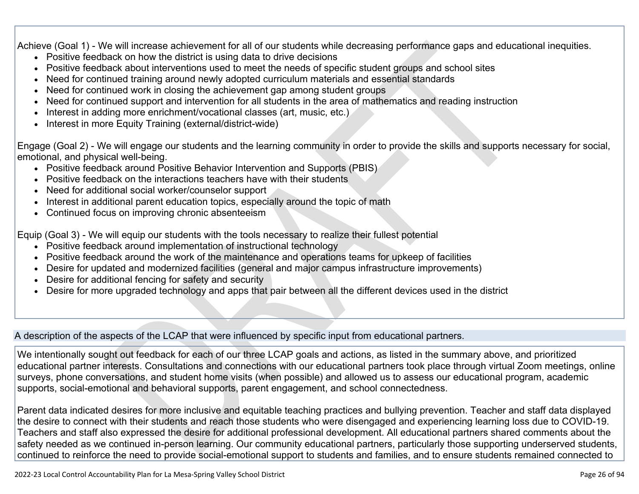Achieve (Goal 1) - We will increase achievement for all of our students while decreasing performance gaps and educational inequities.

- Positive feedback on how the district is using data to drive decisions
- Positive feedback about interventions used to meet the needs of specific student groups and school sites
- Need for continued training around newly adopted curriculum materials and essential standards
- Need for continued work in closing the achievement gap among student groups
- Need for continued support and intervention for all students in the area of mathematics and reading instruction
- Interest in adding more enrichment/vocational classes (art, music, etc.)
- Interest in more Equity Training (external/district-wide)

Engage (Goal 2) - We will engage our students and the learning community in order to provide the skills and supports necessary for social, emotional, and physical well-being.

- Positive feedback around Positive Behavior Intervention and Supports (PBIS)
- Positive feedback on the interactions teachers have with their students
- Need for additional social worker/counselor support
- Interest in additional parent education topics, especially around the topic of math
- Continued focus on improving chronic absenteeism

Equip (Goal 3) - We will equip our students with the tools necessary to realize their fullest potential

- Positive feedback around implementation of instructional technology
- Positive feedback around the work of the maintenance and operations teams for upkeep of facilities
- Desire for updated and modernized facilities (general and major campus infrastructure improvements)
- Desire for additional fencing for safety and security
- Desire for more upgraded technology and apps that pair between all the different devices used in the district

A description of the aspects of the LCAP that were influenced by specific input from educational partners.

We intentionally sought out feedback for each of our three LCAP goals and actions, as listed in the summary above, and prioritized educational partner interests. Consultations and connections with our educational partners took place through virtual Zoom meetings, online surveys, phone conversations, and student home visits (when possible) and allowed us to assess our educational program, academic supports, social-emotional and behavioral supports, parent engagement, and school connectedness.

Parent data indicated desires for more inclusive and equitable teaching practices and bullying prevention. Teacher and staff data displayed the desire to connect with their students and reach those students who were disengaged and experiencing learning loss due to COVID-19. Teachers and staff also expressed the desire for additional professional development. All educational partners shared comments about the safety needed as we continued in-person learning. Our community educational partners, particularly those supporting underserved students, continued to reinforce the need to provide social-emotional support to students and families, and to ensure students remained connected to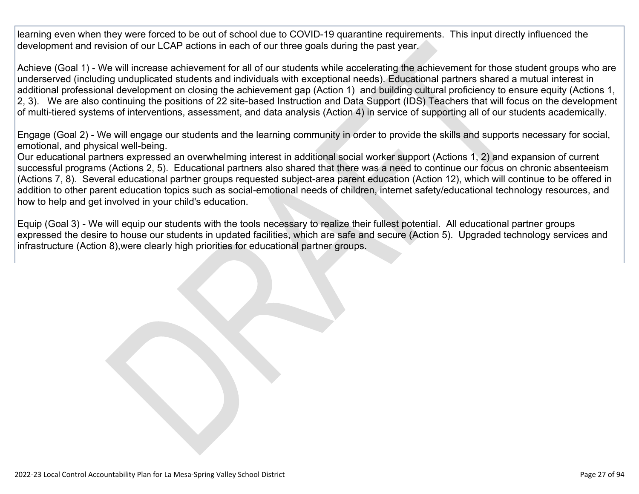learning even when they were forced to be out of school due to COVID-19 quarantine requirements. This input directly influenced the development and revision of our LCAP actions in each of our three goals during the past year.

Achieve (Goal 1) - We will increase achievement for all of our students while accelerating the achievement for those student groups who are underserved (including unduplicated students and individuals with exceptional needs). Educational partners shared a mutual interest in additional professional development on closing the achievement gap (Action 1) and building cultural proficiency to ensure equity (Actions 1, 2, 3). We are also continuing the positions of 22 site-based Instruction and Data Support (IDS) Teachers that will focus on the development of multi-tiered systems of interventions, assessment, and data analysis (Action 4) in service of supporting all of our students academically.

Engage (Goal 2) - We will engage our students and the learning community in order to provide the skills and supports necessary for social, emotional, and physical well-being.

Our educational partners expressed an overwhelming interest in additional social worker support (Actions 1, 2) and expansion of current successful programs (Actions 2, 5). Educational partners also shared that there was a need to continue our focus on chronic absenteeism (Actions 7, 8). Several educational partner groups requested subject-area parent education (Action 12), which will continue to be offered in addition to other parent education topics such as social-emotional needs of children, internet safety/educational technology resources, and how to help and get involved in your child's education.

Equip (Goal 3) - We will equip our students with the tools necessary to realize their fullest potential. All educational partner groups expressed the desire to house our students in updated facilities, which are safe and secure (Action 5). Upgraded technology services and infrastructure (Action 8),were clearly high priorities for educational partner groups.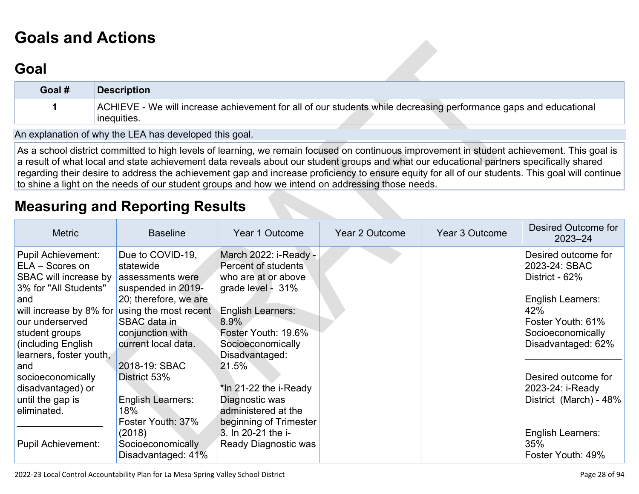# **[Goals and Actions](http://www.doc-tracking.com/screenshots/22LCAP/Instructions/22LCAPInstructions.htm#GoalsandActions)**

## **[Goal](http://www.doc-tracking.com/screenshots/22LCAP/Instructions/22LCAPInstructions.htm#goalDescription)**

| Goal # | Description                                                                                                                      |
|--------|----------------------------------------------------------------------------------------------------------------------------------|
|        | ACHIEVE - We will increase achievement for all of our students while decreasing performance gaps and educational<br>'inequities. |

An explanation of why the LEA has developed this goal.

As a school district committed to high levels of learning, we remain focused on continuous improvement in student achievement. This goal is a result of what local and state achievement data reveals about our student groups and what our educational partners specifically shared regarding their desire to address the achievement gap and increase proficiency to ensure equity for all of our students. This goal will continue to shine a light on the needs of our student groups and how we intend on addressing those needs.

## **[Measuring and Reporting Results](http://www.doc-tracking.com/screenshots/22LCAP/Instructions/22LCAPInstructions.htm#MeasuringandReportingResults)**

| <b>Metric</b>             | <b>Baseline</b>          | Year 1 Outcome           | Year 2 Outcome | <b>Year 3 Outcome</b> | Desired Outcome for<br>$2023 - 24$ |
|---------------------------|--------------------------|--------------------------|----------------|-----------------------|------------------------------------|
| Pupil Achievement:        | Due to COVID-19,         | March 2022: i-Ready -    |                |                       | Desired outcome for                |
| ELA - Scores on           | statewide                | Percent of students      |                |                       | 2023-24: SBAC                      |
| SBAC will increase by     | assessments were         | who are at or above      |                |                       | District - 62%                     |
| 3% for "All Students"     | suspended in 2019-       | grade level - 31%        |                |                       |                                    |
| and                       | 20; therefore, we are    |                          |                |                       | <b>English Learners:</b>           |
| will increase by 8% for   | using the most recent    | <b>English Learners:</b> |                |                       | 42%                                |
| our underserved           | SBAC data in             | 8.9%                     |                |                       | Foster Youth: 61%                  |
| student groups            | conjunction with         | Foster Youth: 19.6%      |                |                       | Socioeconomically                  |
| (including English        | current local data.      | Socioeconomically        |                |                       | Disadvantaged: 62%                 |
| learners, foster youth,   |                          | Disadvantaged:           |                |                       |                                    |
| and                       | 2018-19: SBAC            | 21.5%                    |                |                       |                                    |
| socioeconomically         | District 53%             |                          |                |                       | Desired outcome for                |
| disadvantaged) or         |                          | *In 21-22 the i-Ready    |                |                       | 2023-24: i-Ready                   |
| until the gap is          | <b>English Learners:</b> | Diagnostic was           |                |                       | District (March) - 48%             |
| eliminated.               | 18%                      | administered at the      |                |                       |                                    |
|                           | Foster Youth: 37%        | beginning of Trimester   |                |                       |                                    |
|                           | (2018)                   | 3. In 20-21 the i-       |                |                       | <b>English Learners:</b>           |
| <b>Pupil Achievement:</b> | Socioeconomically        | Ready Diagnostic was     |                |                       | 35%                                |
|                           | Disadvantaged: 41%       |                          |                |                       | Foster Youth: 49%                  |

2022-23 Local Control Accountability Plan for La Mesa-Spring Valley School District **Page 28 of 94** and 2022-23 Local Control Accountability Plan for La Mesa-Spring Valley School District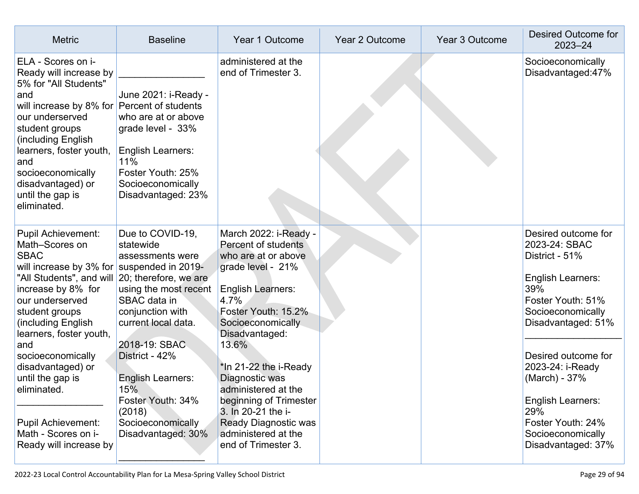| <b>Metric</b>                                                                                                                                                                                                                                                                                                                                                                                                      | <b>Baseline</b>                                                                                                                                                                                                                                                                                                | Year 1 Outcome                                                                                                                                                                                                                                                                                                                                                                                     | Year 2 Outcome | Year 3 Outcome | <b>Desired Outcome for</b><br>$2023 - 24$                                                                                                                                                                                                                                                                         |
|--------------------------------------------------------------------------------------------------------------------------------------------------------------------------------------------------------------------------------------------------------------------------------------------------------------------------------------------------------------------------------------------------------------------|----------------------------------------------------------------------------------------------------------------------------------------------------------------------------------------------------------------------------------------------------------------------------------------------------------------|----------------------------------------------------------------------------------------------------------------------------------------------------------------------------------------------------------------------------------------------------------------------------------------------------------------------------------------------------------------------------------------------------|----------------|----------------|-------------------------------------------------------------------------------------------------------------------------------------------------------------------------------------------------------------------------------------------------------------------------------------------------------------------|
| ELA - Scores on i-<br>Ready will increase by<br>5% for "All Students"<br>and<br>will increase by 8% for<br>our underserved<br>student groups<br>(including English<br>learners, foster youth,<br>and<br>socioeconomically<br>disadvantaged) or<br>until the gap is<br>eliminated.                                                                                                                                  | June 2021: i-Ready -<br>Percent of students<br>who are at or above<br>grade level - 33%<br><b>English Learners:</b><br>11%<br>Foster Youth: 25%<br>Socioeconomically<br>Disadvantaged: 23%                                                                                                                     | administered at the<br>end of Trimester 3.                                                                                                                                                                                                                                                                                                                                                         |                |                | Socioeconomically<br>Disadvantaged:47%                                                                                                                                                                                                                                                                            |
| <b>Pupil Achievement:</b><br>Math-Scores on<br><b>SBAC</b><br>will increase by 3% for suspended in 2019-<br>"All Students", and will<br>increase by 8% for<br>our underserved<br>student groups<br>(including English<br>learners, foster youth,<br>and<br>socioeconomically<br>disadvantaged) or<br>until the gap is<br>eliminated.<br><b>Pupil Achievement:</b><br>Math - Scores on i-<br>Ready will increase by | Due to COVID-19,<br>statewide<br>assessments were<br>20; therefore, we are<br>using the most recent<br>SBAC data in<br>conjunction with<br>current local data.<br>2018-19: SBAC<br>District - 42%<br><b>English Learners:</b><br>15%<br>Foster Youth: 34%<br>(2018)<br>Socioeconomically<br>Disadvantaged: 30% | March 2022: i-Ready -<br>Percent of students<br>who are at or above<br>grade level - 21%<br><b>English Learners:</b><br>4.7%<br>Foster Youth: 15.2%<br>Socioeconomically<br>Disadvantaged:<br>13.6%<br>*In 21-22 the i-Ready<br>Diagnostic was<br>administered at the<br>beginning of Trimester<br>3. In 20-21 the i-<br><b>Ready Diagnostic was</b><br>administered at the<br>end of Trimester 3. |                |                | Desired outcome for<br>2023-24: SBAC<br>District - 51%<br><b>English Learners:</b><br>39%<br>Foster Youth: 51%<br>Socioeconomically<br>Disadvantaged: 51%<br>Desired outcome for<br>2023-24: i-Ready<br>(March) - 37%<br>English Learners:<br>29%<br>Foster Youth: 24%<br>Socioeconomically<br>Disadvantaged: 37% |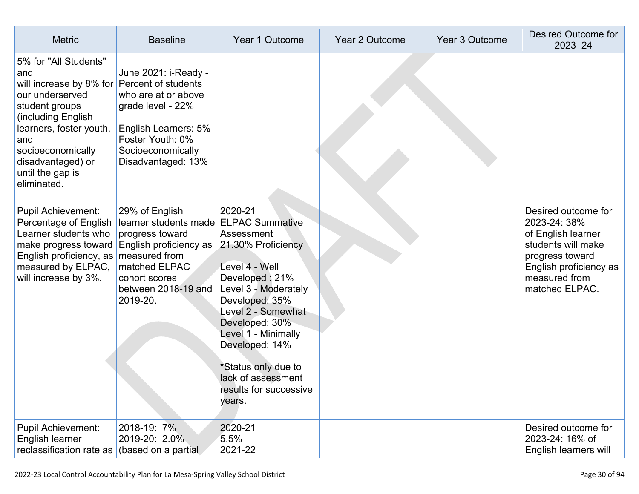| <b>Metric</b>                                                                                                                                                                                                                     | <b>Baseline</b>                                                                                                                                                                            | Year 1 Outcome                                                                                                                                                                                                                                                                              | Year 2 Outcome | Year 3 Outcome | <b>Desired Outcome for</b><br>$2023 - 24$                                                                                                                       |
|-----------------------------------------------------------------------------------------------------------------------------------------------------------------------------------------------------------------------------------|--------------------------------------------------------------------------------------------------------------------------------------------------------------------------------------------|---------------------------------------------------------------------------------------------------------------------------------------------------------------------------------------------------------------------------------------------------------------------------------------------|----------------|----------------|-----------------------------------------------------------------------------------------------------------------------------------------------------------------|
| 5% for "All Students"<br>and<br>will increase by 8% for<br>our underserved<br>student groups<br>(including English<br>learners, foster youth,<br>and<br>socioeconomically<br>disadvantaged) or<br>until the gap is<br>eliminated. | June 2021: i-Ready -<br>Percent of students<br>who are at or above<br>grade level - 22%<br>English Learners: 5%<br>Foster Youth: 0%<br>Socioeconomically<br>Disadvantaged: 13%             |                                                                                                                                                                                                                                                                                             |                |                |                                                                                                                                                                 |
| <b>Pupil Achievement:</b><br>Percentage of English<br>Learner students who<br>make progress toward<br>English proficiency, as<br>measured by ELPAC,<br>will increase by 3%.                                                       | 29% of English<br>learner students made ELPAC Summative<br>progress toward<br>English proficiency as<br>measured from<br>matched ELPAC<br>cohort scores<br>between 2018-19 and<br>2019-20. | 2020-21<br>Assessment<br>21.30% Proficiency<br>Level 4 - Well<br>Developed: 21%<br>Level 3 - Moderately<br>Developed: 35%<br>Level 2 - Somewhat<br>Developed: 30%<br>Level 1 - Minimally<br>Developed: 14%<br>*Status only due to<br>lack of assessment<br>results for successive<br>years. |                |                | Desired outcome for<br>2023-24: 38%<br>of English learner<br>students will make<br>progress toward<br>English proficiency as<br>measured from<br>matched ELPAC. |
| <b>Pupil Achievement:</b><br>English learner<br>reclassification rate as                                                                                                                                                          | 2018-19: 7%<br>2019-20: 2.0%<br>(based on a partial                                                                                                                                        | 2020-21<br>5.5%<br>2021-22                                                                                                                                                                                                                                                                  |                |                | Desired outcome for<br>2023-24: 16% of<br>English learners will                                                                                                 |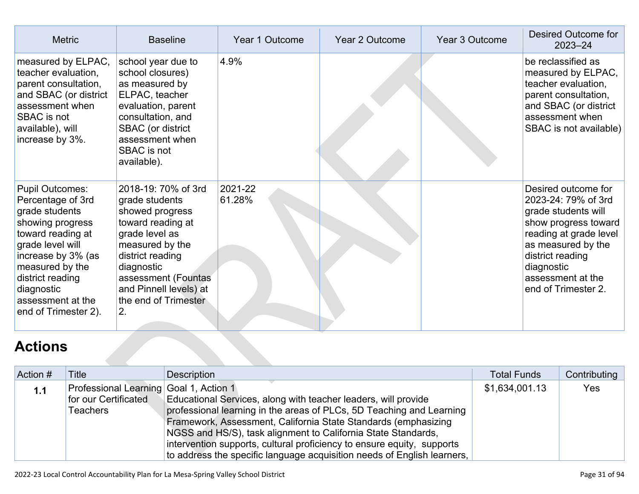| <b>Metric</b>                                                                                                                                                                                                                                      | <b>Baseline</b>                                                                                                                                                                                                                     | Year 1 Outcome    | Year 2 Outcome | Year 3 Outcome | Desired Outcome for<br>$2023 - 24$                                                                                                                                                                                      |
|----------------------------------------------------------------------------------------------------------------------------------------------------------------------------------------------------------------------------------------------------|-------------------------------------------------------------------------------------------------------------------------------------------------------------------------------------------------------------------------------------|-------------------|----------------|----------------|-------------------------------------------------------------------------------------------------------------------------------------------------------------------------------------------------------------------------|
| measured by ELPAC,<br>teacher evaluation,<br>parent consultation,<br>and SBAC (or district<br>assessment when<br>SBAC is not<br>available), will<br>increase by 3%.                                                                                | school year due to<br>school closures)<br>as measured by<br>ELPAC, teacher<br>evaluation, parent<br>consultation, and<br>SBAC (or district<br>assessment when<br><b>SBAC</b> is not<br>available).                                  | 4.9%              |                |                | be reclassified as<br>measured by ELPAC,<br>teacher evaluation,<br>parent consultation,<br>and SBAC (or district<br>assessment when<br>SBAC is not available)                                                           |
| <b>Pupil Outcomes:</b><br>Percentage of 3rd<br>grade students<br>showing progress<br>toward reading at<br>grade level will<br>increase by 3% (as<br>measured by the<br>district reading<br>diagnostic<br>assessment at the<br>end of Trimester 2). | 2018-19: 70% of 3rd<br>grade students<br>showed progress<br>toward reading at<br>grade level as<br>measured by the<br>district reading<br>diagnostic<br>assessment (Fountas<br>and Pinnell levels) at<br>the end of Trimester<br>2. | 2021-22<br>61.28% |                |                | Desired outcome for<br>2023-24: 79% of 3rd<br>grade students will<br>show progress toward<br>reading at grade level<br>as measured by the<br>district reading<br>diagnostic<br>assessment at the<br>end of Trimester 2. |

# **[Actions](http://www.doc-tracking.com/screenshots/22LCAP/Instructions/22LCAPInstructions.htm#actions)**

| Action # | Title                                  | <b>Description</b>                                                      | <b>Total Funds</b> | Contributing |
|----------|----------------------------------------|-------------------------------------------------------------------------|--------------------|--------------|
| 1.1      | Professional Learning Goal 1, Action 1 |                                                                         | \$1,634,001.13     | Yes          |
|          | for our Certificated                   | Educational Services, along with teacher leaders, will provide          |                    |              |
|          | <b>Teachers</b>                        | professional learning in the areas of PLCs, 5D Teaching and Learning    |                    |              |
|          |                                        | Framework, Assessment, California State Standards (emphasizing          |                    |              |
|          |                                        | NGSS and HS/S), task alignment to California State Standards,           |                    |              |
|          |                                        | intervention supports, cultural proficiency to ensure equity, supports  |                    |              |
|          |                                        | to address the specific language acquisition needs of English learners, |                    |              |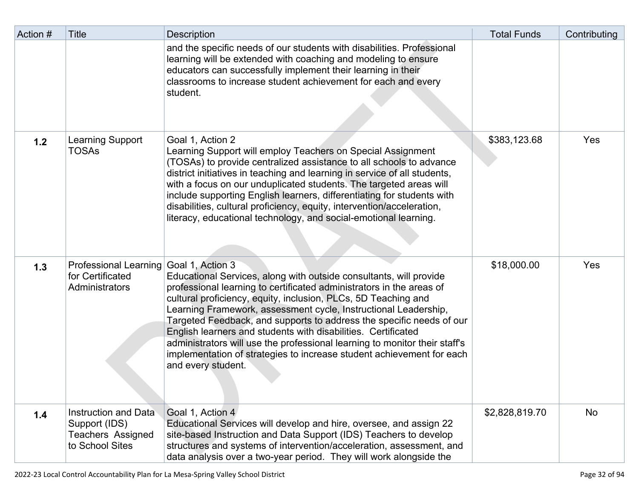| Action # | <b>Title</b>                                                                                | <b>Description</b>                                                                                                                                                                                                                                                                                                                                                                                                                                                                                                                                                                                    | <b>Total Funds</b> | Contributing |
|----------|---------------------------------------------------------------------------------------------|-------------------------------------------------------------------------------------------------------------------------------------------------------------------------------------------------------------------------------------------------------------------------------------------------------------------------------------------------------------------------------------------------------------------------------------------------------------------------------------------------------------------------------------------------------------------------------------------------------|--------------------|--------------|
|          |                                                                                             | and the specific needs of our students with disabilities. Professional<br>learning will be extended with coaching and modeling to ensure<br>educators can successfully implement their learning in their<br>classrooms to increase student achievement for each and every<br>student.                                                                                                                                                                                                                                                                                                                 |                    |              |
| 1.2      | Learning Support<br><b>TOSAs</b>                                                            | Goal 1, Action 2<br>Learning Support will employ Teachers on Special Assignment<br>(TOSAs) to provide centralized assistance to all schools to advance<br>district initiatives in teaching and learning in service of all students,<br>with a focus on our unduplicated students. The targeted areas will<br>include supporting English learners, differentiating for students with<br>disabilities, cultural proficiency, equity, intervention/acceleration,<br>literacy, educational technology, and social-emotional learning.                                                                     | \$383,123.68       | Yes          |
| 1.3      | Professional Learning Goal 1, Action 3<br>for Certificated<br><b>Administrators</b>         | Educational Services, along with outside consultants, will provide<br>professional learning to certificated administrators in the areas of<br>cultural proficiency, equity, inclusion, PLCs, 5D Teaching and<br>Learning Framework, assessment cycle, Instructional Leadership,<br>Targeted Feedback, and supports to address the specific needs of our<br>English learners and students with disabilities. Certificated<br>administrators will use the professional learning to monitor their staff's<br>implementation of strategies to increase student achievement for each<br>and every student. | \$18,000.00        | Yes          |
| 1.4      | <b>Instruction and Data</b><br>Support (IDS)<br><b>Teachers Assigned</b><br>to School Sites | Goal 1, Action 4<br>Educational Services will develop and hire, oversee, and assign 22<br>site-based Instruction and Data Support (IDS) Teachers to develop<br>structures and systems of intervention/acceleration, assessment, and<br>data analysis over a two-year period. They will work alongside the                                                                                                                                                                                                                                                                                             | \$2,828,819.70     | No           |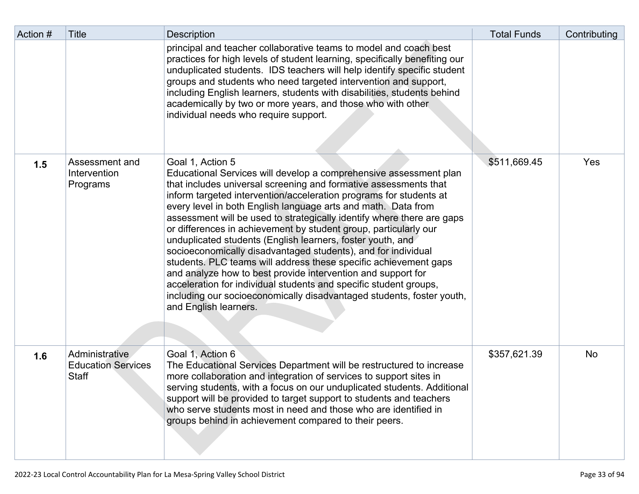| Action # | Title                                                       | <b>Description</b>                                                                                                                                                                                                                                                                                                                                                                                                                                                                                                                                                                                                                                                                                                                                                                                                                                                                       | <b>Total Funds</b> | Contributing |
|----------|-------------------------------------------------------------|------------------------------------------------------------------------------------------------------------------------------------------------------------------------------------------------------------------------------------------------------------------------------------------------------------------------------------------------------------------------------------------------------------------------------------------------------------------------------------------------------------------------------------------------------------------------------------------------------------------------------------------------------------------------------------------------------------------------------------------------------------------------------------------------------------------------------------------------------------------------------------------|--------------------|--------------|
|          |                                                             | principal and teacher collaborative teams to model and coach best<br>practices for high levels of student learning, specifically benefiting our<br>unduplicated students. IDS teachers will help identify specific student<br>groups and students who need targeted intervention and support,<br>including English learners, students with disabilities, students behind<br>academically by two or more years, and those who with other<br>individual needs who require support.                                                                                                                                                                                                                                                                                                                                                                                                         |                    |              |
| 1.5      | Assessment and<br>Intervention<br>Programs                  | Goal 1, Action 5<br>Educational Services will develop a comprehensive assessment plan<br>that includes universal screening and formative assessments that<br>inform targeted intervention/acceleration programs for students at<br>every level in both English language arts and math. Data from<br>assessment will be used to strategically identify where there are gaps<br>or differences in achievement by student group, particularly our<br>unduplicated students (English learners, foster youth, and<br>socioeconomically disadvantaged students), and for individual<br>students. PLC teams will address these specific achievement gaps<br>and analyze how to best provide intervention and support for<br>acceleration for individual students and specific student groups,<br>including our socioeconomically disadvantaged students, foster youth,<br>and English learners. | \$511,669.45       | Yes          |
| 1.6      | Administrative<br><b>Education Services</b><br><b>Staff</b> | Goal 1, Action 6<br>The Educational Services Department will be restructured to increase<br>more collaboration and integration of services to support sites in<br>serving students, with a focus on our unduplicated students. Additional<br>support will be provided to target support to students and teachers<br>who serve students most in need and those who are identified in<br>groups behind in achievement compared to their peers.                                                                                                                                                                                                                                                                                                                                                                                                                                             | \$357,621.39       | No           |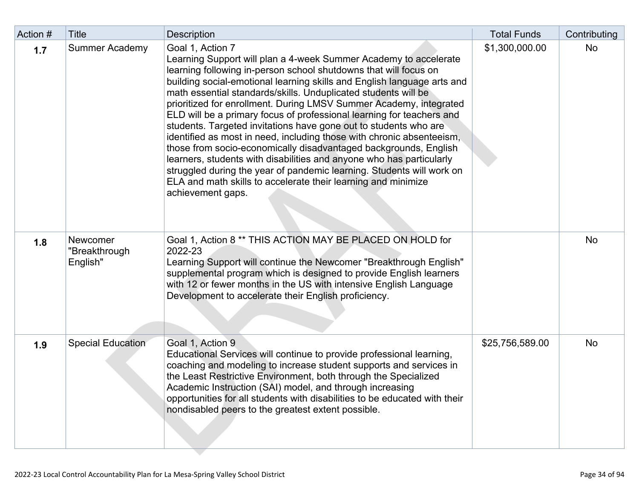| Action # | <b>Title</b>                          | <b>Description</b>                                                                                                                                                                                                                                                                                                                                                                                                                                                                                                                                                                                                                                                                                                                                                                                                                                                                                           | <b>Total Funds</b> | Contributing |
|----------|---------------------------------------|--------------------------------------------------------------------------------------------------------------------------------------------------------------------------------------------------------------------------------------------------------------------------------------------------------------------------------------------------------------------------------------------------------------------------------------------------------------------------------------------------------------------------------------------------------------------------------------------------------------------------------------------------------------------------------------------------------------------------------------------------------------------------------------------------------------------------------------------------------------------------------------------------------------|--------------------|--------------|
| 1.7      | <b>Summer Academy</b>                 | Goal 1, Action 7<br>Learning Support will plan a 4-week Summer Academy to accelerate<br>learning following in-person school shutdowns that will focus on<br>building social-emotional learning skills and English language arts and<br>math essential standards/skills. Unduplicated students will be<br>prioritized for enrollment. During LMSV Summer Academy, integrated<br>ELD will be a primary focus of professional learning for teachers and<br>students. Targeted invitations have gone out to students who are<br>identified as most in need, including those with chronic absenteeism,<br>those from socio-economically disadvantaged backgrounds, English<br>learners, students with disabilities and anyone who has particularly<br>struggled during the year of pandemic learning. Students will work on<br>ELA and math skills to accelerate their learning and minimize<br>achievement gaps. | \$1,300,000.00     | No           |
| 1.8      | Newcomer<br>"Breakthrough<br>English" | Goal 1, Action 8 ** THIS ACTION MAY BE PLACED ON HOLD for<br>2022-23<br>Learning Support will continue the Newcomer "Breakthrough English"<br>supplemental program which is designed to provide English learners<br>with 12 or fewer months in the US with intensive English Language<br>Development to accelerate their English proficiency.                                                                                                                                                                                                                                                                                                                                                                                                                                                                                                                                                                |                    | No           |
| 1.9      | <b>Special Education</b>              | Goal 1, Action 9<br>Educational Services will continue to provide professional learning,<br>coaching and modeling to increase student supports and services in<br>the Least Restrictive Environment, both through the Specialized<br>Academic Instruction (SAI) model, and through increasing<br>opportunities for all students with disabilities to be educated with their<br>nondisabled peers to the greatest extent possible.                                                                                                                                                                                                                                                                                                                                                                                                                                                                            | \$25,756,589.00    | No           |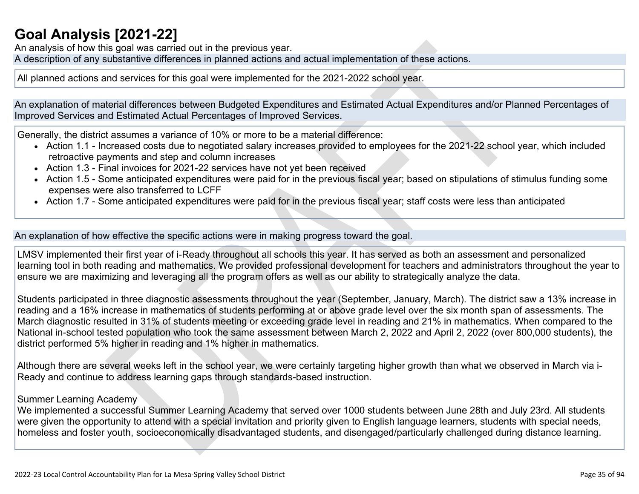## **[Goal Analysis \[2021-22\]](http://www.doc-tracking.com/screenshots/22LCAP/Instructions/22LCAPInstructions.htm#GoalAnalysis)**

An analysis of how this goal was carried out in the previous year.

A description of any substantive differences in planned actions and actual implementation of these actions.

All planned actions and services for this goal were implemented for the 2021-2022 school year.

An explanation of material differences between Budgeted Expenditures and Estimated Actual Expenditures and/or Planned Percentages of Improved Services and Estimated Actual Percentages of Improved Services.

Generally, the district assumes a variance of 10% or more to be a material difference:

- Action 1.1 Increased costs due to negotiated salary increases provided to employees for the 2021-22 school year, which included retroactive payments and step and column increases
- Action 1.3 Final invoices for 2021-22 services have not yet been received
- Action 1.5 Some anticipated expenditures were paid for in the previous fiscal year; based on stipulations of stimulus funding some expenses were also transferred to LCFF
- Action 1.7 Some anticipated expenditures were paid for in the previous fiscal year; staff costs were less than anticipated

An explanation of how effective the specific actions were in making progress toward the goal.

LMSV implemented their first year of i-Ready throughout all schools this year. It has served as both an assessment and personalized learning tool in both reading and mathematics. We provided professional development for teachers and administrators throughout the year to ensure we are maximizing and leveraging all the program offers as well as our ability to strategically analyze the data.

Students participated in three diagnostic assessments throughout the year (September, January, March). The district saw a 13% increase in reading and a 16% increase in mathematics of students performing at or above grade level over the six month span of assessments. The March diagnostic resulted in 31% of students meeting or exceeding grade level in reading and 21% in mathematics. When compared to the National in-school tested population who took the same assessment between March 2, 2022 and April 2, 2022 (over 800,000 students), the district performed 5% higher in reading and 1% higher in mathematics.

Although there are several weeks left in the school year, we were certainly targeting higher growth than what we observed in March via i-Ready and continue to address learning gaps through standards-based instruction.

#### Summer Learning Academy

We implemented a successful Summer Learning Academy that served over 1000 students between June 28th and July 23rd. All students were given the opportunity to attend with a special invitation and priority given to English language learners, students with special needs, homeless and foster youth, socioeconomically disadvantaged students, and disengaged/particularly challenged during distance learning.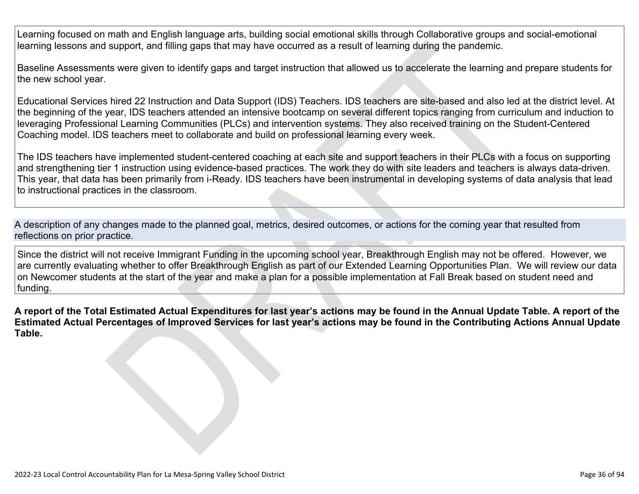Learning focused on math and English language arts, building social emotional skills through Collaborative groups and social-emotional learning lessons and support, and filling gaps that may have occurred as a result of learning during the pandemic.

Baseline Assessments were given to identify gaps and target instruction that allowed us to accelerate the learning and prepare students for the new school year.

Educational Services hired 22 Instruction and Data Support (IDS) Teachers. IDS teachers are site-based and also led at the district level. At the beginning of the year, IDS teachers attended an intensive bootcamp on several different topics ranging from curriculum and induction to leveraging Professional Learning Communities (PLCs) and intervention systems. They also received training on the Student-Centered Coaching model. IDS teachers meet to collaborate and build on professional learning every week.

The IDS teachers have implemented student-centered coaching at each site and support teachers in their PLCs with a focus on supporting and strengthening tier 1 instruction using evidence-based practices. The work they do with site leaders and teachers is always data-driven. This year, that data has been primarily from i-Ready. IDS teachers have been instrumental in developing systems of data analysis that lead to instructional practices in the classroom.

A description of any changes made to the planned goal, metrics, desired outcomes, or actions for the coming year that resulted from reflections on prior practice.

Since the district will not receive Immigrant Funding in the upcoming school year, Breakthrough English may not be offered. However, we are currently evaluating whether to offer Breakthrough English as part of our Extended Learning Opportunities Plan. We will review our data on Newcomer students at the start of the year and make a plan for a possible implementation at Fall Break based on student need and funding.

**A report of the Total Estimated Actual Expenditures for last year's actions may be found in the Annual Update Table. A report of the Estimated Actual Percentages of Improved Services for last year's actions may be found in the Contributing Actions Annual Update Table.**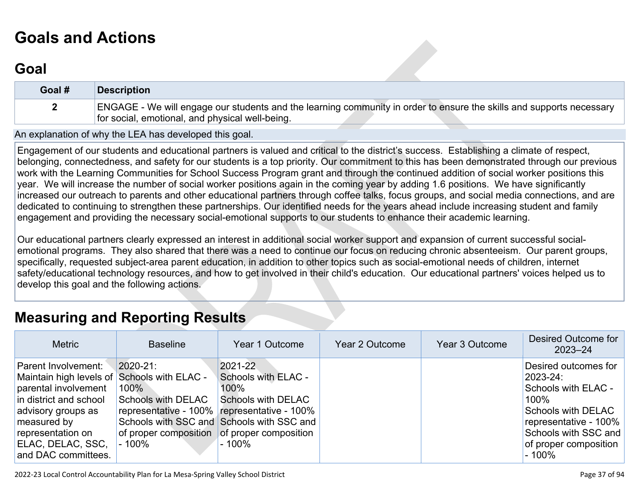# **[Goals and Actions](http://www.doc-tracking.com/screenshots/22LCAP/Instructions/22LCAPInstructions.htm#GoalsandActions)**

## **[Goal](http://www.doc-tracking.com/screenshots/22LCAP/Instructions/22LCAPInstructions.htm#goalDescription)**

| Goal # | <b>Description</b>                                                                                                   |
|--------|----------------------------------------------------------------------------------------------------------------------|
|        | ENGAGE - We will engage our students and the learning community in order to ensure the skills and supports necessary |
|        | for social, emotional, and physical well-being.                                                                      |

An explanation of why the LEA has developed this goal.

Engagement of our students and educational partners is valued and critical to the district's success. Establishing a climate of respect, belonging, connectedness, and safety for our students is a top priority. Our commitment to this has been demonstrated through our previous work with the Learning Communities for School Success Program grant and through the continued addition of social worker positions this year. We will increase the number of social worker positions again in the coming year by adding 1.6 positions. We have significantly increased our outreach to parents and other educational partners through coffee talks, focus groups, and social media connections, and are dedicated to continuing to strengthen these partnerships. Our identified needs for the years ahead include increasing student and family engagement and providing the necessary social-emotional supports to our students to enhance their academic learning.

Our educational partners clearly expressed an interest in additional social worker support and expansion of current successful socialemotional programs. They also shared that there was a need to continue our focus on reducing chronic absenteeism. Our parent groups, specifically, requested subject-area parent education, in addition to other topics such as social-emotional needs of children, internet safety/educational technology resources, and how to get involved in their child's education. Our educational partners' voices helped us to develop this goal and the following actions.

## **[Measuring and Reporting Results](http://www.doc-tracking.com/screenshots/22LCAP/Instructions/22LCAPInstructions.htm#MeasuringandReportingResults)**

| <b>Metric</b>                                                                                                                                                                                                              | <b>Baseline</b>                                                                                               | Year 1 Outcome                                                                                                                                                     | Year 2 Outcome | Year 3 Outcome | Desired Outcome for<br>$2023 - 24$                                                                                                                                          |
|----------------------------------------------------------------------------------------------------------------------------------------------------------------------------------------------------------------------------|---------------------------------------------------------------------------------------------------------------|--------------------------------------------------------------------------------------------------------------------------------------------------------------------|----------------|----------------|-----------------------------------------------------------------------------------------------------------------------------------------------------------------------------|
| Parent Involvement:<br>Maintain high levels of Schools with ELAC -<br>parental involvement<br>in district and school<br>advisory groups as<br>measured by<br>representation on<br>ELAC, DELAC, SSC,<br>and DAC committees. | $ 2020 - 21 $<br>100%<br><b>Schools with DELAC</b><br>of proper composition of proper composition<br>$-100\%$ | 2021-22<br>Schools with ELAC -<br>100%<br>Schools with DELAC<br>representative - 100% representative - 100%<br>Schools with SSC and Schools with SSC and<br>- 100% |                |                | Desired outcomes for<br>2023-24:<br>Schools with ELAC -<br>100%<br>Schools with DELAC<br>representative - 100%<br>Schools with SSC and<br>of proper composition<br>$-100\%$ |

2022-23 Local Control Accountability Plan for La Mesa-Spring Valley School District **Page 37** of 94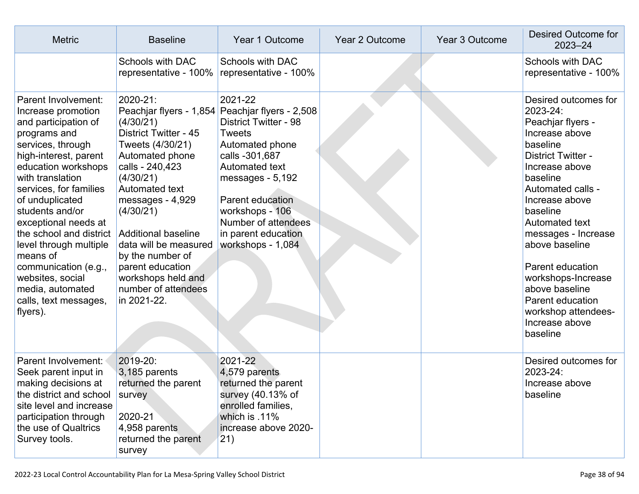| <b>Metric</b>                                                                                                                                                                                                                                                                                                                                                                                                                            | <b>Baseline</b>                                                                                                                                                                                                                                                                                                                            | Year 1 Outcome                                                                                                                                                                                                                                                                                                 | <b>Year 2 Outcome</b> | <b>Year 3 Outcome</b> | <b>Desired Outcome for</b><br>$2023 - 24$                                                                                                                                                                                                                                                                                                                                                         |
|------------------------------------------------------------------------------------------------------------------------------------------------------------------------------------------------------------------------------------------------------------------------------------------------------------------------------------------------------------------------------------------------------------------------------------------|--------------------------------------------------------------------------------------------------------------------------------------------------------------------------------------------------------------------------------------------------------------------------------------------------------------------------------------------|----------------------------------------------------------------------------------------------------------------------------------------------------------------------------------------------------------------------------------------------------------------------------------------------------------------|-----------------------|-----------------------|---------------------------------------------------------------------------------------------------------------------------------------------------------------------------------------------------------------------------------------------------------------------------------------------------------------------------------------------------------------------------------------------------|
|                                                                                                                                                                                                                                                                                                                                                                                                                                          | <b>Schools with DAC</b><br>representative - 100%                                                                                                                                                                                                                                                                                           | <b>Schools with DAC</b><br>representative - 100%                                                                                                                                                                                                                                                               |                       |                       | <b>Schools with DAC</b><br>representative - 100%                                                                                                                                                                                                                                                                                                                                                  |
| Parent Involvement:<br>Increase promotion<br>and participation of<br>programs and<br>services, through<br>high-interest, parent<br>education workshops<br>with translation<br>services, for families<br>of unduplicated<br>students and/or<br>exceptional needs at<br>the school and district<br>level through multiple<br>means of<br>communication (e.g.,<br>websites, social<br>media, automated<br>calls, text messages,<br>flyers). | 2020-21:<br>(4/30/21)<br><b>District Twitter - 45</b><br>Tweets (4/30/21)<br>Automated phone<br>calls - 240,423<br>(4/30/21)<br>Automated text<br>messages - 4,929<br>(4/30/21)<br><b>Additional baseline</b><br>data will be measured<br>by the number of<br>parent education<br>workshops held and<br>number of attendees<br>in 2021-22. | 2021-22<br>Peachjar flyers - 1,854 Peachjar flyers - 2,508<br><b>District Twitter - 98</b><br><b>Tweets</b><br>Automated phone<br>calls -301,687<br><b>Automated text</b><br>messages - 5,192<br><b>Parent education</b><br>workshops - 106<br>Number of attendees<br>in parent education<br>workshops - 1,084 |                       |                       | Desired outcomes for<br>2023-24:<br>Peachjar flyers -<br>Increase above<br>baseline<br><b>District Twitter -</b><br>Increase above<br>baseline<br>Automated calls -<br>Increase above<br>baseline<br>Automated text<br>messages - Increase<br>above baseline<br>Parent education<br>workshops-Increase<br>above baseline<br>Parent education<br>workshop attendees-<br>Increase above<br>baseline |
| <b>Parent Involvement:</b><br>Seek parent input in<br>making decisions at<br>the district and school<br>site level and increase<br>participation through<br>the use of Qualtrics<br>Survey tools.                                                                                                                                                                                                                                        | 2019-20:<br>3,185 parents<br>returned the parent<br>survey<br>2020-21<br>4,958 parents<br>returned the parent<br>survey                                                                                                                                                                                                                    | 2021-22<br>4,579 parents<br>returned the parent<br>survey (40.13% of<br>enrolled families,<br>which is .11%<br>increase above 2020-<br>(21)                                                                                                                                                                    |                       |                       | Desired outcomes for<br>2023-24:<br>Increase above<br>baseline                                                                                                                                                                                                                                                                                                                                    |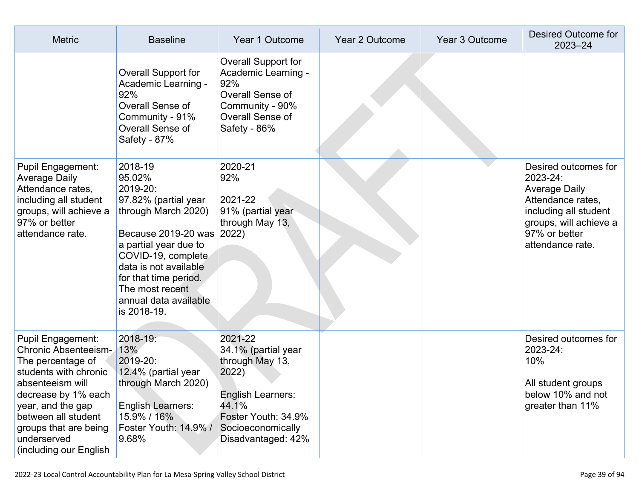| <b>Metric</b>                                                                                                                                                                                                                                                  | <b>Baseline</b>                                                                                                                                                                                                                                                       | Year 1 Outcome                                                                                                                                             | Year 2 Outcome | Year 3 Outcome | Desired Outcome for<br>2023-24                                                                                                                                        |
|----------------------------------------------------------------------------------------------------------------------------------------------------------------------------------------------------------------------------------------------------------------|-----------------------------------------------------------------------------------------------------------------------------------------------------------------------------------------------------------------------------------------------------------------------|------------------------------------------------------------------------------------------------------------------------------------------------------------|----------------|----------------|-----------------------------------------------------------------------------------------------------------------------------------------------------------------------|
|                                                                                                                                                                                                                                                                | <b>Overall Support for</b><br>Academic Learning -<br>92%<br>Overall Sense of<br>Community - 91%<br>Overall Sense of<br>Safety - 87%                                                                                                                                   | Overall Support for<br>Academic Learning -<br>92%<br>Overall Sense of<br>Community - 90%<br>Overall Sense of<br>Safety - 86%                               |                |                |                                                                                                                                                                       |
| <b>Pupil Engagement:</b><br><b>Average Daily</b><br>Attendance rates,<br>including all student<br>groups, will achieve a<br>97% or better<br>attendance rate.                                                                                                  | 2018-19<br>95.02%<br>2019-20:<br>97.82% (partial year<br>through March 2020)<br>Because 2019-20 was 2022)<br>a partial year due to<br>COVID-19, complete<br>data is not available<br>for that time period.<br>The most recent<br>annual data available<br>is 2018-19. | 2020-21<br>92%<br>2021-22<br>91% (partial year<br>through May 13,                                                                                          |                |                | Desired outcomes for<br>2023-24:<br><b>Average Daily</b><br>Attendance rates,<br>including all student<br>groups, will achieve a<br>97% or better<br>attendance rate. |
| <b>Pupil Engagement:</b><br><b>Chronic Absenteeism-</b><br>The percentage of<br>students with chronic<br>absenteeism will<br>decrease by 1% each<br>year, and the gap<br>between all student<br>groups that are being<br>underserved<br>(including our English | 2018-19:<br>13%<br>2019-20:<br>12.4% (partial year<br>through March 2020)<br>English Learners:<br>15.9% / 16%<br>Foster Youth: 14.9% /<br>9.68%                                                                                                                       | 2021-22<br>34.1% (partial year<br>through May 13,<br>2022)<br>English Learners:<br>44.1%<br>Foster Youth: 34.9%<br>Socioeconomically<br>Disadvantaged: 42% |                |                | Desired outcomes for<br>2023-24:<br>10%<br>All student groups<br>below 10% and not<br>greater than 11%                                                                |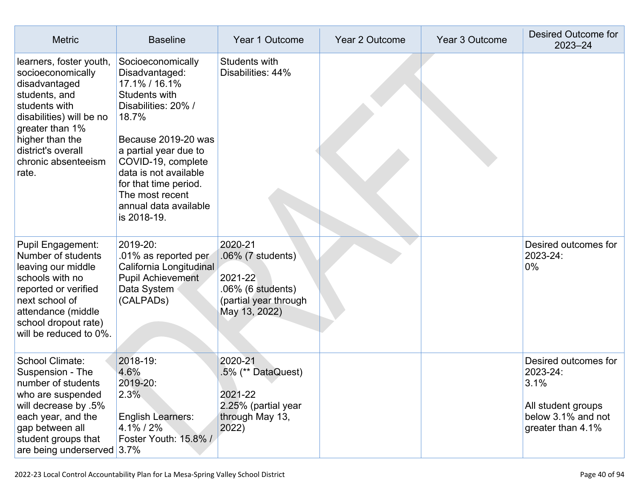| <b>Metric</b>                                                                                                                                                                                                           | <b>Baseline</b>                                                                                                                                                                                                                                                                                 | Year 1 Outcome                                                                                         | Year 2 Outcome | Year 3 Outcome | <b>Desired Outcome for</b><br>$2023 - 24$                                                                 |
|-------------------------------------------------------------------------------------------------------------------------------------------------------------------------------------------------------------------------|-------------------------------------------------------------------------------------------------------------------------------------------------------------------------------------------------------------------------------------------------------------------------------------------------|--------------------------------------------------------------------------------------------------------|----------------|----------------|-----------------------------------------------------------------------------------------------------------|
| learners, foster youth,<br>socioeconomically<br>disadvantaged<br>students, and<br>students with<br>disabilities) will be no<br>greater than 1%<br>higher than the<br>district's overall<br>chronic absenteeism<br>rate. | Socioeconomically<br>Disadvantaged:<br>17.1% / 16.1%<br><b>Students with</b><br>Disabilities: 20% /<br>18.7%<br>Because 2019-20 was<br>a partial year due to<br>COVID-19, complete<br>data is not available<br>for that time period.<br>The most recent<br>annual data available<br>is 2018-19. | Students with<br>Disabilities: 44%                                                                     |                |                |                                                                                                           |
| <b>Pupil Engagement:</b><br>Number of students<br>leaving our middle<br>schools with no<br>reported or verified<br>next school of<br>attendance (middle<br>school dropout rate)<br>will be reduced to 0%.               | 2019-20:<br>.01% as reported per<br>California Longitudinal<br><b>Pupil Achievement</b><br>Data System<br>(CALPADs)                                                                                                                                                                             | 2020-21<br>.06% (7 students)<br>2021-22<br>.06% (6 students)<br>(partial year through<br>May 13, 2022) |                |                | Desired outcomes for<br>2023-24:<br>0%                                                                    |
| School Climate:<br>Suspension - The<br>number of students<br>who are suspended<br>will decrease by .5%<br>each year, and the<br>gap between all<br>student groups that<br>are being underserved $3.7\%$                 | 2018-19:<br>4.6%<br>2019-20:<br>2.3%<br><b>English Learners:</b><br>4.1%/2%<br>Foster Youth: 15.8% /                                                                                                                                                                                            | 2020-21<br>.5% (** DataQuest)<br>2021-22<br>2.25% (partial year<br>through May 13,<br>2022)            |                |                | Desired outcomes for<br>2023-24:<br>3.1%<br>All student groups<br>below 3.1% and not<br>greater than 4.1% |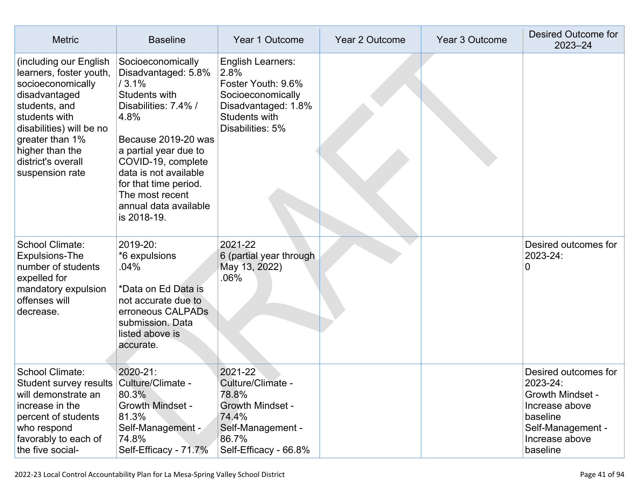| <b>Metric</b>                                                                                                                                                                                                                        | <b>Baseline</b>                                                                                                                                                                                                                                                                              | Year 1 Outcome                                                                                                                          | Year 2 Outcome | Year 3 Outcome | <b>Desired Outcome for</b><br>$2023 - 24$                                                                                                    |
|--------------------------------------------------------------------------------------------------------------------------------------------------------------------------------------------------------------------------------------|----------------------------------------------------------------------------------------------------------------------------------------------------------------------------------------------------------------------------------------------------------------------------------------------|-----------------------------------------------------------------------------------------------------------------------------------------|----------------|----------------|----------------------------------------------------------------------------------------------------------------------------------------------|
| (including our English<br>learners, foster youth,<br>socioeconomically<br>disadvantaged<br>students, and<br>students with<br>disabilities) will be no<br>greater than 1%<br>higher than the<br>district's overall<br>suspension rate | Socioeconomically<br>Disadvantaged: 5.8%<br>/3.1%<br><b>Students with</b><br>Disabilities: 7.4% /<br>4.8%<br>Because 2019-20 was<br>a partial year due to<br>COVID-19, complete<br>data is not available<br>for that time period.<br>The most recent<br>annual data available<br>is 2018-19. | <b>English Learners:</b><br>2.8%<br>Foster Youth: 9.6%<br>Socioeconomically<br>Disadvantaged: 1.8%<br>Students with<br>Disabilities: 5% |                |                |                                                                                                                                              |
| <b>School Climate:</b><br><b>Expulsions-The</b><br>number of students<br>expelled for<br>mandatory expulsion<br>offenses will<br>decrease.                                                                                           | 2019-20:<br>*6 expulsions<br>.04%<br>*Data on Ed Data is<br>not accurate due to<br>erroneous CALPADs<br>submission. Data<br>listed above is<br>accurate.                                                                                                                                     | 2021-22<br>6 (partial year through<br>May 13, 2022)<br>.06%                                                                             |                |                | Desired outcomes for<br>2023-24:<br>$\mathbf 0$                                                                                              |
| <b>School Climate:</b><br>Student survey results<br>will demonstrate an<br>increase in the<br>percent of students<br>who respond<br>favorably to each of<br>the five social-                                                         | 2020-21:<br>Culture/Climate -<br>80.3%<br><b>Growth Mindset -</b><br>81.3%<br>Self-Management -<br>74.8%<br>Self-Efficacy - 71.7%                                                                                                                                                            | 2021-22<br>Culture/Climate -<br>78.8%<br><b>Growth Mindset -</b><br>74.4%<br>Self-Management -<br>86.7%<br>Self-Efficacy - 66.8%        |                |                | Desired outcomes for<br>2023-24:<br><b>Growth Mindset -</b><br>Increase above<br>baseline<br>Self-Management -<br>Increase above<br>baseline |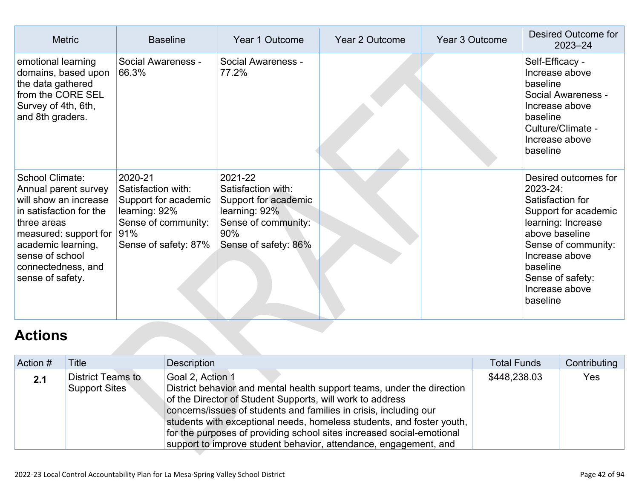| <b>Metric</b>                                                                                                                                                                                                          | <b>Baseline</b>                                                                                                              | Year 1 Outcome                                                                                                               | <b>Year 2 Outcome</b> | Year 3 Outcome | Desired Outcome for<br>$2023 - 24$                                                                                                                                                                                          |
|------------------------------------------------------------------------------------------------------------------------------------------------------------------------------------------------------------------------|------------------------------------------------------------------------------------------------------------------------------|------------------------------------------------------------------------------------------------------------------------------|-----------------------|----------------|-----------------------------------------------------------------------------------------------------------------------------------------------------------------------------------------------------------------------------|
| emotional learning<br>domains, based upon<br>the data gathered<br>from the CORE SEL<br>Survey of 4th, 6th,<br>and 8th graders.                                                                                         | Social Awareness -<br>66.3%                                                                                                  | Social Awareness -<br>77.2%                                                                                                  |                       |                | Self-Efficacy -<br>Increase above<br>baseline<br>Social Awareness -<br>Increase above<br>baseline<br>Culture/Climate -<br>Increase above<br>baseline                                                                        |
| School Climate:<br>Annual parent survey<br>will show an increase<br>in satisfaction for the<br>three areas<br>measured: support for<br>academic learning,<br>sense of school<br>connectedness, and<br>sense of safety. | 2020-21<br>Satisfaction with:<br>Support for academic<br>learning: 92%<br>Sense of community:<br>91%<br>Sense of safety: 87% | 2021-22<br>Satisfaction with:<br>Support for academic<br>learning: 92%<br>Sense of community:<br>90%<br>Sense of safety: 86% |                       |                | Desired outcomes for<br>2023-24:<br>Satisfaction for<br>Support for academic<br>learning: Increase<br>above baseline<br>Sense of community:<br>Increase above<br>baseline<br>Sense of safety:<br>Increase above<br>baseline |
| <b>Actions</b>                                                                                                                                                                                                         |                                                                                                                              |                                                                                                                              |                       |                |                                                                                                                                                                                                                             |

## **[Actions](http://www.doc-tracking.com/screenshots/22LCAP/Instructions/22LCAPInstructions.htm#actions)**

| Action # | Title                                            | <b>Description</b>                                                                                                                                                                                                                                                                                                                                                                                                                                 | <b>Total Funds</b> | Contributing |
|----------|--------------------------------------------------|----------------------------------------------------------------------------------------------------------------------------------------------------------------------------------------------------------------------------------------------------------------------------------------------------------------------------------------------------------------------------------------------------------------------------------------------------|--------------------|--------------|
| 2.1      | <b>District Teams to</b><br><b>Support Sites</b> | Goal 2, Action 1<br>District behavior and mental health support teams, under the direction<br>of the Director of Student Supports, will work to address<br>concerns/issues of students and families in crisis, including our<br>students with exceptional needs, homeless students, and foster youth,<br>for the purposes of providing school sites increased social-emotional<br>support to improve student behavior, attendance, engagement, and | \$448,238.03       | Yes          |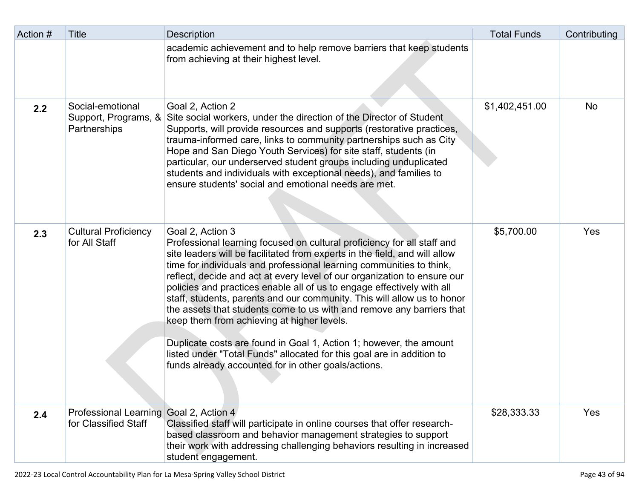| Action # | Title                                                    | <b>Description</b>                                                                                                                                                                                                                                                                                                                                                                                                                                                                                                                                                                                                                                                                                                                                                                                              | <b>Total Funds</b> | Contributing |
|----------|----------------------------------------------------------|-----------------------------------------------------------------------------------------------------------------------------------------------------------------------------------------------------------------------------------------------------------------------------------------------------------------------------------------------------------------------------------------------------------------------------------------------------------------------------------------------------------------------------------------------------------------------------------------------------------------------------------------------------------------------------------------------------------------------------------------------------------------------------------------------------------------|--------------------|--------------|
|          |                                                          | academic achievement and to help remove barriers that keep students<br>from achieving at their highest level.                                                                                                                                                                                                                                                                                                                                                                                                                                                                                                                                                                                                                                                                                                   |                    |              |
| 2.2      | Social-emotional<br>Support, Programs, &<br>Partnerships | Goal 2, Action 2<br>Site social workers, under the direction of the Director of Student<br>Supports, will provide resources and supports (restorative practices,<br>trauma-informed care, links to community partnerships such as City<br>Hope and San Diego Youth Services) for site staff, students (in<br>particular, our underserved student groups including unduplicated<br>students and individuals with exceptional needs), and families to<br>ensure students' social and emotional needs are met.                                                                                                                                                                                                                                                                                                     | \$1,402,451.00     | No           |
| 2.3      | <b>Cultural Proficiency</b><br>for All Staff             | Goal 2, Action 3<br>Professional learning focused on cultural proficiency for all staff and<br>site leaders will be facilitated from experts in the field, and will allow<br>time for individuals and professional learning communities to think,<br>reflect, decide and act at every level of our organization to ensure our<br>policies and practices enable all of us to engage effectively with all<br>staff, students, parents and our community. This will allow us to honor<br>the assets that students come to us with and remove any barriers that<br>keep them from achieving at higher levels.<br>Duplicate costs are found in Goal 1, Action 1; however, the amount<br>listed under "Total Funds" allocated for this goal are in addition to<br>funds already accounted for in other goals/actions. | \$5,700.00         | Yes          |
| 2.4      | <b>Professional Learning</b><br>for Classified Staff     | Goal 2, Action 4<br>Classified staff will participate in online courses that offer research-<br>based classroom and behavior management strategies to support<br>their work with addressing challenging behaviors resulting in increased<br>student engagement.                                                                                                                                                                                                                                                                                                                                                                                                                                                                                                                                                 | \$28,333.33        | Yes          |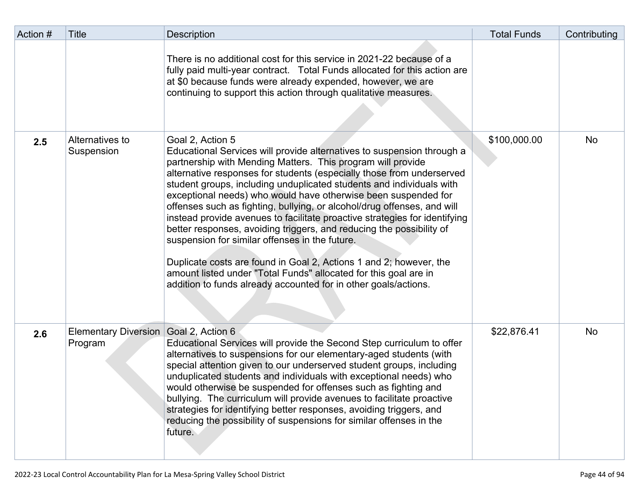| Action # | Title                           | <b>Description</b>                                                                                                                                                                                                                                                                                                                                                                                                                                                                                                                                                                                                                                                                                                                                                                                                                                                           | <b>Total Funds</b> | Contributing |
|----------|---------------------------------|------------------------------------------------------------------------------------------------------------------------------------------------------------------------------------------------------------------------------------------------------------------------------------------------------------------------------------------------------------------------------------------------------------------------------------------------------------------------------------------------------------------------------------------------------------------------------------------------------------------------------------------------------------------------------------------------------------------------------------------------------------------------------------------------------------------------------------------------------------------------------|--------------------|--------------|
|          |                                 | There is no additional cost for this service in 2021-22 because of a<br>fully paid multi-year contract. Total Funds allocated for this action are<br>at \$0 because funds were already expended, however, we are<br>continuing to support this action through qualitative measures.                                                                                                                                                                                                                                                                                                                                                                                                                                                                                                                                                                                          |                    |              |
| 2.5      | Alternatives to<br>Suspension   | Goal 2, Action 5<br>Educational Services will provide alternatives to suspension through a<br>partnership with Mending Matters. This program will provide<br>alternative responses for students (especially those from underserved<br>student groups, including unduplicated students and individuals with<br>exceptional needs) who would have otherwise been suspended for<br>offenses such as fighting, bullying, or alcohol/drug offenses, and will<br>instead provide avenues to facilitate proactive strategies for identifying<br>better responses, avoiding triggers, and reducing the possibility of<br>suspension for similar offenses in the future.<br>Duplicate costs are found in Goal 2, Actions 1 and 2; however, the<br>amount listed under "Total Funds" allocated for this goal are in<br>addition to funds already accounted for in other goals/actions. | \$100,000.00       | No           |
| 2.6      | Elementary Diversion<br>Program | Goal 2, Action 6<br>Educational Services will provide the Second Step curriculum to offer<br>alternatives to suspensions for our elementary-aged students (with<br>special attention given to our underserved student groups, including<br>unduplicated students and individuals with exceptional needs) who<br>would otherwise be suspended for offenses such as fighting and<br>bullying. The curriculum will provide avenues to facilitate proactive<br>strategies for identifying better responses, avoiding triggers, and<br>reducing the possibility of suspensions for similar offenses in the<br>future.                                                                                                                                                                                                                                                             | \$22,876.41        | No           |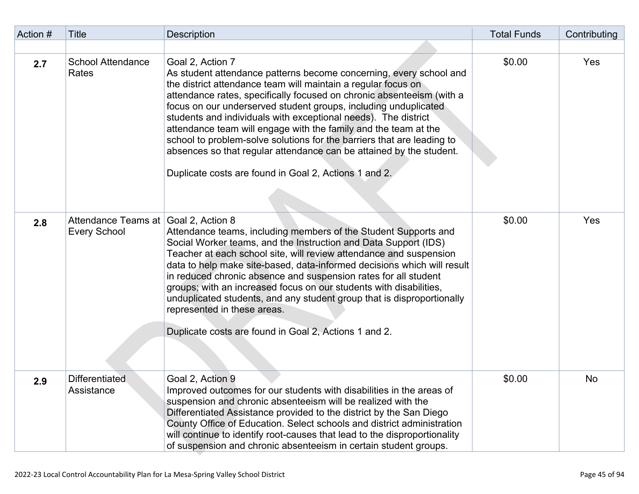| Action # | Title                                      | <b>Description</b>                                                                                                                                                                                                                                                                                                                                                                                                                                                                                                                                                                                                                                 | <b>Total Funds</b> | Contributing |
|----------|--------------------------------------------|----------------------------------------------------------------------------------------------------------------------------------------------------------------------------------------------------------------------------------------------------------------------------------------------------------------------------------------------------------------------------------------------------------------------------------------------------------------------------------------------------------------------------------------------------------------------------------------------------------------------------------------------------|--------------------|--------------|
|          |                                            |                                                                                                                                                                                                                                                                                                                                                                                                                                                                                                                                                                                                                                                    |                    |              |
| 2.7      | <b>School Attendance</b><br>Rates          | Goal 2, Action 7<br>As student attendance patterns become concerning, every school and<br>the district attendance team will maintain a regular focus on<br>attendance rates, specifically focused on chronic absenteeism (with a<br>focus on our underserved student groups, including unduplicated<br>students and individuals with exceptional needs). The district<br>attendance team will engage with the family and the team at the<br>school to problem-solve solutions for the barriers that are leading to<br>absences so that regular attendance can be attained by the student.<br>Duplicate costs are found in Goal 2, Actions 1 and 2. | \$0.00             | Yes          |
| 2.8      | Attendance Teams at<br><b>Every School</b> | Goal 2, Action 8<br>Attendance teams, including members of the Student Supports and<br>Social Worker teams, and the Instruction and Data Support (IDS)<br>Teacher at each school site, will review attendance and suspension<br>data to help make site-based, data-informed decisions which will result<br>in reduced chronic absence and suspension rates for all student<br>groups; with an increased focus on our students with disabilities,<br>unduplicated students, and any student group that is disproportionally<br>represented in these areas.<br>Duplicate costs are found in Goal 2, Actions 1 and 2.                                 | \$0.00             | Yes          |
| 2.9      | <b>Differentiated</b><br>Assistance        | Goal 2, Action 9<br>Improved outcomes for our students with disabilities in the areas of<br>suspension and chronic absenteeism will be realized with the<br>Differentiated Assistance provided to the district by the San Diego<br>County Office of Education. Select schools and district administration<br>will continue to identify root-causes that lead to the disproportionality<br>of suspension and chronic absenteeism in certain student groups.                                                                                                                                                                                         | \$0.00             | No           |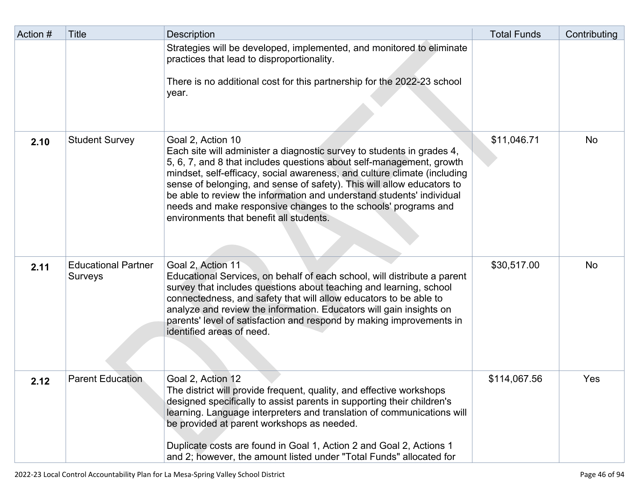| Action # | <b>Title</b>                          | <b>Description</b>                                                                                                                                                                                                                                                                                                                                                                                                                                                                                              | <b>Total Funds</b> | Contributing |
|----------|---------------------------------------|-----------------------------------------------------------------------------------------------------------------------------------------------------------------------------------------------------------------------------------------------------------------------------------------------------------------------------------------------------------------------------------------------------------------------------------------------------------------------------------------------------------------|--------------------|--------------|
|          |                                       | Strategies will be developed, implemented, and monitored to eliminate<br>practices that lead to disproportionality.<br>There is no additional cost for this partnership for the 2022-23 school<br>year.                                                                                                                                                                                                                                                                                                         |                    |              |
| 2.10     | <b>Student Survey</b>                 | Goal 2, Action 10<br>Each site will administer a diagnostic survey to students in grades 4,<br>5, 6, 7, and 8 that includes questions about self-management, growth<br>mindset, self-efficacy, social awareness, and culture climate (including<br>sense of belonging, and sense of safety). This will allow educators to<br>be able to review the information and understand students' individual<br>needs and make responsive changes to the schools' programs and<br>environments that benefit all students. | \$11,046.71        | <b>No</b>    |
| 2.11     | <b>Educational Partner</b><br>Surveys | Goal 2, Action 11<br>Educational Services, on behalf of each school, will distribute a parent<br>survey that includes questions about teaching and learning, school<br>connectedness, and safety that will allow educators to be able to<br>analyze and review the information. Educators will gain insights on<br>parents' level of satisfaction and respond by making improvements in<br>identified areas of need.                                                                                            | \$30,517.00        | No           |
| 2.12     | <b>Parent Education</b>               | Goal 2, Action 12<br>The district will provide frequent, quality, and effective workshops<br>designed specifically to assist parents in supporting their children's<br>learning. Language interpreters and translation of communications will<br>be provided at parent workshops as needed.<br>Duplicate costs are found in Goal 1, Action 2 and Goal 2, Actions 1<br>and 2; however, the amount listed under "Total Funds" allocated for                                                                       | \$114,067.56       | Yes          |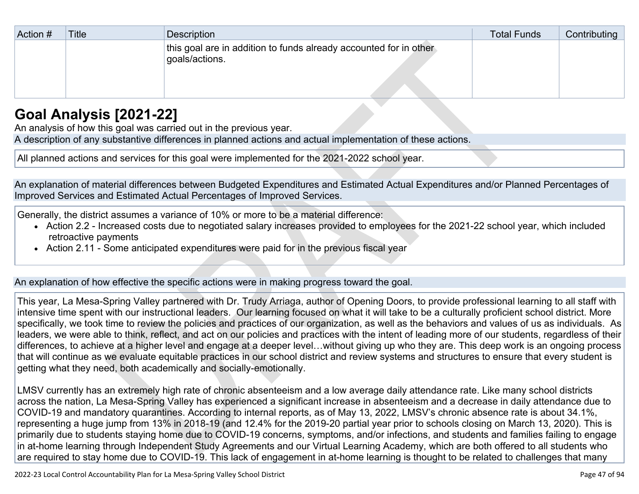| Action # | <b>Title</b> | Description                                                                         | <b>Total Funds</b> | Contributing |
|----------|--------------|-------------------------------------------------------------------------------------|--------------------|--------------|
|          |              | this goal are in addition to funds already accounted for in other<br>goals/actions. |                    |              |

## **[Goal Analysis \[2021-22\]](http://www.doc-tracking.com/screenshots/22LCAP/Instructions/22LCAPInstructions.htm#GoalAnalysis)**

An analysis of how this goal was carried out in the previous year.

A description of any substantive differences in planned actions and actual implementation of these actions.

All planned actions and services for this goal were implemented for the 2021-2022 school year.

An explanation of material differences between Budgeted Expenditures and Estimated Actual Expenditures and/or Planned Percentages of Improved Services and Estimated Actual Percentages of Improved Services.

Generally, the district assumes a variance of 10% or more to be a material difference:

- Action 2.2 Increased costs due to negotiated salary increases provided to employees for the 2021-22 school year, which included retroactive payments
- Action 2.11 Some anticipated expenditures were paid for in the previous fiscal year

An explanation of how effective the specific actions were in making progress toward the goal.

This year, La Mesa-Spring Valley partnered with Dr. Trudy Arriaga, author of Opening Doors, to provide professional learning to all staff with intensive time spent with our instructional leaders. Our learning focused on what it will take to be a culturally proficient school district. More specifically, we took time to review the policies and practices of our organization, as well as the behaviors and values of us as individuals. As leaders, we were able to think, reflect, and act on our policies and practices with the intent of leading more of our students, regardless of their differences, to achieve at a higher level and engage at a deeper level…without giving up who they are. This deep work is an ongoing process that will continue as we evaluate equitable practices in our school district and review systems and structures to ensure that every student is getting what they need, both academically and socially-emotionally.

LMSV currently has an extremely high rate of chronic absenteeism and a low average daily attendance rate. Like many school districts across the nation, La Mesa-Spring Valley has experienced a significant increase in absenteeism and a decrease in daily attendance due to COVID-19 and mandatory quarantines. According to internal reports, as of May 13, 2022, LMSV's chronic absence rate is about 34.1%, representing a huge jump from 13% in 2018-19 (and 12.4% for the 2019-20 partial year prior to schools closing on March 13, 2020). This is primarily due to students staying home due to COVID-19 concerns, symptoms, and/or infections, and students and families failing to engage in at-home learning through Independent Study Agreements and our Virtual Learning Academy, which are both offered to all students who are required to stay home due to COVID-19. This lack of engagement in at-home learning is thought to be related to challenges that many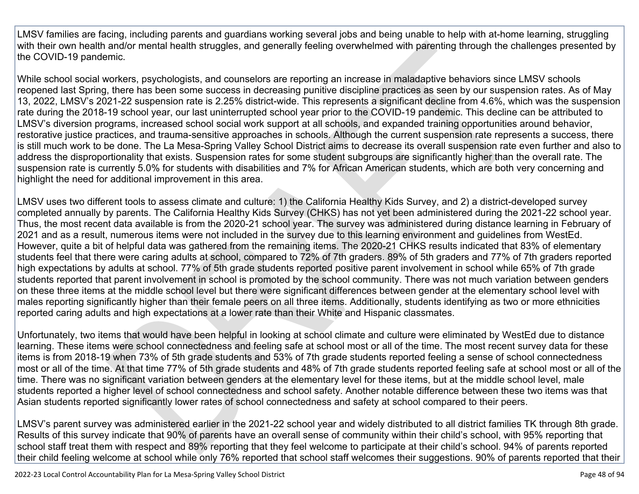LMSV families are facing, including parents and guardians working several jobs and being unable to help with at-home learning, struggling with their own health and/or mental health struggles, and generally feeling overwhelmed with parenting through the challenges presented by the COVID-19 pandemic.

While school social workers, psychologists, and counselors are reporting an increase in maladaptive behaviors since LMSV schools reopened last Spring, there has been some success in decreasing punitive discipline practices as seen by our suspension rates. As of May 13, 2022, LMSV's 2021-22 suspension rate is 2.25% district-wide. This represents a significant decline from 4.6%, which was the suspension rate during the 2018-19 school year, our last uninterrupted school year prior to the COVID-19 pandemic. This decline can be attributed to LMSV's diversion programs, increased school social work support at all schools, and expanded training opportunities around behavior, restorative justice practices, and trauma-sensitive approaches in schools. Although the current suspension rate represents a success, there is still much work to be done. The La Mesa-Spring Valley School District aims to decrease its overall suspension rate even further and also to address the disproportionality that exists. Suspension rates for some student subgroups are significantly higher than the overall rate. The suspension rate is currently 5.0% for students with disabilities and 7% for African American students, which are both very concerning and highlight the need for additional improvement in this area.

LMSV uses two different tools to assess climate and culture: 1) the California Healthy Kids Survey, and 2) a district-developed survey completed annually by parents. The California Healthy Kids Survey (CHKS) has not yet been administered during the 2021-22 school year. Thus, the most recent data available is from the 2020-21 school year. The survey was administered during distance learning in February of 2021 and as a result, numerous items were not included in the survey due to this learning environment and guidelines from WestEd. However, quite a bit of helpful data was gathered from the remaining items. The 2020-21 CHKS results indicated that 83% of elementary students feel that there were caring adults at school, compared to 72% of 7th graders. 89% of 5th graders and 77% of 7th graders reported high expectations by adults at school. 77% of 5th grade students reported positive parent involvement in school while 65% of 7th grade students reported that parent involvement in school is promoted by the school community. There was not much variation between genders on these three items at the middle school level but there were significant differences between gender at the elementary school level with males reporting significantly higher than their female peers on all three items. Additionally, students identifying as two or more ethnicities reported caring adults and high expectations at a lower rate than their White and Hispanic classmates.

Unfortunately, two items that would have been helpful in looking at school climate and culture were eliminated by WestEd due to distance learning. These items were school connectedness and feeling safe at school most or all of the time. The most recent survey data for these items is from 2018-19 when 73% of 5th grade students and 53% of 7th grade students reported feeling a sense of school connectedness most or all of the time. At that time 77% of 5th grade students and 48% of 7th grade students reported feeling safe at school most or all of the time. There was no significant variation between genders at the elementary level for these items, but at the middle school level, male students reported a higher level of school connectedness and school safety. Another notable difference between these two items was that Asian students reported significantly lower rates of school connectedness and safety at school compared to their peers.

LMSV's parent survey was administered earlier in the 2021-22 school year and widely distributed to all district families TK through 8th grade. Results of this survey indicate that 90% of parents have an overall sense of community within their child's school, with 95% reporting that school staff treat them with respect and 89% reporting that they feel welcome to participate at their child's school. 94% of parents reported their child feeling welcome at school while only 76% reported that school staff welcomes their suggestions. 90% of parents reported that their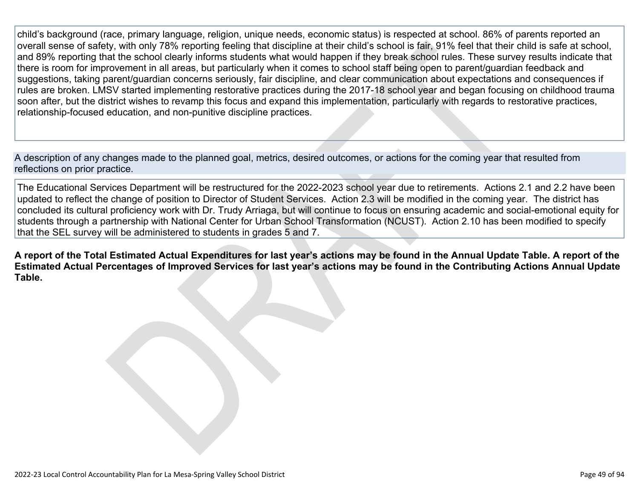child's background (race, primary language, religion, unique needs, economic status) is respected at school. 86% of parents reported an overall sense of safety, with only 78% reporting feeling that discipline at their child's school is fair, 91% feel that their child is safe at school, and 89% reporting that the school clearly informs students what would happen if they break school rules. These survey results indicate that there is room for improvement in all areas, but particularly when it comes to school staff being open to parent/guardian feedback and suggestions, taking parent/guardian concerns seriously, fair discipline, and clear communication about expectations and consequences if rules are broken. LMSV started implementing restorative practices during the 2017-18 school year and began focusing on childhood trauma soon after, but the district wishes to revamp this focus and expand this implementation, particularly with regards to restorative practices, relationship-focused education, and non-punitive discipline practices.

A description of any changes made to the planned goal, metrics, desired outcomes, or actions for the coming year that resulted from reflections on prior practice.

The Educational Services Department will be restructured for the 2022-2023 school year due to retirements. Actions 2.1 and 2.2 have been updated to reflect the change of position to Director of Student Services. Action 2.3 will be modified in the coming year. The district has concluded its cultural proficiency work with Dr. Trudy Arriaga, but will continue to focus on ensuring academic and social-emotional equity for students through a partnership with National Center for Urban School Transformation (NCUST). Action 2.10 has been modified to specify that the SEL survey will be administered to students in grades 5 and 7.

**A report of the Total Estimated Actual Expenditures for last year's actions may be found in the Annual Update Table. A report of the Estimated Actual Percentages of Improved Services for last year's actions may be found in the Contributing Actions Annual Update Table.**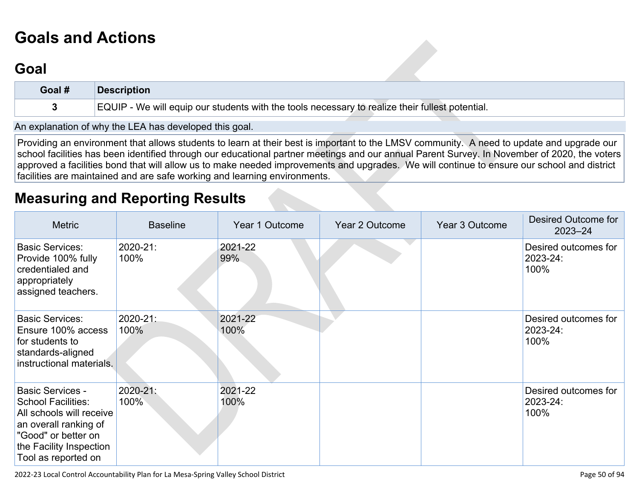# **[Goals and Actions](http://www.doc-tracking.com/screenshots/22LCAP/Instructions/22LCAPInstructions.htm#GoalsandActions)**

## **[Goal](http://www.doc-tracking.com/screenshots/22LCAP/Instructions/22LCAPInstructions.htm#goalDescription)**

| Goal # | <b>Description</b>                                                                              |
|--------|-------------------------------------------------------------------------------------------------|
|        | EQUIP - We will equip our students with the tools necessary to realize their fullest potential. |

An explanation of why the LEA has developed this goal.

Providing an environment that allows students to learn at their best is important to the LMSV community. A need to update and upgrade our school facilities has been identified through our educational partner meetings and our annual Parent Survey. In November of 2020, the voters approved a facilities bond that will allow us to make needed improvements and upgrades. We will continue to ensure our school and district facilities are maintained and are safe working and learning environments.

## **[Measuring and Reporting Results](http://www.doc-tracking.com/screenshots/22LCAP/Instructions/22LCAPInstructions.htm#MeasuringandReportingResults)**

| <b>Metric</b>                                                                                                                                                                      | <b>Baseline</b>       | Year 1 Outcome  | <b>Year 2 Outcome</b> | Year 3 Outcome | Desired Outcome for<br>$2023 - 24$       |
|------------------------------------------------------------------------------------------------------------------------------------------------------------------------------------|-----------------------|-----------------|-----------------------|----------------|------------------------------------------|
| <b>Basic Services:</b><br>Provide 100% fully<br>credentialed and<br>appropriately<br>assigned teachers.                                                                            | 2020-21:<br>100%      | 2021-22<br>99%  |                       |                | Desired outcomes for<br>2023-24:<br>100% |
| <b>Basic Services:</b><br>Ensure 100% access<br>for students to<br>standards-aligned<br>instructional materials.                                                                   | 2020-21:<br>100%      | 2021-22<br>100% |                       |                | Desired outcomes for<br>2023-24:<br>100% |
| <b>Basic Services -</b><br><b>School Facilities:</b><br>All schools will receive<br>an overall ranking of<br>"Good" or better on<br>the Facility Inspection<br>Tool as reported on | $2020 - 21$ :<br>100% | 2021-22<br>100% |                       |                | Desired outcomes for<br>2023-24:<br>100% |

2022-23 Local Control Accountability Plan for La Mesa-Spring Valley School District Page 50 of 94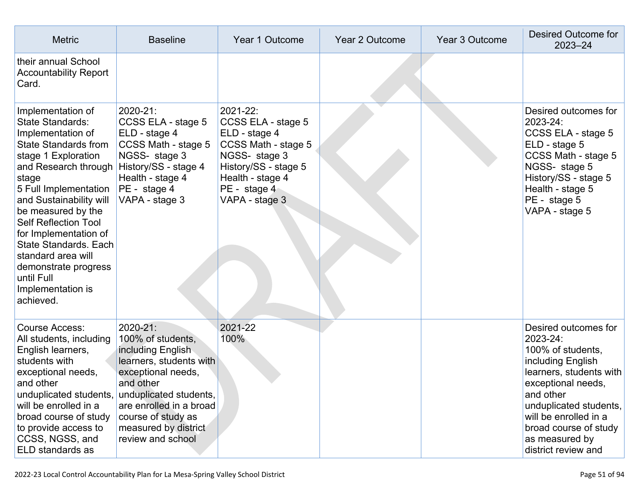| <b>Metric</b>                                                                                                                                                                                                                                                                                                                                                                                                            | <b>Baseline</b>                                                                                                                                                                                                                          | Year 1 Outcome                                                                                                                                                        | <b>Year 2 Outcome</b> | Year 3 Outcome | Desired Outcome for<br>$2023 - 24$                                                                                                                                                                                                                            |
|--------------------------------------------------------------------------------------------------------------------------------------------------------------------------------------------------------------------------------------------------------------------------------------------------------------------------------------------------------------------------------------------------------------------------|------------------------------------------------------------------------------------------------------------------------------------------------------------------------------------------------------------------------------------------|-----------------------------------------------------------------------------------------------------------------------------------------------------------------------|-----------------------|----------------|---------------------------------------------------------------------------------------------------------------------------------------------------------------------------------------------------------------------------------------------------------------|
| their annual School<br><b>Accountability Report</b><br>Card.                                                                                                                                                                                                                                                                                                                                                             |                                                                                                                                                                                                                                          |                                                                                                                                                                       |                       |                |                                                                                                                                                                                                                                                               |
| Implementation of<br><b>State Standards:</b><br>Implementation of<br><b>State Standards from</b><br>stage 1 Exploration<br>and Research through<br>stage<br>5 Full Implementation<br>and Sustainability will<br>be measured by the<br><b>Self Reflection Tool</b><br>for Implementation of<br><b>State Standards. Each</b><br>standard area will<br>demonstrate progress<br>until Full<br>Implementation is<br>achieved. | 2020-21:<br>CCSS ELA - stage 5<br>ELD - stage 4<br>CCSS Math - stage 5<br>NGSS- stage 3<br>History/SS - stage 4<br>Health - stage 4<br>PE - stage 4<br>VAPA - stage 3                                                                    | 2021-22:<br>CCSS ELA - stage 5<br>ELD - stage 4<br>CCSS Math - stage 5<br>NGSS- stage 3<br>History/SS - stage 5<br>Health - stage 4<br>PE - stage 4<br>VAPA - stage 3 |                       |                | Desired outcomes for<br>2023-24:<br>CCSS ELA - stage 5<br>ELD - stage 5<br>CCSS Math - stage 5<br>NGSS- stage 5<br>History/SS - stage 5<br>Health - stage 5<br>PE - stage 5<br>VAPA - stage 5                                                                 |
| <b>Course Access:</b><br>All students, including<br>English learners,<br>students with<br>exceptional needs,<br>and other<br>unduplicated students,<br>will be enrolled in a<br>broad course of study<br>to provide access to<br>CCSS, NGSS, and<br>ELD standards as                                                                                                                                                     | 2020-21:<br>100% of students,<br>including English<br>learners, students with<br>exceptional needs,<br>and other<br>unduplicated students,<br>are enrolled in a broad<br>course of study as<br>measured by district<br>review and school | 2021-22<br>100%                                                                                                                                                       |                       |                | Desired outcomes for<br>2023-24:<br>100% of students,<br>including English<br>learners, students with<br>exceptional needs,<br>and other<br>unduplicated students,<br>will be enrolled in a<br>broad course of study<br>as measured by<br>district review and |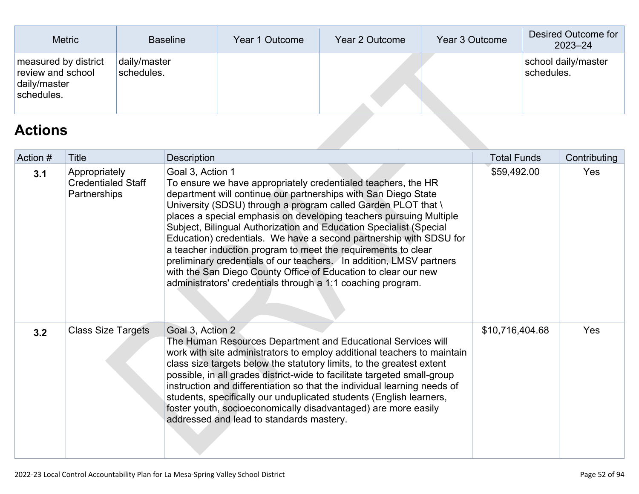| <b>Metric</b>                                                           | <b>Baseline</b>            | Year 1 Outcome | Year 2 Outcome | Year 3 Outcome | Desired Outcome for<br>$2023 - 24$ |
|-------------------------------------------------------------------------|----------------------------|----------------|----------------|----------------|------------------------------------|
| measured by district<br>review and school<br>daily/master<br>schedules. | daily/master<br>schedules. |                |                |                | school daily/master<br>schedules.  |
| <b>Actions</b>                                                          |                            |                |                |                |                                    |

## **[Actions](http://www.doc-tracking.com/screenshots/22LCAP/Instructions/22LCAPInstructions.htm#actions)**

| Action # | Title                                                      | <b>Description</b>                                                                                                                                                                                                                                                                                                                                                                                                                                                                                                                                                                                                                                                                                              | <b>Total Funds</b> | Contributing |
|----------|------------------------------------------------------------|-----------------------------------------------------------------------------------------------------------------------------------------------------------------------------------------------------------------------------------------------------------------------------------------------------------------------------------------------------------------------------------------------------------------------------------------------------------------------------------------------------------------------------------------------------------------------------------------------------------------------------------------------------------------------------------------------------------------|--------------------|--------------|
| 3.1      | Appropriately<br><b>Credentialed Staff</b><br>Partnerships | Goal 3, Action 1<br>To ensure we have appropriately credentialed teachers, the HR<br>department will continue our partnerships with San Diego State<br>University (SDSU) through a program called Garden PLOT that \<br>places a special emphasis on developing teachers pursuing Multiple<br>Subject, Bilingual Authorization and Education Specialist (Special<br>Education) credentials. We have a second partnership with SDSU for<br>a teacher induction program to meet the requirements to clear<br>preliminary credentials of our teachers. In addition, LMSV partners<br>with the San Diego County Office of Education to clear our new<br>administrators' credentials through a 1:1 coaching program. | \$59,492.00        | Yes          |
| 3.2      | <b>Class Size Targets</b>                                  | Goal 3, Action 2<br>The Human Resources Department and Educational Services will<br>work with site administrators to employ additional teachers to maintain<br>class size targets below the statutory limits, to the greatest extent<br>possible, in all grades district-wide to facilitate targeted small-group<br>instruction and differentiation so that the individual learning needs of<br>students, specifically our unduplicated students (English learners,<br>foster youth, socioeconomically disadvantaged) are more easily<br>addressed and lead to standards mastery.                                                                                                                               | \$10,716,404.68    | Yes          |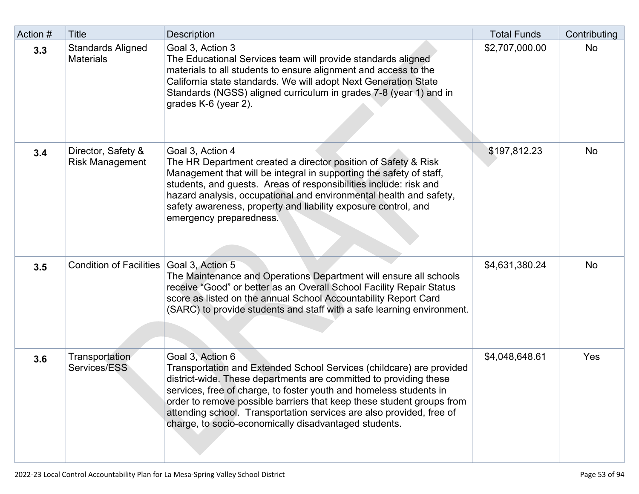| Action # | Title                                        | <b>Description</b>                                                                                                                                                                                                                                                                                                                                                                                                                            | <b>Total Funds</b> | Contributing |
|----------|----------------------------------------------|-----------------------------------------------------------------------------------------------------------------------------------------------------------------------------------------------------------------------------------------------------------------------------------------------------------------------------------------------------------------------------------------------------------------------------------------------|--------------------|--------------|
| 3.3      | <b>Standards Aligned</b><br><b>Materials</b> | Goal 3, Action 3<br>The Educational Services team will provide standards aligned<br>materials to all students to ensure alignment and access to the<br>California state standards. We will adopt Next Generation State<br>Standards (NGSS) aligned curriculum in grades 7-8 (year 1) and in<br>grades K-6 (year 2).                                                                                                                           | \$2,707,000.00     | No           |
| 3.4      | Director, Safety &<br><b>Risk Management</b> | Goal 3, Action 4<br>The HR Department created a director position of Safety & Risk<br>Management that will be integral in supporting the safety of staff,<br>students, and guests. Areas of responsibilities include: risk and<br>hazard analysis, occupational and environmental health and safety,<br>safety awareness, property and liability exposure control, and<br>emergency preparedness.                                             | \$197,812.23       | No           |
| 3.5      | <b>Condition of Facilities</b>               | Goal 3, Action 5<br>The Maintenance and Operations Department will ensure all schools<br>receive "Good" or better as an Overall School Facility Repair Status<br>score as listed on the annual School Accountability Report Card<br>(SARC) to provide students and staff with a safe learning environment.                                                                                                                                    | \$4,631,380.24     | No           |
| 3.6      | Transportation<br>Services/ESS               | Goal 3, Action 6<br>Transportation and Extended School Services (childcare) are provided<br>district-wide. These departments are committed to providing these<br>services, free of charge, to foster youth and homeless students in<br>order to remove possible barriers that keep these student groups from<br>attending school. Transportation services are also provided, free of<br>charge, to socio-economically disadvantaged students. | \$4,048,648.61     | Yes          |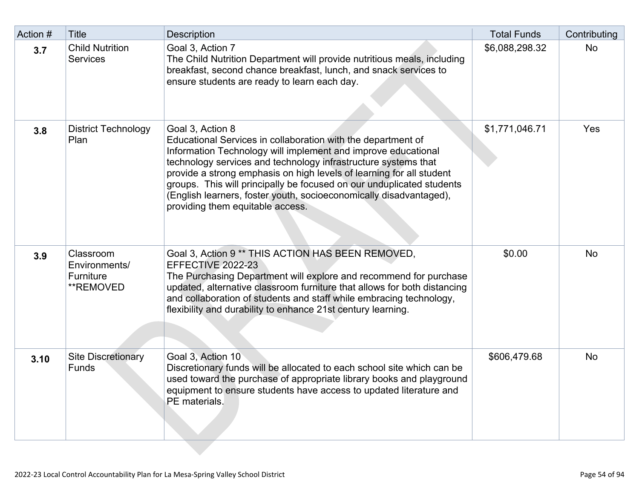| Action # | <b>Title</b>                                                | <b>Description</b>                                                                                                                                                                                                                                                                                                                                                                                                                                                             | <b>Total Funds</b> | Contributing |
|----------|-------------------------------------------------------------|--------------------------------------------------------------------------------------------------------------------------------------------------------------------------------------------------------------------------------------------------------------------------------------------------------------------------------------------------------------------------------------------------------------------------------------------------------------------------------|--------------------|--------------|
| 3.7      | <b>Child Nutrition</b><br><b>Services</b>                   | Goal 3, Action 7<br>The Child Nutrition Department will provide nutritious meals, including<br>breakfast, second chance breakfast, lunch, and snack services to<br>ensure students are ready to learn each day.                                                                                                                                                                                                                                                                | \$6,088,298.32     | No           |
| 3.8      | <b>District Technology</b><br>Plan                          | Goal 3, Action 8<br>Educational Services in collaboration with the department of<br>Information Technology will implement and improve educational<br>technology services and technology infrastructure systems that<br>provide a strong emphasis on high levels of learning for all student<br>groups. This will principally be focused on our unduplicated students<br>(English learners, foster youth, socioeconomically disadvantaged),<br>providing them equitable access. | \$1,771,046.71     | Yes          |
| 3.9      | Classroom<br>Environments/<br><b>Furniture</b><br>**REMOVED | Goal 3, Action 9 ** THIS ACTION HAS BEEN REMOVED,<br>EFFECTIVE 2022-23<br>The Purchasing Department will explore and recommend for purchase<br>updated, alternative classroom furniture that allows for both distancing<br>and collaboration of students and staff while embracing technology,<br>flexibility and durability to enhance 21st century learning.                                                                                                                 | \$0.00             | No           |
| 3.10     | <b>Site Discretionary</b><br><b>Funds</b>                   | Goal 3, Action 10<br>Discretionary funds will be allocated to each school site which can be<br>used toward the purchase of appropriate library books and playground<br>equipment to ensure students have access to updated literature and<br>PE materials.                                                                                                                                                                                                                     | \$606,479.68       | No           |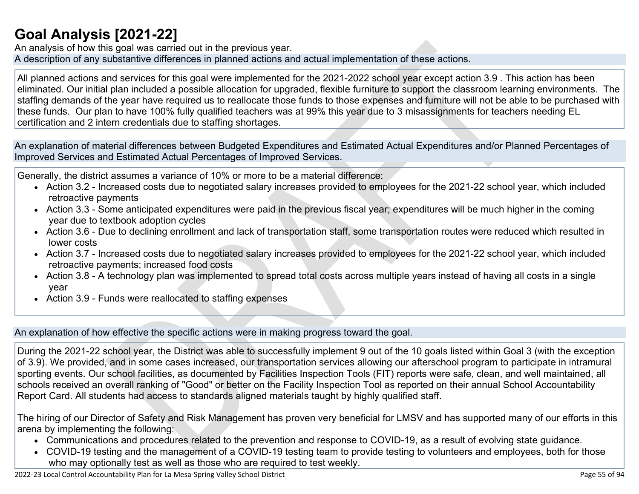## **[Goal Analysis \[2021-22\]](http://www.doc-tracking.com/screenshots/22LCAP/Instructions/22LCAPInstructions.htm#GoalAnalysis)**

An analysis of how this goal was carried out in the previous year. A description of any substantive differences in planned actions and actual implementation of these actions.

All planned actions and services for this goal were implemented for the 2021-2022 school year except action 3.9 . This action has been eliminated. Our initial plan included a possible allocation for upgraded, flexible furniture to support the classroom learning environments. The staffing demands of the year have required us to reallocate those funds to those expenses and furniture will not be able to be purchased with these funds. Our plan to have 100% fully qualified teachers was at 99% this year due to 3 misassignments for teachers needing EL certification and 2 intern credentials due to staffing shortages.

An explanation of material differences between Budgeted Expenditures and Estimated Actual Expenditures and/or Planned Percentages of Improved Services and Estimated Actual Percentages of Improved Services.

Generally, the district assumes a variance of 10% or more to be a material difference:

- Action 3.2 Increased costs due to negotiated salary increases provided to employees for the 2021-22 school year, which included retroactive payments
- Action 3.3 Some anticipated expenditures were paid in the previous fiscal year; expenditures will be much higher in the coming year due to textbook adoption cycles
- Action 3.6 Due to declining enrollment and lack of transportation staff, some transportation routes were reduced which resulted in lower costs
- Action 3.7 Increased costs due to negotiated salary increases provided to employees for the 2021-22 school year, which included retroactive payments; increased food costs
- Action 3.8 A technology plan was implemented to spread total costs across multiple years instead of having all costs in a single year
- Action 3.9 Funds were reallocated to staffing expenses

An explanation of how effective the specific actions were in making progress toward the goal.

During the 2021-22 school year, the District was able to successfully implement 9 out of the 10 goals listed within Goal 3 (with the exception of 3.9). We provided, and in some cases increased, our transportation services allowing our afterschool program to participate in intramural sporting events. Our school facilities, as documented by Facilities Inspection Tools (FIT) reports were safe, clean, and well maintained, all schools received an overall ranking of "Good" or better on the Facility Inspection Tool as reported on their annual School Accountability Report Card. All students had access to standards aligned materials taught by highly qualified staff.

The hiring of our Director of Safety and Risk Management has proven very beneficial for LMSV and has supported many of our efforts in this arena by implementing the following:

- Communications and procedures related to the prevention and response to COVID-19, as a result of evolving state guidance.
- COVID-19 testing and the management of a COVID-19 testing team to provide testing to volunteers and employees, both for those who may optionally test as well as those who are required to test weekly.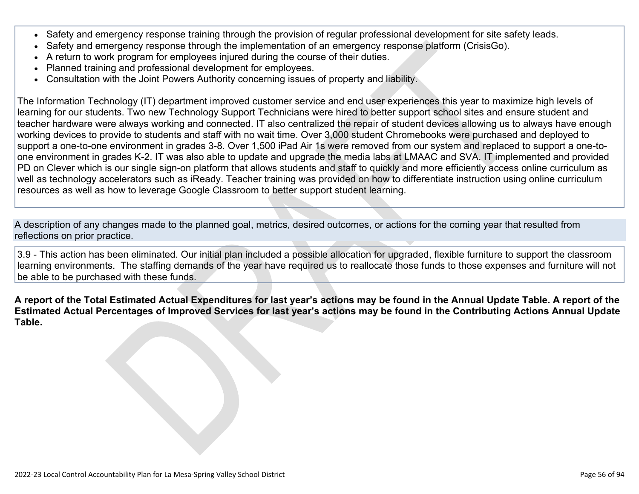- Safety and emergency response training through the provision of regular professional development for site safety leads.
- Safety and emergency response through the implementation of an emergency response platform (CrisisGo).
- A return to work program for employees injured during the course of their duties.
- Planned training and professional development for employees.
- Consultation with the Joint Powers Authority concerning issues of property and liability.

The Information Technology (IT) department improved customer service and end user experiences this year to maximize high levels of learning for our students. Two new Technology Support Technicians were hired to better support school sites and ensure student and teacher hardware were always working and connected. IT also centralized the repair of student devices allowing us to always have enough working devices to provide to students and staff with no wait time. Over 3,000 student Chromebooks were purchased and deployed to support a one-to-one environment in grades 3-8. Over 1,500 iPad Air 1s were removed from our system and replaced to support a one-toone environment in grades K-2. IT was also able to update and upgrade the media labs at LMAAC and SVA. IT implemented and provided PD on Clever which is our single sign-on platform that allows students and staff to quickly and more efficiently access online curriculum as well as technology accelerators such as iReady. Teacher training was provided on how to differentiate instruction using online curriculum resources as well as how to leverage Google Classroom to better support student learning.

A description of any changes made to the planned goal, metrics, desired outcomes, or actions for the coming year that resulted from reflections on prior practice.

3.9 - This action has been eliminated. Our initial plan included a possible allocation for upgraded, flexible furniture to support the classroom learning environments. The staffing demands of the year have required us to reallocate those funds to those expenses and furniture will not be able to be purchased with these funds.

**A report of the Total Estimated Actual Expenditures for last year's actions may be found in the Annual Update Table. A report of the Estimated Actual Percentages of Improved Services for last year's actions may be found in the Contributing Actions Annual Update Table.**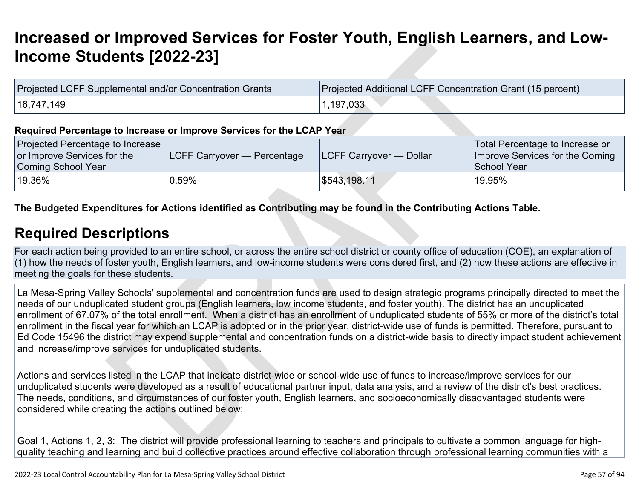# **[Increased or Improved Services for Foster Youth, English Learners, and Low-](http://www.doc-tracking.com/screenshots/22LCAP/Instructions/22LCAPInstructions.htm#IncreasedImprovedServices)[Income Students \[2022-23\]](http://www.doc-tracking.com/screenshots/22LCAP/Instructions/22LCAPInstructions.htm#IncreasedImprovedServices)**

| Projected LCFF Supplemental and/or Concentration Grants | Projected Additional LCFF Concentration Grant (15 percent) |
|---------------------------------------------------------|------------------------------------------------------------|
| 16,747,149                                              | , 197,033                                                  |

#### **Required Percentage to Increase or Improve Services for the LCAP Year**

| <b>Projected Percentage to Increase</b><br>or Improve Services for the<br>Coming School Year | <b>ILCFF Carryover — Percentage</b> | <b>ILCFF Carryover — Dollar</b> | Total Percentage to Increase or<br>Improve Services for the Coming<br>School Year |
|----------------------------------------------------------------------------------------------|-------------------------------------|---------------------------------|-----------------------------------------------------------------------------------|
| 19.36%                                                                                       | 0.59%                               | \$543,198.11                    | '19.95%                                                                           |

#### **The Budgeted Expenditures for Actions identified as Contributing may be found in the Contributing Actions Table.**

## **[Required Descriptions](http://www.doc-tracking.com/screenshots/22LCAP/Instructions/22LCAPInstructions.htm#RequiredDescriptions)**

For each action being provided to an entire school, or across the entire school district or county office of education (COE), an explanation of (1) how the needs of foster youth, English learners, and low-income students were considered first, and (2) how these actions are effective in meeting the goals for these students.

La Mesa-Spring Valley Schools' supplemental and concentration funds are used to design strategic programs principally directed to meet the needs of our unduplicated student groups (English learners, low income students, and foster youth). The district has an unduplicated enrollment of 67.07% of the total enrollment. When a district has an enrollment of unduplicated students of 55% or more of the district's total enrollment in the fiscal year for which an LCAP is adopted or in the prior year, district-wide use of funds is permitted. Therefore, pursuant to Ed Code 15496 the district may expend supplemental and concentration funds on a district-wide basis to directly impact student achievement and increase/improve services for unduplicated students.

Actions and services listed in the LCAP that indicate district-wide or school-wide use of funds to increase/improve services for our unduplicated students were developed as a result of educational partner input, data analysis, and a review of the district's best practices. The needs, conditions, and circumstances of our foster youth, English learners, and socioeconomically disadvantaged students were considered while creating the actions outlined below:

Goal 1, Actions 1, 2, 3: The district will provide professional learning to teachers and principals to cultivate a common language for highquality teaching and learning and build collective practices around effective collaboration through professional learning communities with a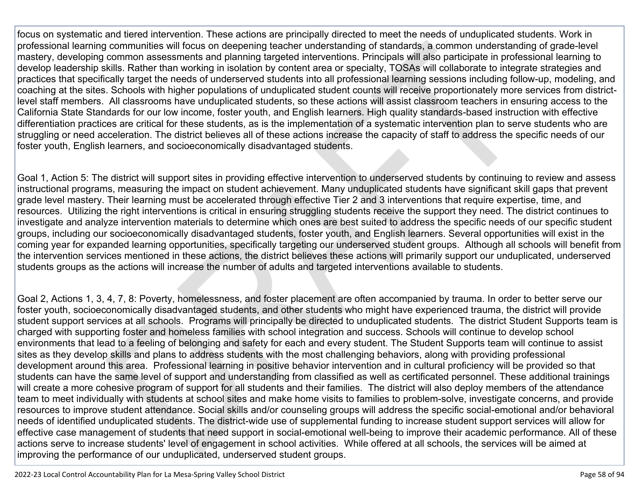focus on systematic and tiered intervention. These actions are principally directed to meet the needs of unduplicated students. Work in professional learning communities will focus on deepening teacher understanding of standards, a common understanding of grade-level mastery, developing common assessments and planning targeted interventions. Principals will also participate in professional learning to develop leadership skills. Rather than working in isolation by content area or specialty, TOSAs will collaborate to integrate strategies and practices that specifically target the needs of underserved students into all professional learning sessions including follow-up, modeling, and coaching at the sites. Schools with higher populations of unduplicated student counts will receive proportionately more services from districtlevel staff members. All classrooms have unduplicated students, so these actions will assist classroom teachers in ensuring access to the California State Standards for our low income, foster youth, and English learners. High quality standards-based instruction with effective differentiation practices are critical for these students, as is the implementation of a systematic intervention plan to serve students who are struggling or need acceleration. The district believes all of these actions increase the capacity of staff to address the specific needs of our foster youth, English learners, and socioeconomically disadvantaged students.

Goal 1, Action 5: The district will support sites in providing effective intervention to underserved students by continuing to review and assess instructional programs, measuring the impact on student achievement. Many unduplicated students have significant skill gaps that prevent grade level mastery. Their learning must be accelerated through effective Tier 2 and 3 interventions that require expertise, time, and resources. Utilizing the right interventions is critical in ensuring struggling students receive the support they need. The district continues to investigate and analyze intervention materials to determine which ones are best suited to address the specific needs of our specific student groups, including our socioeconomically disadvantaged students, foster youth, and English learners. Several opportunities will exist in the coming year for expanded learning opportunities, specifically targeting our underserved student groups. Although all schools will benefit from the intervention services mentioned in these actions, the district believes these actions will primarily support our unduplicated, underserved students groups as the actions will increase the number of adults and targeted interventions available to students.

Goal 2, Actions 1, 3, 4, 7, 8: Poverty, homelessness, and foster placement are often accompanied by trauma. In order to better serve our foster youth, socioeconomically disadvantaged students, and other students who might have experienced trauma, the district will provide student support services at all schools. Programs will principally be directed to unduplicated students. The district Student Supports team is charged with supporting foster and homeless families with school integration and success. Schools will continue to develop school environments that lead to a feeling of belonging and safety for each and every student. The Student Supports team will continue to assist sites as they develop skills and plans to address students with the most challenging behaviors, along with providing professional development around this area. Professional learning in positive behavior intervention and in cultural proficiency will be provided so that students can have the same level of support and understanding from classified as well as certificated personnel. These additional trainings will create a more cohesive program of support for all students and their families. The district will also deploy members of the attendance team to meet individually with students at school sites and make home visits to families to problem-solve, investigate concerns, and provide resources to improve student attendance. Social skills and/or counseling groups will address the specific social-emotional and/or behavioral needs of identified unduplicated students. The district-wide use of supplemental funding to increase student support services will allow for effective case management of students that need support in social-emotional well-being to improve their academic performance. All of these actions serve to increase students' level of engagement in school activities. While offered at all schools, the services will be aimed at improving the performance of our unduplicated, underserved student groups.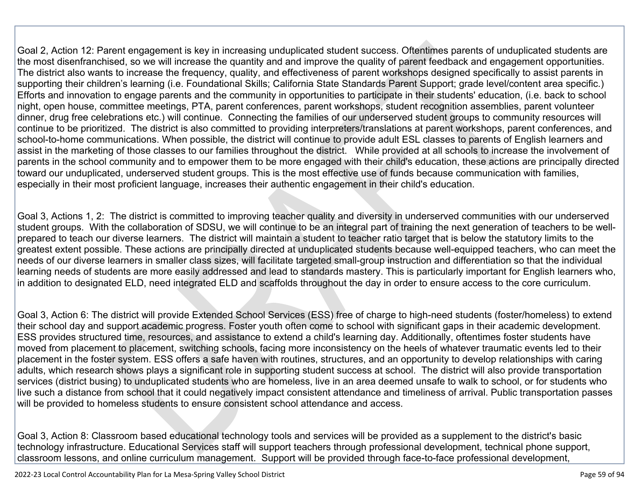Goal 2, Action 12: Parent engagement is key in increasing unduplicated student success. Oftentimes parents of unduplicated students are the most disenfranchised, so we will increase the quantity and and improve the quality of parent feedback and engagement opportunities. The district also wants to increase the frequency, quality, and effectiveness of parent workshops designed specifically to assist parents in supporting their children's learning (i.e. Foundational Skills; California State Standards Parent Support; grade level/content area specific.) Efforts and innovation to engage parents and the community in opportunities to participate in their students' education, (i.e. back to school night, open house, committee meetings, PTA, parent conferences, parent workshops, student recognition assemblies, parent volunteer dinner, drug free celebrations etc.) will continue. Connecting the families of our underserved student groups to community resources will continue to be prioritized. The district is also committed to providing interpreters/translations at parent workshops, parent conferences, and school-to-home communications. When possible, the district will continue to provide adult ESL classes to parents of English learners and assist in the marketing of those classes to our families throughout the district. While provided at all schools to increase the involvement of parents in the school community and to empower them to be more engaged with their child's education, these actions are principally directed toward our unduplicated, underserved student groups. This is the most effective use of funds because communication with families, especially in their most proficient language, increases their authentic engagement in their child's education.

Goal 3, Actions 1, 2: The district is committed to improving teacher quality and diversity in underserved communities with our underserved student groups. With the collaboration of SDSU, we will continue to be an integral part of training the next generation of teachers to be wellprepared to teach our diverse learners. The district will maintain a student to teacher ratio target that is below the statutory limits to the greatest extent possible. These actions are principally directed at unduplicated students because well-equipped teachers, who can meet the needs of our diverse learners in smaller class sizes, will facilitate targeted small-group instruction and differentiation so that the individual learning needs of students are more easily addressed and lead to standards mastery. This is particularly important for English learners who, in addition to designated ELD, need integrated ELD and scaffolds throughout the day in order to ensure access to the core curriculum.

Goal 3, Action 6: The district will provide Extended School Services (ESS) free of charge to high-need students (foster/homeless) to extend their school day and support academic progress. Foster youth often come to school with significant gaps in their academic development. ESS provides structured time, resources, and assistance to extend a child's learning day. Additionally, oftentimes foster students have moved from placement to placement, switching schools, facing more inconsistency on the heels of whatever traumatic events led to their placement in the foster system. ESS offers a safe haven with routines, structures, and an opportunity to develop relationships with caring adults, which research shows plays a significant role in supporting student success at school. The district will also provide transportation services (district busing) to unduplicated students who are homeless, live in an area deemed unsafe to walk to school, or for students who live such a distance from school that it could negatively impact consistent attendance and timeliness of arrival. Public transportation passes will be provided to homeless students to ensure consistent school attendance and access.

Goal 3, Action 8: Classroom based educational technology tools and services will be provided as a supplement to the district's basic technology infrastructure. Educational Services staff will support teachers through professional development, technical phone support, classroom lessons, and online curriculum management. Support will be provided through face-to-face professional development,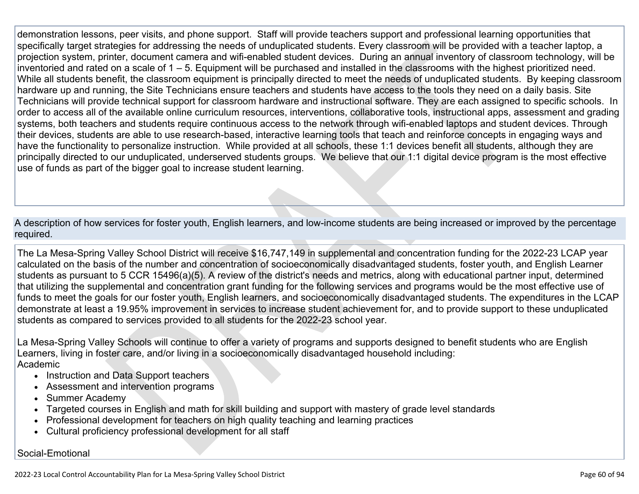demonstration lessons, peer visits, and phone support. Staff will provide teachers support and professional learning opportunities that specifically target strategies for addressing the needs of unduplicated students. Every classroom will be provided with a teacher laptop, a projection system, printer, document camera and wifi-enabled student devices. During an annual inventory of classroom technology, will be inventoried and rated on a scale of 1 – 5. Equipment will be purchased and installed in the classrooms with the highest prioritized need. While all students benefit, the classroom equipment is principally directed to meet the needs of unduplicated students. By keeping classroom hardware up and running, the Site Technicians ensure teachers and students have access to the tools they need on a daily basis. Site Technicians will provide technical support for classroom hardware and instructional software. They are each assigned to specific schools. In order to access all of the available online curriculum resources, interventions, collaborative tools, instructional apps, assessment and grading systems, both teachers and students require continuous access to the network through wifi-enabled laptops and student devices. Through their devices, students are able to use research-based, interactive learning tools that teach and reinforce concepts in engaging ways and have the functionality to personalize instruction. While provided at all schools, these 1:1 devices benefit all students, although they are principally directed to our unduplicated, underserved students groups. We believe that our 1:1 digital device program is the most effective use of funds as part of the bigger goal to increase student learning.

A description of how services for foster youth, English learners, and low-income students are being increased or improved by the percentage required.

The La Mesa-Spring Valley School District will receive \$16,747,149 in supplemental and concentration funding for the 2022-23 LCAP year calculated on the basis of the number and concentration of socioeconomically disadvantaged students, foster youth, and English Learner students as pursuant to 5 CCR 15496(a)(5). A review of the district's needs and metrics, along with educational partner input, determined that utilizing the supplemental and concentration grant funding for the following services and programs would be the most effective use of funds to meet the goals for our foster youth, English learners, and socioeconomically disadvantaged students. The expenditures in the LCAP demonstrate at least a 19.95% improvement in services to increase student achievement for, and to provide support to these unduplicated students as compared to services provided to all students for the 2022-23 school year.

La Mesa-Spring Valley Schools will continue to offer a variety of programs and supports designed to benefit students who are English Learners, living in foster care, and/or living in a socioeconomically disadvantaged household including: Academic

- Instruction and Data Support teachers
- Assessment and intervention programs
- Summer Academy
- Targeted courses in English and math for skill building and support with mastery of grade level standards
- Professional development for teachers on high quality teaching and learning practices
- Cultural proficiency professional development for all staff

#### Social-Emotional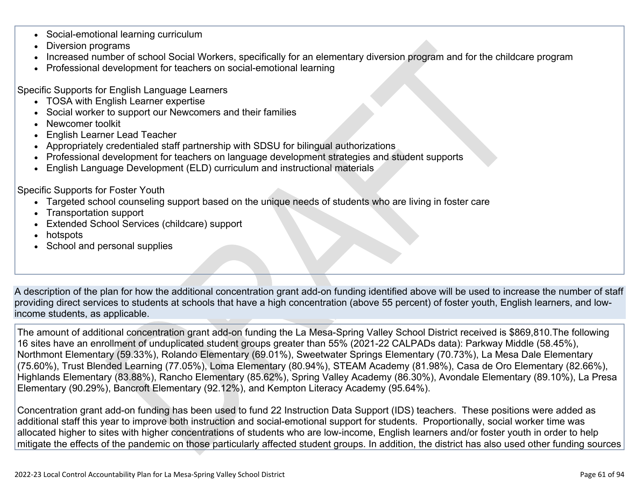- Social-emotional learning curriculum
- Diversion programs
- Increased number of school Social Workers, specifically for an elementary diversion program and for the childcare program
- Professional development for teachers on social-emotional learning

Specific Supports for English Language Learners

- TOSA with English Learner expertise
- Social worker to support our Newcomers and their families
- Newcomer toolkit
- English Learner Lead Teacher
- Appropriately credentialed staff partnership with SDSU for bilingual authorizations
- Professional development for teachers on language development strategies and student supports
- English Language Development (ELD) curriculum and instructional materials

Specific Supports for Foster Youth

- Targeted school counseling support based on the unique needs of students who are living in foster care
- Transportation support
- Extended School Services (childcare) support
- hotspots
- School and personal supplies

A description of the plan for how the additional concentration grant add-on funding identified above will be used to increase the number of staff providing direct services to students at schools that have a high concentration (above 55 percent) of foster youth, English learners, and lowincome students, as applicable.

The amount of additional concentration grant add-on funding the La Mesa-Spring Valley School District received is \$869,810.The following 16 sites have an enrollment of unduplicated student groups greater than 55% (2021-22 CALPADs data): Parkway Middle (58.45%), Northmont Elementary (59.33%), Rolando Elementary (69.01%), Sweetwater Springs Elementary (70.73%), La Mesa Dale Elementary (75.60%), Trust Blended Learning (77.05%), Loma Elementary (80.94%), STEAM Academy (81.98%), Casa de Oro Elementary (82.66%), Highlands Elementary (83.88%), Rancho Elementary (85.62%), Spring Valley Academy (86.30%), Avondale Elementary (89.10%), La Presa Elementary (90.29%), Bancroft Elementary (92.12%), and Kempton Literacy Academy (95.64%).

Concentration grant add-on funding has been used to fund 22 Instruction Data Support (IDS) teachers. These positions were added as additional staff this year to improve both instruction and social-emotional support for students. Proportionally, social worker time was allocated higher to sites with higher concentrations of students who are low-income, English learners and/or foster youth in order to help mitigate the effects of the pandemic on those particularly affected student groups. In addition, the district has also used other funding sources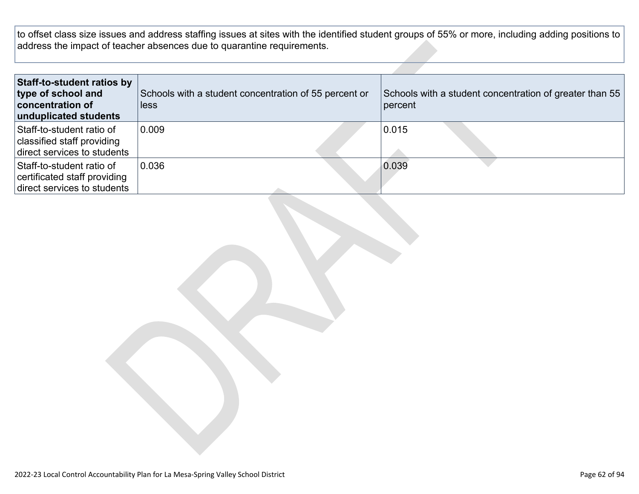to offset class size issues and address staffing issues at sites with the identified student groups of 55% or more, including adding positions to address the impact of teacher absences due to quarantine requirements.

| Staff-to-student ratios by<br>type of school and<br>concentration of<br>unduplicated students | Schools with a student concentration of 55 percent or<br>less | Schools with a student concentration of greater than 55<br>percent |
|-----------------------------------------------------------------------------------------------|---------------------------------------------------------------|--------------------------------------------------------------------|
| Staff-to-student ratio of<br>classified staff providing<br>direct services to students        | 0.009                                                         | 0.015                                                              |
| Staff-to-student ratio of<br>certificated staff providing<br>direct services to students      | 0.036                                                         | 0.039                                                              |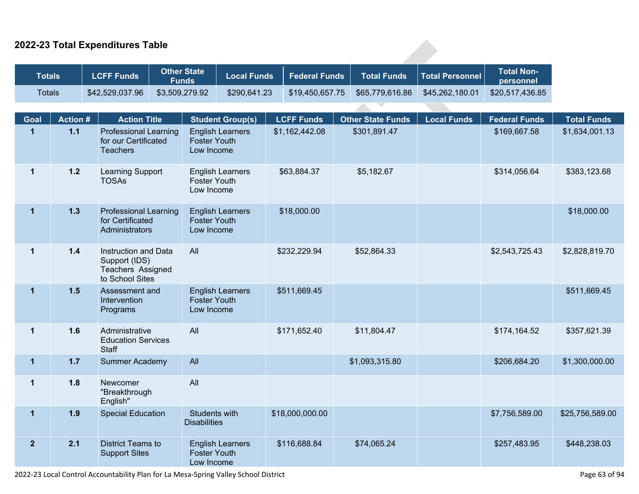### **2022-23 Total Expenditures Table**

|                    | <b>Total Non-</b><br>personnel | <b>Total Personnel</b> | <b>Total Funds</b>       | <b>Federal Funds</b> | <b>Local Funds</b>      | <b>Other State</b><br><b>Funds</b>   | <b>LCFF Funds</b>                                                             |                | <b>Totals</b>  |
|--------------------|--------------------------------|------------------------|--------------------------|----------------------|-------------------------|--------------------------------------|-------------------------------------------------------------------------------|----------------|----------------|
|                    | \$20,517,436.85                | \$45,262,180.01        | \$65,779,616.86          | \$19,450,657.75      | \$290,641.23            | \$3,509,279.92                       | \$42,529,037.96                                                               |                | <b>Totals</b>  |
|                    |                                |                        |                          |                      |                         |                                      |                                                                               |                |                |
| <b>Total Funds</b> | <b>Federal Funds</b>           | <b>Local Funds</b>     | <b>Other State Funds</b> | <b>LCFF Funds</b>    | <b>Student Group(s)</b> |                                      | <b>Action Title</b>                                                           | <b>Action#</b> | Goal           |
| \$1,634,001.13     | \$169,667.58                   |                        | \$301,891.47             | \$1,162,442.08       | <b>English Learners</b> | <b>Foster Youth</b><br>Low Income    | <b>Professional Learning</b><br>for our Certificated<br><b>Teachers</b>       | $1.1$          | $\mathbf{1}$   |
| \$383,123.68       | \$314,056.64                   |                        | \$5,182.67               | \$63,884.37          | <b>English Learners</b> | <b>Foster Youth</b><br>Low Income    | <b>Learning Support</b><br><b>TOSAs</b>                                       | $1.2$          | $\mathbf{1}$   |
| \$18,000.00        |                                |                        |                          | \$18,000.00          | <b>English Learners</b> | <b>Foster Youth</b><br>Low Income    | <b>Professional Learning</b><br>for Certificated<br>Administrators            | $1.3$          | $\overline{1}$ |
| \$2,828,819.70     | \$2,543,725.43                 |                        | \$52,864.33              | \$232,229.94         |                         | All                                  | Instruction and Data<br>Support (IDS)<br>Teachers Assigned<br>to School Sites | $1.4$          | $\mathbf{1}$   |
| \$511,669.45       |                                |                        |                          | \$511,669.45         | <b>English Learners</b> | <b>Foster Youth</b><br>Low Income    | Assessment and<br>Intervention<br>Programs                                    | 1.5            | $\mathbf{1}$   |
| \$357,621.39       | \$174,164.52                   |                        | \$11,804.47              | \$171,652.40         |                         | All                                  | Administrative<br><b>Education Services</b><br>Staff                          | 1.6            | $\mathbf 1$    |
| \$1,300,000.00     | \$206,684.20                   |                        | \$1,093,315.80           |                      |                         | All                                  | <b>Summer Academy</b>                                                         | $1.7$          | $\mathbf{1}$   |
|                    |                                |                        |                          |                      |                         | All                                  | Newcomer<br>"Breakthrough<br>English"                                         | 1.8            | $\mathbf{1}$   |
| \$25,756,589.00    | \$7,756,589.00                 |                        |                          | \$18,000,000.00      |                         | Students with<br><b>Disabilities</b> | <b>Special Education</b>                                                      | 1.9            | $\overline{1}$ |
| \$448,238.03       | \$257,483.95                   |                        | \$74,065.24              | \$116,688.84         | <b>English Learners</b> | <b>Foster Youth</b><br>Low Income    | <b>District Teams to</b><br><b>Support Sites</b>                              | 2.1            | 2 <sup>2</sup> |

2022-23 Local Control Accountability Plan for La Mesa-Spring Valley School District Page 63 of 94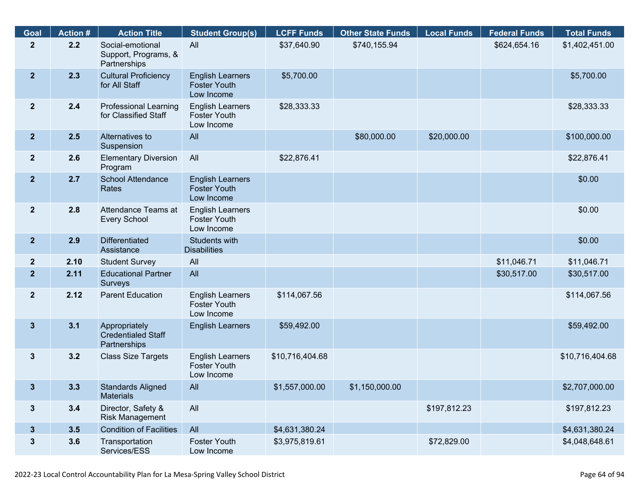| Goal                    | <b>Action #</b> | <b>Action Title</b>                                        | <b>Student Group(s)</b>                                      | <b>LCFF Funds</b> | <b>Other State Funds</b> | <b>Local Funds</b> | <b>Federal Funds</b> | <b>Total Funds</b> |
|-------------------------|-----------------|------------------------------------------------------------|--------------------------------------------------------------|-------------------|--------------------------|--------------------|----------------------|--------------------|
| $\mathbf{2}$            | 2.2             | Social-emotional<br>Support, Programs, &<br>Partnerships   | All                                                          | \$37,640.90       | \$740,155.94             |                    | \$624,654.16         | \$1,402,451.00     |
| $\overline{2}$          | 2.3             | <b>Cultural Proficiency</b><br>for All Staff               | <b>English Learners</b><br><b>Foster Youth</b><br>Low Income | \$5,700.00        |                          |                    |                      | \$5,700.00         |
| $\overline{2}$          | 2.4             | <b>Professional Learning</b><br>for Classified Staff       | <b>English Learners</b><br><b>Foster Youth</b><br>Low Income | \$28,333.33       |                          |                    |                      | \$28,333.33        |
| $\overline{2}$          | 2.5             | Alternatives to<br>Suspension                              | All                                                          |                   | \$80,000.00              | \$20,000.00        |                      | \$100,000.00       |
| $\overline{\mathbf{2}}$ | 2.6             | <b>Elementary Diversion</b><br>Program                     | All                                                          | \$22,876.41       |                          |                    |                      | \$22,876.41        |
| 2 <sup>1</sup>          | 2.7             | School Attendance<br>Rates                                 | <b>English Learners</b><br><b>Foster Youth</b><br>Low Income |                   |                          |                    |                      | \$0.00             |
| $\overline{2}$          | 2.8             | Attendance Teams at<br><b>Every School</b>                 | <b>English Learners</b><br><b>Foster Youth</b><br>Low Income |                   |                          |                    |                      | \$0.00             |
| $\overline{2}$          | 2.9             | <b>Differentiated</b><br>Assistance                        | Students with<br><b>Disabilities</b>                         |                   |                          |                    |                      | \$0.00             |
| $\overline{2}$          | 2.10            | <b>Student Survey</b>                                      | All                                                          |                   |                          |                    | \$11,046.71          | \$11,046.71        |
| $\overline{2}$          | 2.11            | <b>Educational Partner</b><br>Surveys                      | All                                                          |                   |                          |                    | \$30,517.00          | \$30,517.00        |
| $\mathbf{2}$            | 2.12            | <b>Parent Education</b>                                    | <b>English Learners</b><br><b>Foster Youth</b><br>Low Income | \$114,067.56      |                          |                    |                      | \$114,067.56       |
| $\mathbf{3}$            | 3.1             | Appropriately<br><b>Credentialed Staff</b><br>Partnerships | <b>English Learners</b>                                      | \$59,492.00       |                          |                    |                      | \$59,492.00        |
| 3                       | 3.2             | <b>Class Size Targets</b>                                  | <b>English Learners</b><br><b>Foster Youth</b><br>Low Income | \$10,716,404.68   |                          |                    |                      | \$10,716,404.68    |
| 3 <sup>1</sup>          | 3.3             | <b>Standards Aligned</b><br><b>Materials</b>               | All                                                          | \$1,557,000.00    | \$1,150,000.00           |                    |                      | \$2,707,000.00     |
| $\mathbf{3}$            | 3.4             | Director, Safety &<br><b>Risk Management</b>               | All                                                          |                   |                          | \$197,812.23       |                      | \$197,812.23       |
| 3 <sup>5</sup>          | 3.5             | <b>Condition of Facilities</b>                             | All                                                          | \$4,631,380.24    |                          |                    |                      | \$4,631,380.24     |
| $\mathbf{3}$            | 3.6             | Transportation<br>Services/ESS                             | <b>Foster Youth</b><br>Low Income                            | \$3,975,819.61    |                          | \$72,829.00        |                      | \$4,048,648.61     |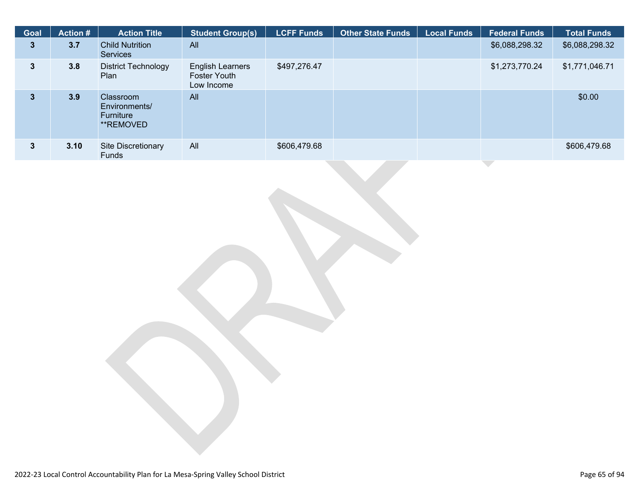| <b>Goal</b>  | <b>Action #</b> | <b>Action Title</b>                                         | <b>Student Group(s)</b>                        | <b>LCFF Funds</b> | <b>Other State Funds</b> | <b>Local Funds</b> | <b>Federal Funds</b> | <b>Total Funds</b> |
|--------------|-----------------|-------------------------------------------------------------|------------------------------------------------|-------------------|--------------------------|--------------------|----------------------|--------------------|
| $\mathbf{3}$ | 3.7             | <b>Child Nutrition</b><br><b>Services</b>                   | All                                            |                   |                          |                    | \$6,088,298.32       | \$6,088,298.32     |
| 3            | 3.8             | <b>District Technology</b><br>Plan                          | English Learners<br>Foster Youth<br>Low Income | \$497,276.47      |                          |                    | \$1,273,770.24       | \$1,771,046.71     |
| 3            | 3.9             | <b>Classroom</b><br>Environments/<br>Furniture<br>**REMOVED | All                                            |                   |                          |                    |                      | \$0.00             |
| 3.           | 3.10            | <b>Site Discretionary</b><br>Funds                          | All                                            | \$606,479.68      |                          |                    |                      | \$606,479.68       |
|              |                 |                                                             |                                                |                   |                          |                    |                      |                    |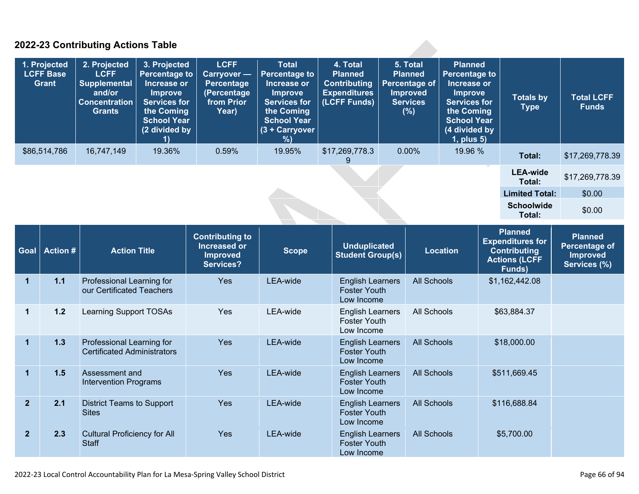### **2022-23 Contributing Actions Table**

| 1. Projected<br><b>LCFF Base</b><br><b>Grant</b> |                | 2. Projected<br><b>LCFF</b><br><b>Supplemental</b><br>and/or<br><b>Concentration</b><br><b>Grants</b> | 3. Projected<br><b>Percentage to</b><br>Increase or<br>Improve<br><b>Services for</b><br>the Coming<br><b>School Year</b><br>(2 divided by<br>1) | <b>LCFF</b><br>Carryover -<br>Percentage<br>(Percentage<br>from Prior<br>Year)       | <b>Total</b><br><b>Percentage to</b><br>Increase or<br>Improve<br><b>Services for</b><br>the Coming<br><b>School Year</b><br>(3 + Carryover<br>% | 4. Total<br><b>Planned</b><br><b>Contributing</b><br><b>Expenditures</b><br>(LCFF Funds) | 5. Total<br><b>Planned</b><br><b>Percentage of</b><br>Improved<br><b>Services</b><br>(%) |                    | <b>Planned</b><br><b>Percentage to</b><br>Increase or<br><b>Improve</b><br><b>Services for</b><br>the Coming<br><b>School Year</b><br>(4 divided by<br>1, plus 5) | <b>Totals by</b><br><b>Type</b>                                                             | <b>Total LCFF</b><br><b>Funds</b>                                  |
|--------------------------------------------------|----------------|-------------------------------------------------------------------------------------------------------|--------------------------------------------------------------------------------------------------------------------------------------------------|--------------------------------------------------------------------------------------|--------------------------------------------------------------------------------------------------------------------------------------------------|------------------------------------------------------------------------------------------|------------------------------------------------------------------------------------------|--------------------|-------------------------------------------------------------------------------------------------------------------------------------------------------------------|---------------------------------------------------------------------------------------------|--------------------------------------------------------------------|
|                                                  | \$86,514,786   | 16,747,149                                                                                            | 19.36%                                                                                                                                           | 0.59%                                                                                | 19.95%                                                                                                                                           | \$17,269,778.3<br>9                                                                      | 0.00%                                                                                    |                    | 19.96 %                                                                                                                                                           | Total:                                                                                      | \$17,269,778.39                                                    |
|                                                  |                |                                                                                                       |                                                                                                                                                  |                                                                                      |                                                                                                                                                  |                                                                                          |                                                                                          |                    |                                                                                                                                                                   | <b>LEA-wide</b><br>Total:                                                                   | \$17,269,778.39                                                    |
|                                                  |                |                                                                                                       |                                                                                                                                                  |                                                                                      |                                                                                                                                                  |                                                                                          |                                                                                          |                    |                                                                                                                                                                   | <b>Limited Total:</b>                                                                       | \$0.00                                                             |
|                                                  |                |                                                                                                       |                                                                                                                                                  |                                                                                      |                                                                                                                                                  |                                                                                          |                                                                                          |                    |                                                                                                                                                                   | <b>Schoolwide</b><br>Total:                                                                 | \$0.00                                                             |
| Goal                                             | <b>Action#</b> | <b>Action Title</b>                                                                                   |                                                                                                                                                  | <b>Contributing to</b><br><b>Increased or</b><br><b>Improved</b><br><b>Services?</b> | <b>Scope</b>                                                                                                                                     | <b>Unduplicated</b><br><b>Student Group(s)</b>                                           |                                                                                          |                    | <b>Location</b>                                                                                                                                                   | Planned<br><b>Expenditures for</b><br><b>Contributing</b><br><b>Actions (LCFF</b><br>Funds) | <b>Planned</b><br><b>Percentage of</b><br>Improved<br>Services (%) |
| $\mathbf{1}$                                     | $1.1$          | Professional Learning for<br>our Certificated Teachers                                                |                                                                                                                                                  | Yes                                                                                  | LEA-wide                                                                                                                                         | <b>English Learners</b><br><b>Foster Youth</b><br>Low Income                             |                                                                                          | <b>All Schools</b> |                                                                                                                                                                   | \$1,162,442.08                                                                              |                                                                    |
| $\mathbf{1}$                                     | $1.2$          | <b>Learning Support TOSAs</b>                                                                         |                                                                                                                                                  | Yes                                                                                  | LEA-wide                                                                                                                                         | <b>English Learners</b><br><b>Foster Youth</b><br>Low Income                             |                                                                                          | <b>All Schools</b> |                                                                                                                                                                   | \$63,884.37                                                                                 |                                                                    |
| 1                                                | $1.3$          | Professional Learning for<br><b>Certificated Administrators</b>                                       |                                                                                                                                                  | Yes                                                                                  | LEA-wide                                                                                                                                         | <b>English Learners</b><br><b>Foster Youth</b><br>Low Income                             |                                                                                          | <b>All Schools</b> |                                                                                                                                                                   | \$18,000.00                                                                                 |                                                                    |
| $\mathbf{1}$                                     | 1.5            | Assessment and<br><b>Intervention Programs</b>                                                        |                                                                                                                                                  | Yes                                                                                  | LEA-wide                                                                                                                                         | <b>English Learners</b><br><b>Foster Youth</b><br>Low Income                             |                                                                                          | <b>All Schools</b> |                                                                                                                                                                   | \$511,669.45                                                                                |                                                                    |
| $\overline{2}$                                   | 2.1            | <b>District Teams to Support</b><br><b>Sites</b>                                                      |                                                                                                                                                  | Yes                                                                                  | LEA-wide                                                                                                                                         | <b>English Learners</b><br><b>Foster Youth</b><br>Low Income                             |                                                                                          | <b>All Schools</b> |                                                                                                                                                                   | \$116,688.84                                                                                |                                                                    |
| $\overline{2}$                                   | 2.3            | <b>Cultural Proficiency for All</b><br><b>Staff</b>                                                   |                                                                                                                                                  | Yes                                                                                  | LEA-wide                                                                                                                                         | <b>English Learners</b><br><b>Foster Youth</b><br>Low Income                             |                                                                                          | <b>All Schools</b> |                                                                                                                                                                   | \$5,700.00                                                                                  |                                                                    |

**A**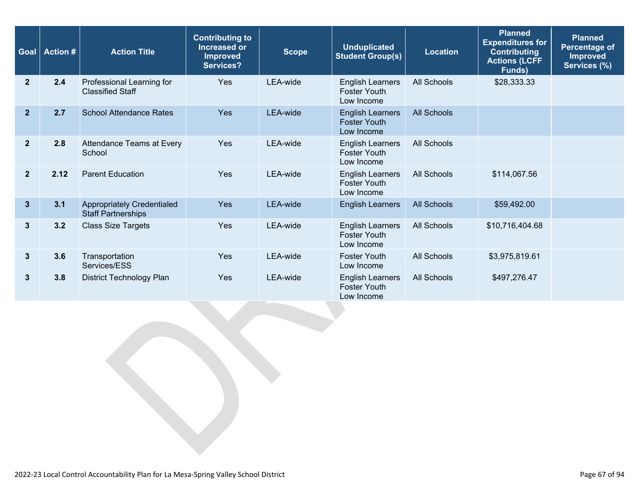| Goal           | <b>Action #</b> | <b>Action Title</b>                                            | <b>Contributing to</b><br><b>Increased or</b><br><b>Improved</b><br><b>Services?</b> | <b>Scope</b>    | <b>Unduplicated</b><br><b>Student Group(s)</b>               | <b>Location</b>    | <b>Planned</b><br><b>Expenditures for</b><br><b>Contributing</b><br><b>Actions (LCFF</b><br>Funds) | <b>Planned</b><br>Percentage of<br><b>Improved</b><br>Services (%) |
|----------------|-----------------|----------------------------------------------------------------|--------------------------------------------------------------------------------------|-----------------|--------------------------------------------------------------|--------------------|----------------------------------------------------------------------------------------------------|--------------------------------------------------------------------|
| $\mathbf{2}$   | 2.4             | Professional Learning for<br><b>Classified Staff</b>           | Yes                                                                                  | LEA-wide        | <b>English Learners</b><br><b>Foster Youth</b><br>Low Income | <b>All Schools</b> | \$28,333.33                                                                                        |                                                                    |
| $\mathbf{2}$   | 2.7             | <b>School Attendance Rates</b>                                 | <b>Yes</b>                                                                           | <b>LEA-wide</b> | <b>English Learners</b><br><b>Foster Youth</b><br>Low Income | All Schools        |                                                                                                    |                                                                    |
| $\mathbf{2}$   | 2.8             | Attendance Teams at Every<br>School                            | Yes                                                                                  | LEA-wide        | <b>English Learners</b><br><b>Foster Youth</b><br>Low Income | All Schools        |                                                                                                    |                                                                    |
| $\overline{2}$ | 2.12            | <b>Parent Education</b>                                        | Yes                                                                                  | LEA-wide        | <b>English Learners</b><br><b>Foster Youth</b><br>Low Income | All Schools        | \$114,067.56                                                                                       |                                                                    |
| $\mathbf{3}$   | 3.1             | <b>Appropriately Credentialed</b><br><b>Staff Partnerships</b> | Yes                                                                                  | <b>LEA-wide</b> | <b>English Learners</b>                                      | <b>All Schools</b> | \$59,492.00                                                                                        |                                                                    |
| 3              | 3.2             | <b>Class Size Targets</b>                                      | Yes                                                                                  | LEA-wide        | <b>English Learners</b><br><b>Foster Youth</b><br>Low Income | All Schools        | \$10,716,404.68                                                                                    |                                                                    |
| 3              | 3.6             | Transportation<br>Services/ESS                                 | Yes                                                                                  | LEA-wide        | <b>Foster Youth</b><br>Low Income                            | All Schools        | \$3,975,819.61                                                                                     |                                                                    |
| 3              | 3.8             | District Technology Plan                                       | Yes                                                                                  | LEA-wide        | <b>English Learners</b><br><b>Foster Youth</b><br>Low Income | All Schools        | \$497,276.47                                                                                       |                                                                    |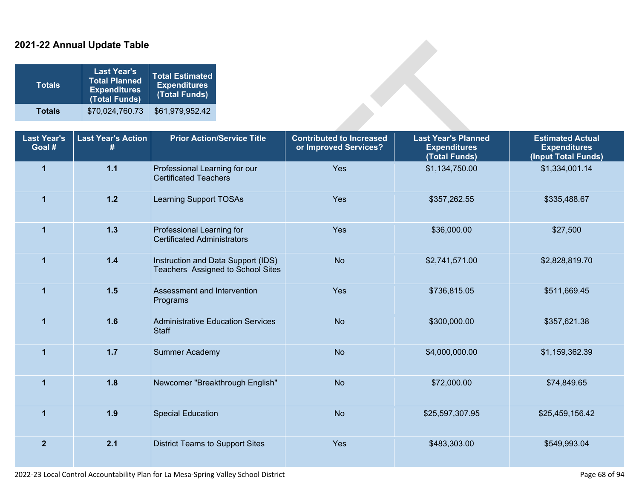### **2021-22 Annual Update Table**

| <b>Totals</b> | <b>Last Year's</b><br><b>Total Planned</b><br><b>Expenditures</b><br>(Total Funds) | <b>Total Estimated</b><br><b>Expenditures</b><br>(Total Funds) |
|---------------|------------------------------------------------------------------------------------|----------------------------------------------------------------|
| <b>Totals</b> | \$70,024,760.73                                                                    | \$61,979,952.42                                                |

| <b>Totals</b>                | <b>Last Year's</b><br><b>Total Planned</b><br><b>Expenditures</b><br>(Total Funds) | <b>Total Estimated</b><br><b>Expenditures</b><br>(Total Funds)          |                                                          |                                                                    |                                                                       |  |  |  |  |
|------------------------------|------------------------------------------------------------------------------------|-------------------------------------------------------------------------|----------------------------------------------------------|--------------------------------------------------------------------|-----------------------------------------------------------------------|--|--|--|--|
| <b>Totals</b>                | \$70,024,760.73                                                                    | \$61,979,952.42                                                         |                                                          |                                                                    |                                                                       |  |  |  |  |
| <b>Last Year's</b><br>Goal # | <b>Last Year's Action</b><br>#                                                     | <b>Prior Action/Service Title</b>                                       | <b>Contributed to Increased</b><br>or Improved Services? | <b>Last Year's Planned</b><br><b>Expenditures</b><br>(Total Funds) | <b>Estimated Actual</b><br><b>Expenditures</b><br>(Input Total Funds) |  |  |  |  |
| $\overline{\mathbf{1}}$      | $1.1$                                                                              | Professional Learning for our<br><b>Certificated Teachers</b>           | Yes                                                      | \$1,134,750.00                                                     | \$1,334,001.14                                                        |  |  |  |  |
| $\overline{1}$               | $1.2$                                                                              | <b>Learning Support TOSAs</b>                                           | Yes                                                      | \$357,262.55                                                       | \$335,488.67                                                          |  |  |  |  |
| $\overline{1}$               | $1.3$                                                                              | Professional Learning for<br><b>Certificated Administrators</b>         | Yes                                                      | \$36,000.00                                                        | \$27,500                                                              |  |  |  |  |
| $\overline{1}$               | $1.4$                                                                              | Instruction and Data Support (IDS)<br>Teachers Assigned to School Sites | <b>No</b>                                                | \$2,741,571.00                                                     | \$2,828,819.70                                                        |  |  |  |  |
| 1                            | 1.5                                                                                | Assessment and Intervention<br>Programs                                 | Yes                                                      | \$736,815.05                                                       | \$511,669.45                                                          |  |  |  |  |
| $\overline{1}$               | 1.6                                                                                | <b>Administrative Education Services</b><br><b>Staff</b>                | <b>No</b>                                                | \$300,000.00                                                       | \$357,621.38                                                          |  |  |  |  |
| $\overline{1}$               | 1.7                                                                                | <b>Summer Academy</b>                                                   | <b>No</b>                                                | \$4,000,000.00                                                     | \$1,159,362.39                                                        |  |  |  |  |
| $\mathbf{1}$                 | 1.8                                                                                | Newcomer "Breakthrough English"                                         | <b>No</b>                                                | \$72,000.00                                                        | \$74,849.65                                                           |  |  |  |  |
| $\overline{1}$               | 1.9                                                                                | <b>Special Education</b>                                                | <b>No</b>                                                | \$25,597,307.95                                                    | \$25,459,156.42                                                       |  |  |  |  |
| $\overline{2}$               | 2.1                                                                                | <b>District Teams to Support Sites</b>                                  | Yes                                                      | \$483,303.00                                                       | \$549,993.04                                                          |  |  |  |  |

2022-23 Local Control Accountability Plan for La Mesa-Spring Valley School District Page 68 of 94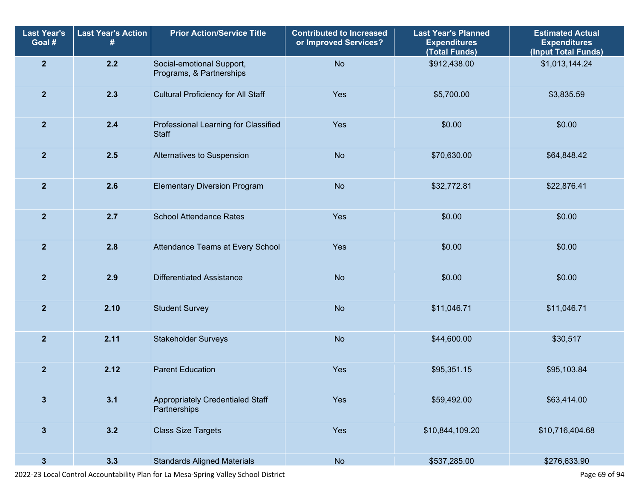| <b>Last Year's</b><br>Goal # | <b>Last Year's Action</b><br># | <b>Prior Action/Service Title</b>                     | <b>Contributed to Increased</b><br>or Improved Services? | <b>Last Year's Planned</b><br><b>Expenditures</b><br>(Total Funds) | <b>Estimated Actual</b><br><b>Expenditures</b><br>(Input Total Funds) |
|------------------------------|--------------------------------|-------------------------------------------------------|----------------------------------------------------------|--------------------------------------------------------------------|-----------------------------------------------------------------------|
| $\overline{2}$               | 2.2                            | Social-emotional Support,<br>Programs, & Partnerships | <b>No</b>                                                | \$912,438.00                                                       | \$1,013,144.24                                                        |
| $\overline{2}$               | 2.3                            | <b>Cultural Proficiency for All Staff</b>             | Yes                                                      | \$5,700.00                                                         | \$3,835.59                                                            |
| $\overline{2}$               | 2.4                            | Professional Learning for Classified<br><b>Staff</b>  | Yes                                                      | \$0.00                                                             | \$0.00                                                                |
| $\overline{2}$               | 2.5                            | Alternatives to Suspension                            | <b>No</b>                                                | \$70,630.00                                                        | \$64,848.42                                                           |
| $\overline{2}$               | 2.6                            | <b>Elementary Diversion Program</b>                   | <b>No</b>                                                | \$32,772.81                                                        | \$22,876.41                                                           |
| $\overline{2}$               | 2.7                            | <b>School Attendance Rates</b>                        | Yes                                                      | \$0.00                                                             | \$0.00                                                                |
| $\mathbf{2}$                 | 2.8                            | Attendance Teams at Every School                      | Yes                                                      | \$0.00                                                             | \$0.00                                                                |
| $\overline{2}$               | 2.9                            | <b>Differentiated Assistance</b>                      | <b>No</b>                                                | \$0.00                                                             | \$0.00                                                                |
| $\overline{2}$               | 2.10                           | <b>Student Survey</b>                                 | <b>No</b>                                                | \$11,046.71                                                        | \$11,046.71                                                           |
| $\overline{2}$               | 2.11                           | <b>Stakeholder Surveys</b>                            | <b>No</b>                                                | \$44,600.00                                                        | \$30,517                                                              |
| $\overline{2}$               | 2.12                           | <b>Parent Education</b>                               | Yes                                                      | \$95,351.15                                                        | \$95,103.84                                                           |
| $\overline{\mathbf{3}}$      | 3.1                            | Appropriately Credentialed Staff<br>Partnerships      | Yes                                                      | \$59,492.00                                                        | \$63,414.00                                                           |
| $\mathbf{3}$                 | 3.2                            | <b>Class Size Targets</b>                             | Yes                                                      | \$10,844,109.20                                                    | \$10,716,404.68                                                       |
| $\mathbf{3}$                 | 3.3                            | <b>Standards Aligned Materials</b>                    | No                                                       | \$537,285.00                                                       | \$276,633.90                                                          |

2022-23 Local Control Accountability Plan for La Mesa-Spring Valley School District Page 69 of 94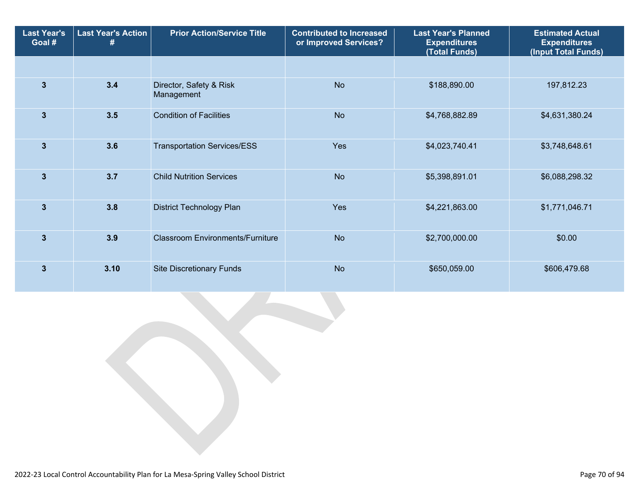| <b>Last Year's</b><br>Goal # | <b>Last Year's Action</b> | <b>Prior Action/Service Title</b>       | <b>Contributed to Increased</b><br>or Improved Services? | <b>Last Year's Planned</b><br><b>Expenditures</b><br>(Total Funds) | <b>Estimated Actual</b><br><b>Expenditures</b><br>(Input Total Funds) |
|------------------------------|---------------------------|-----------------------------------------|----------------------------------------------------------|--------------------------------------------------------------------|-----------------------------------------------------------------------|
|                              |                           |                                         |                                                          |                                                                    |                                                                       |
| $\overline{3}$               | 3.4                       | Director, Safety & Risk<br>Management   | <b>No</b>                                                | \$188,890.00                                                       | 197,812.23                                                            |
| $\overline{3}$               | 3.5                       | <b>Condition of Facilities</b>          | <b>No</b>                                                | \$4,768,882.89                                                     | \$4,631,380.24                                                        |
| $\overline{3}$               | 3.6                       | <b>Transportation Services/ESS</b>      | Yes                                                      | \$4,023,740.41                                                     | \$3,748,648.61                                                        |
| $\overline{3}$               | 3.7                       | <b>Child Nutrition Services</b>         | <b>No</b>                                                | \$5,398,891.01                                                     | \$6,088,298.32                                                        |
| 3                            | 3.8                       | <b>District Technology Plan</b>         | Yes                                                      | \$4,221,863.00                                                     | \$1,771,046.71                                                        |
| $\overline{3}$               | 3.9                       | <b>Classroom Environments/Furniture</b> | <b>No</b>                                                | \$2,700,000.00                                                     | \$0.00                                                                |
| 3                            | 3.10                      | <b>Site Discretionary Funds</b>         | <b>No</b>                                                | \$650,059.00                                                       | \$606,479.68                                                          |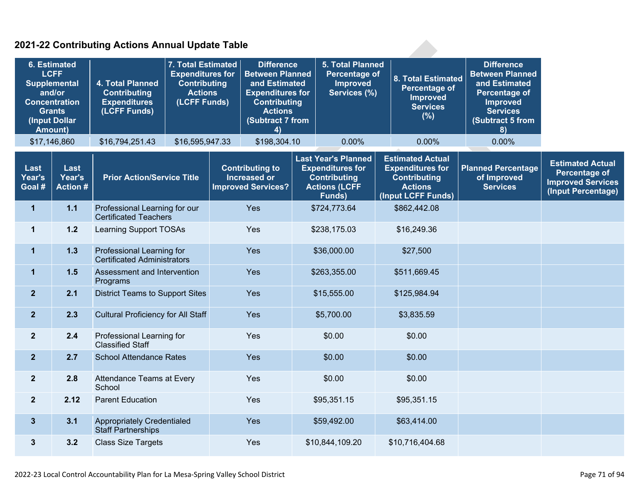### **2021-22 Contributing Actions Annual Update Table**

| 6. Estimated<br><b>LCFF</b><br><b>Supplemental</b><br>and/or<br><b>Concentration</b><br><b>Grants</b><br>(Input Dollar<br><b>Amount)</b> |                                   | 7. Total Estimated<br><b>Expenditures for</b><br>4. Total Planned<br><b>Contributing</b><br><b>Actions</b><br><b>Contributing</b><br><b>Expenditures</b><br>(LCFF Funds)<br>(LCFF Funds) |                 | <b>Difference</b><br><b>Between Planned</b><br>and Estimated<br><b>Expenditures for</b><br><b>Contributing</b><br><b>Actions</b><br>(Subtract 7 from<br>4) |                                                                                                                                                                                              | 5. Total Planned<br>Percentage of<br><b>Improved</b><br>Services (%) |                             | 8. Total Estimated<br>Percentage of<br><b>Improved</b><br><b>Services</b><br>(%) | <b>Difference</b><br><b>Between Planned</b><br>and Estimated<br>Percentage of<br><b>Improved</b><br><b>Services</b><br>(Subtract 5 from<br>8) |                                                             |                                                                                                   |
|------------------------------------------------------------------------------------------------------------------------------------------|-----------------------------------|------------------------------------------------------------------------------------------------------------------------------------------------------------------------------------------|-----------------|------------------------------------------------------------------------------------------------------------------------------------------------------------|----------------------------------------------------------------------------------------------------------------------------------------------------------------------------------------------|----------------------------------------------------------------------|-----------------------------|----------------------------------------------------------------------------------|-----------------------------------------------------------------------------------------------------------------------------------------------|-------------------------------------------------------------|---------------------------------------------------------------------------------------------------|
|                                                                                                                                          | \$17,146,860                      | \$16,794,251.43                                                                                                                                                                          | \$16,595,947.33 |                                                                                                                                                            | \$198,304.10                                                                                                                                                                                 |                                                                      | 0.00%                       |                                                                                  | 0.00%                                                                                                                                         | 0.00%                                                       |                                                                                                   |
| Last<br>Year's<br>Goal #                                                                                                                 | Last<br>Year's<br><b>Action #</b> | <b>Prior Action/Service Title</b>                                                                                                                                                        |                 |                                                                                                                                                            | <b>Last Year's Planned</b><br><b>Contributing to</b><br><b>Expenditures for</b><br><b>Increased or</b><br><b>Contributing</b><br><b>Improved Services?</b><br><b>Actions (LCFF</b><br>Funds) |                                                                      |                             |                                                                                  | <b>Estimated Actual</b><br><b>Expenditures for</b><br><b>Contributing</b><br><b>Actions</b><br>(Input LCFF Funds)                             | <b>Planned Percentage</b><br>of Improved<br><b>Services</b> | <b>Estimated Actual</b><br><b>Percentage of</b><br><b>Improved Services</b><br>(Input Percentage) |
| $\mathbf 1$                                                                                                                              | $1.1$                             | Professional Learning for our<br><b>Certificated Teachers</b>                                                                                                                            |                 |                                                                                                                                                            | Yes                                                                                                                                                                                          |                                                                      | \$724,773.64                | \$862,442.08                                                                     |                                                                                                                                               |                                                             |                                                                                                   |
| $\mathbf 1$                                                                                                                              | $1.2$                             | <b>Learning Support TOSAs</b>                                                                                                                                                            |                 | Yes                                                                                                                                                        |                                                                                                                                                                                              |                                                                      | \$238,175.03<br>\$16,249.36 |                                                                                  |                                                                                                                                               |                                                             |                                                                                                   |
| $\mathbf{1}$                                                                                                                             | 1.3                               | Professional Learning for<br><b>Certificated Administrators</b>                                                                                                                          |                 | Yes                                                                                                                                                        |                                                                                                                                                                                              |                                                                      | \$36,000.00                 |                                                                                  | \$27,500                                                                                                                                      |                                                             |                                                                                                   |
| $\mathbf{1}$                                                                                                                             | 1.5                               | Assessment and Intervention<br>Programs                                                                                                                                                  |                 | Yes                                                                                                                                                        |                                                                                                                                                                                              |                                                                      | \$263,355.00                |                                                                                  | \$511,669.45                                                                                                                                  |                                                             |                                                                                                   |
| 2 <sup>1</sup>                                                                                                                           | 2.1                               | <b>District Teams to Support Sites</b>                                                                                                                                                   |                 | Yes                                                                                                                                                        |                                                                                                                                                                                              | \$15,555.00                                                          |                             |                                                                                  | \$125,984.94                                                                                                                                  |                                                             |                                                                                                   |
| 2 <sup>1</sup>                                                                                                                           | 2.3                               | <b>Cultural Proficiency for All Staff</b>                                                                                                                                                |                 | Yes                                                                                                                                                        |                                                                                                                                                                                              | \$5,700.00                                                           |                             |                                                                                  | \$3,835.59                                                                                                                                    |                                                             |                                                                                                   |
| 2 <sup>1</sup>                                                                                                                           | 2.4                               | Professional Learning for<br><b>Classified Staff</b>                                                                                                                                     |                 |                                                                                                                                                            | Yes                                                                                                                                                                                          | \$0.00                                                               |                             |                                                                                  | \$0.00                                                                                                                                        |                                                             |                                                                                                   |
| 2 <sup>2</sup>                                                                                                                           | 2.7                               | <b>School Attendance Rates</b>                                                                                                                                                           |                 |                                                                                                                                                            | Yes                                                                                                                                                                                          |                                                                      | \$0.00                      |                                                                                  | \$0.00                                                                                                                                        |                                                             |                                                                                                   |
| 2 <sup>1</sup>                                                                                                                           | 2.8                               | Attendance Teams at Every<br>School                                                                                                                                                      |                 |                                                                                                                                                            | Yes                                                                                                                                                                                          |                                                                      | \$0.00                      |                                                                                  | \$0.00                                                                                                                                        |                                                             |                                                                                                   |
| 2 <sup>1</sup>                                                                                                                           | 2.12                              | <b>Parent Education</b>                                                                                                                                                                  |                 |                                                                                                                                                            | Yes                                                                                                                                                                                          |                                                                      | \$95,351.15                 |                                                                                  | \$95,351.15                                                                                                                                   |                                                             |                                                                                                   |
| 3 <sup>5</sup>                                                                                                                           | 3.1                               | <b>Appropriately Credentialed</b><br><b>Staff Partnerships</b>                                                                                                                           |                 |                                                                                                                                                            | Yes                                                                                                                                                                                          |                                                                      | \$59,492.00                 |                                                                                  | \$63,414.00                                                                                                                                   |                                                             |                                                                                                   |
| $\mathbf{3}$                                                                                                                             | 3.2                               | <b>Class Size Targets</b>                                                                                                                                                                |                 |                                                                                                                                                            | Yes                                                                                                                                                                                          |                                                                      | \$10,844,109.20             |                                                                                  | \$10,716,404.68                                                                                                                               |                                                             |                                                                                                   |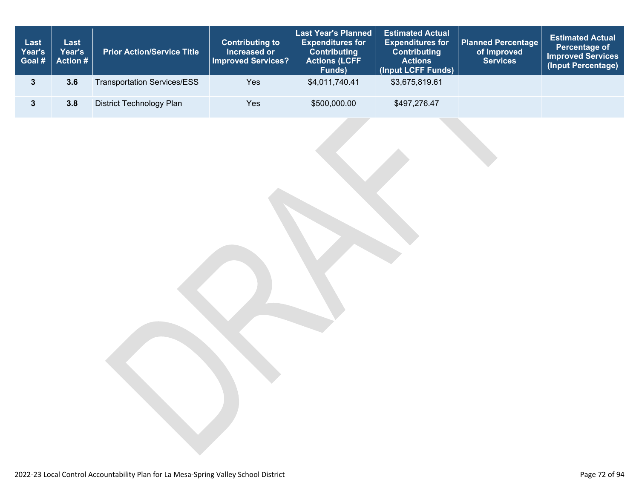| Last<br>Year's<br>Goal# | Last<br>Year's<br><b>Action #</b> | <b>Prior Action/Service Title</b>  | <b>Last Year's Planned</b><br><b>Contributing to</b><br><b>Expenditures for</b><br><b>Contributing</b><br>Increased or<br>Improved Services?<br><b>Actions (LCFF</b><br>Funds) |                | <b>Estimated Actual</b><br><b>Expenditures for</b><br><b>Contributing</b><br><b>Actions</b><br>(Input LCFF Funds) | <b>Planned Percentage</b><br>of Improved<br><b>Services</b> | <b>Estimated Actual</b><br>Percentage of<br><b>Improved Services</b><br>(Input Percentage) |
|-------------------------|-----------------------------------|------------------------------------|--------------------------------------------------------------------------------------------------------------------------------------------------------------------------------|----------------|-------------------------------------------------------------------------------------------------------------------|-------------------------------------------------------------|--------------------------------------------------------------------------------------------|
|                         | 3.6                               | <b>Transportation Services/ESS</b> | <b>Yes</b>                                                                                                                                                                     | \$4,011,740.41 | \$3,675,819.61                                                                                                    |                                                             |                                                                                            |
|                         | 3.8                               | District Technology Plan           | Yes                                                                                                                                                                            | \$500,000.00   | \$497,276.47                                                                                                      |                                                             |                                                                                            |